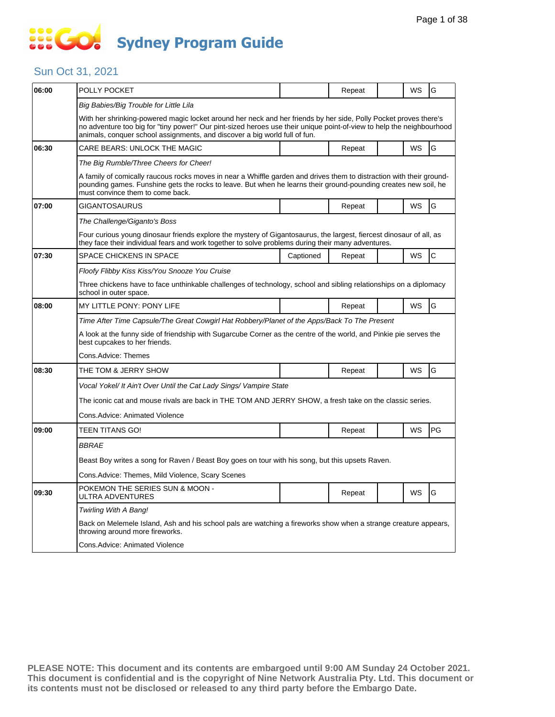### Sun Oct 31, 2021

| 06:00 | POLLY POCKET                                                                                                                                                                                                                                                                                                            |           | Repeat |  | WS | G  |  |  |  |
|-------|-------------------------------------------------------------------------------------------------------------------------------------------------------------------------------------------------------------------------------------------------------------------------------------------------------------------------|-----------|--------|--|----|----|--|--|--|
|       | Big Babies/Big Trouble for Little Lila                                                                                                                                                                                                                                                                                  |           |        |  |    |    |  |  |  |
|       | With her shrinking-powered magic locket around her neck and her friends by her side, Polly Pocket proves there's<br>no adventure too big for "tiny power!" Our pint-sized heroes use their unique point-of-view to help the neighbourhood<br>animals, conquer school assignments, and discover a big world full of fun. |           |        |  |    |    |  |  |  |
| 06:30 | CARE BEARS: UNLOCK THE MAGIC                                                                                                                                                                                                                                                                                            |           | Repeat |  | WS | G  |  |  |  |
|       | The Big Rumble/Three Cheers for Cheer!                                                                                                                                                                                                                                                                                  |           |        |  |    |    |  |  |  |
|       | A family of comically raucous rocks moves in near a Whiffle garden and drives them to distraction with their ground-<br>pounding games. Funshine gets the rocks to leave. But when he learns their ground-pounding creates new soil, he<br>must convince them to come back.                                             |           |        |  |    |    |  |  |  |
| 07:00 | GIGANTOSAURUS                                                                                                                                                                                                                                                                                                           |           | Repeat |  | WS | G  |  |  |  |
|       | The Challenge/Giganto's Boss                                                                                                                                                                                                                                                                                            |           |        |  |    |    |  |  |  |
|       | Four curious young dinosaur friends explore the mystery of Gigantosaurus, the largest, fiercest dinosaur of all, as<br>they face their individual fears and work together to solve problems during their many adventures.                                                                                               |           |        |  |    |    |  |  |  |
| 07:30 | SPACE CHICKENS IN SPACE                                                                                                                                                                                                                                                                                                 | Captioned | Repeat |  | WS | C  |  |  |  |
|       | Floofy Flibby Kiss Kiss/You Snooze You Cruise                                                                                                                                                                                                                                                                           |           |        |  |    |    |  |  |  |
|       | Three chickens have to face unthinkable challenges of technology, school and sibling relationships on a diplomacy<br>school in outer space.                                                                                                                                                                             |           |        |  |    |    |  |  |  |
| 08:00 | MY LITTLE PONY: PONY LIFE                                                                                                                                                                                                                                                                                               |           | Repeat |  | WS | G  |  |  |  |
|       | Time After Time Capsule/The Great Cowgirl Hat Robbery/Planet of the Apps/Back To The Present                                                                                                                                                                                                                            |           |        |  |    |    |  |  |  |
|       | A look at the funny side of friendship with Sugarcube Corner as the centre of the world, and Pinkie pie serves the<br>best cupcakes to her friends.                                                                                                                                                                     |           |        |  |    |    |  |  |  |
|       | Cons.Advice: Themes                                                                                                                                                                                                                                                                                                     |           |        |  |    |    |  |  |  |
| 08:30 | THE TOM & JERRY SHOW                                                                                                                                                                                                                                                                                                    |           | Repeat |  | WS | G  |  |  |  |
|       | Vocal Yokel/ It Ain't Over Until the Cat Lady Sings/ Vampire State                                                                                                                                                                                                                                                      |           |        |  |    |    |  |  |  |
|       | The iconic cat and mouse rivals are back in THE TOM AND JERRY SHOW, a fresh take on the classic series.                                                                                                                                                                                                                 |           |        |  |    |    |  |  |  |
|       | Cons.Advice: Animated Violence                                                                                                                                                                                                                                                                                          |           |        |  |    |    |  |  |  |
| 09:00 | TEEN TITANS GO!                                                                                                                                                                                                                                                                                                         |           | Repeat |  | WS | PG |  |  |  |
|       | <b>BBRAE</b>                                                                                                                                                                                                                                                                                                            |           |        |  |    |    |  |  |  |
|       | Beast Boy writes a song for Raven / Beast Boy goes on tour with his song, but this upsets Raven.                                                                                                                                                                                                                        |           |        |  |    |    |  |  |  |
|       | Cons.Advice: Themes, Mild Violence, Scary Scenes                                                                                                                                                                                                                                                                        |           |        |  |    |    |  |  |  |
| 09:30 | POKEMON THE SERIES SUN & MOON -<br>ULTRA ADVENTURES                                                                                                                                                                                                                                                                     |           | Repeat |  | WS | G  |  |  |  |
|       | Twirling With A Bang!                                                                                                                                                                                                                                                                                                   |           |        |  |    |    |  |  |  |
|       | Back on Melemele Island, Ash and his school pals are watching a fireworks show when a strange creature appears,<br>throwing around more fireworks.                                                                                                                                                                      |           |        |  |    |    |  |  |  |
|       | Cons.Advice: Animated Violence                                                                                                                                                                                                                                                                                          |           |        |  |    |    |  |  |  |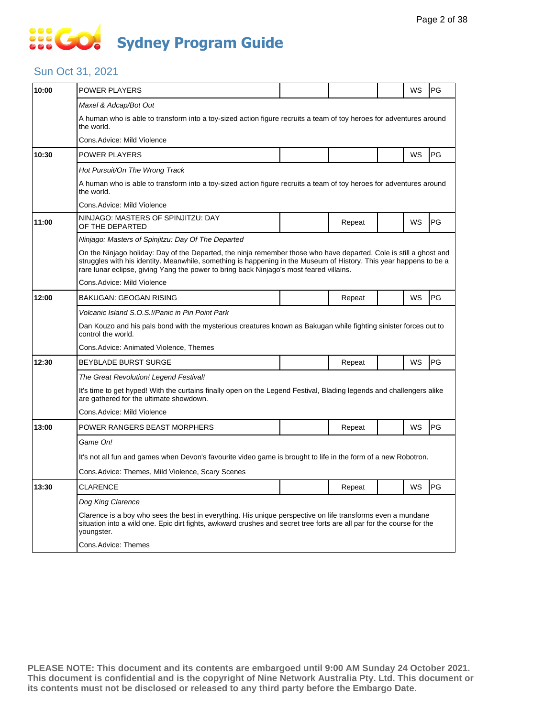# **SOCO Sydney Program Guide**

### Sun Oct 31, 2021

| 10:00 | <b>POWER PLAYERS</b>                                                                                                                                                                                                                                                                                                                |  |        |  | WS        | PG        |  |  |  |
|-------|-------------------------------------------------------------------------------------------------------------------------------------------------------------------------------------------------------------------------------------------------------------------------------------------------------------------------------------|--|--------|--|-----------|-----------|--|--|--|
|       | Maxel & Adcap/Bot Out                                                                                                                                                                                                                                                                                                               |  |        |  |           |           |  |  |  |
|       | A human who is able to transform into a toy-sized action figure recruits a team of toy heroes for adventures around<br>the world.                                                                                                                                                                                                   |  |        |  |           |           |  |  |  |
|       | Cons.Advice: Mild Violence                                                                                                                                                                                                                                                                                                          |  |        |  |           |           |  |  |  |
| 10:30 | POWER PLAYERS                                                                                                                                                                                                                                                                                                                       |  |        |  | WS        | PG        |  |  |  |
|       | Hot Pursuit/On The Wrong Track                                                                                                                                                                                                                                                                                                      |  |        |  |           |           |  |  |  |
|       | A human who is able to transform into a toy-sized action figure recruits a team of toy heroes for adventures around<br>the world.                                                                                                                                                                                                   |  |        |  |           |           |  |  |  |
|       | Cons.Advice: Mild Violence                                                                                                                                                                                                                                                                                                          |  |        |  |           |           |  |  |  |
| 11:00 | NINJAGO: MASTERS OF SPINJITZU: DAY<br>OF THE DEPARTED                                                                                                                                                                                                                                                                               |  | Repeat |  | WS        | PG        |  |  |  |
|       | Ninjago: Masters of Spinjitzu: Day Of The Departed                                                                                                                                                                                                                                                                                  |  |        |  |           |           |  |  |  |
|       | On the Ninjago holiday: Day of the Departed, the ninja remember those who have departed. Cole is still a ghost and<br>struggles with his identity. Meanwhile, something is happening in the Museum of History. This year happens to be a<br>rare lunar eclipse, giving Yang the power to bring back Ninjago's most feared villains. |  |        |  |           |           |  |  |  |
|       | Cons.Advice: Mild Violence                                                                                                                                                                                                                                                                                                          |  |        |  |           |           |  |  |  |
| 12:00 | BAKUGAN: GEOGAN RISING                                                                                                                                                                                                                                                                                                              |  | Repeat |  | <b>WS</b> | PG        |  |  |  |
|       | Volcanic Island S.O.S.!/Panic in Pin Point Park                                                                                                                                                                                                                                                                                     |  |        |  |           |           |  |  |  |
|       | Dan Kouzo and his pals bond with the mysterious creatures known as Bakugan while fighting sinister forces out to<br>control the world.                                                                                                                                                                                              |  |        |  |           |           |  |  |  |
|       | Cons.Advice: Animated Violence, Themes                                                                                                                                                                                                                                                                                              |  |        |  |           |           |  |  |  |
| 12:30 | <b>BEYBLADE BURST SURGE</b>                                                                                                                                                                                                                                                                                                         |  | Repeat |  | <b>WS</b> | PG        |  |  |  |
|       | The Great Revolution! Legend Festival!                                                                                                                                                                                                                                                                                              |  |        |  |           |           |  |  |  |
|       | It's time to get hyped! With the curtains finally open on the Legend Festival, Blading legends and challengers alike<br>are gathered for the ultimate showdown.                                                                                                                                                                     |  |        |  |           |           |  |  |  |
|       | Cons.Advice: Mild Violence                                                                                                                                                                                                                                                                                                          |  |        |  |           |           |  |  |  |
| 13:00 | POWER RANGERS BEAST MORPHERS                                                                                                                                                                                                                                                                                                        |  | Repeat |  | WS        | PG        |  |  |  |
|       | Game On!                                                                                                                                                                                                                                                                                                                            |  |        |  |           |           |  |  |  |
|       | It's not all fun and games when Devon's favourite video game is brought to life in the form of a new Robotron.                                                                                                                                                                                                                      |  |        |  |           |           |  |  |  |
|       | Cons.Advice: Themes, Mild Violence, Scary Scenes                                                                                                                                                                                                                                                                                    |  |        |  |           |           |  |  |  |
| 13:30 | <b>CLARENCE</b>                                                                                                                                                                                                                                                                                                                     |  | Repeat |  | WS        | <b>PG</b> |  |  |  |
|       | Dog King Clarence                                                                                                                                                                                                                                                                                                                   |  |        |  |           |           |  |  |  |
|       | Clarence is a boy who sees the best in everything. His unique perspective on life transforms even a mundane<br>situation into a wild one. Epic dirt fights, awkward crushes and secret tree forts are all par for the course for the<br>youngster.                                                                                  |  |        |  |           |           |  |  |  |
|       | Cons.Advice: Themes                                                                                                                                                                                                                                                                                                                 |  |        |  |           |           |  |  |  |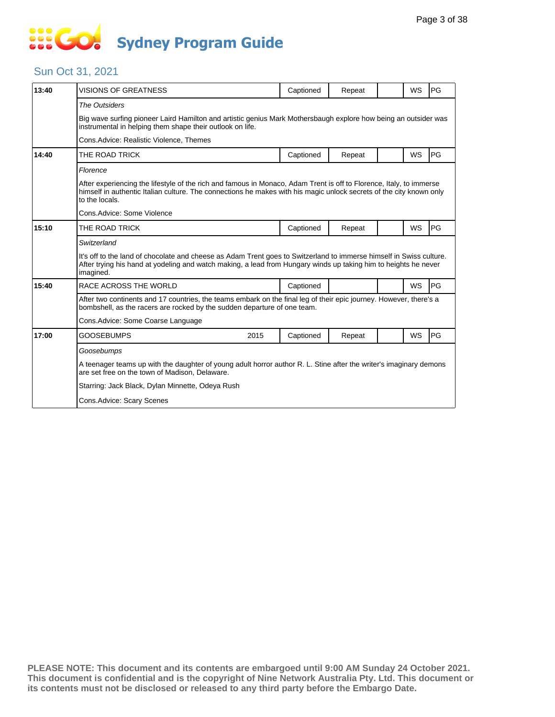# **SOCOL Sydney Program Guide**

#### Sun Oct 31, 2021

| 13:40 | VISIONS OF GREATNESS                                                                                                                                                                                                                                         |  | Captioned | Repeat |  | <b>WS</b> | <b>PG</b> |  |  |
|-------|--------------------------------------------------------------------------------------------------------------------------------------------------------------------------------------------------------------------------------------------------------------|--|-----------|--------|--|-----------|-----------|--|--|
|       | The Outsiders                                                                                                                                                                                                                                                |  |           |        |  |           |           |  |  |
|       | Big wave surfing pioneer Laird Hamilton and artistic genius Mark Mothersbaugh explore how being an outsider was<br>instrumental in helping them shape their outlook on life.                                                                                 |  |           |        |  |           |           |  |  |
|       | Cons. Advice: Realistic Violence, Themes                                                                                                                                                                                                                     |  |           |        |  |           |           |  |  |
| 14:40 | THE ROAD TRICK                                                                                                                                                                                                                                               |  | Captioned | Repeat |  | <b>WS</b> | <b>PG</b> |  |  |
|       | Florence                                                                                                                                                                                                                                                     |  |           |        |  |           |           |  |  |
|       | After experiencing the lifestyle of the rich and famous in Monaco, Adam Trent is off to Florence, Italy, to immerse<br>himself in authentic Italian culture. The connections he makes with his magic unlock secrets of the city known only<br>to the locals. |  |           |        |  |           |           |  |  |
|       | Cons. Advice: Some Violence                                                                                                                                                                                                                                  |  |           |        |  |           |           |  |  |
| 15:10 | THE ROAD TRICK                                                                                                                                                                                                                                               |  | Captioned | Repeat |  | <b>WS</b> | <b>PG</b> |  |  |
|       | Switzerland                                                                                                                                                                                                                                                  |  |           |        |  |           |           |  |  |
|       | It's off to the land of chocolate and cheese as Adam Trent goes to Switzerland to immerse himself in Swiss culture.<br>After trying his hand at yodeling and watch making, a lead from Hungary winds up taking him to heights he never<br>imagined.          |  |           |        |  |           |           |  |  |
| 15:40 | RACE ACROSS THE WORLD                                                                                                                                                                                                                                        |  | Captioned |        |  | <b>WS</b> | <b>PG</b> |  |  |
|       | After two continents and 17 countries, the teams embark on the final leg of their epic journey. However, there's a<br>bombshell, as the racers are rocked by the sudden departure of one team.                                                               |  |           |        |  |           |           |  |  |
|       | Cons. Advice: Some Coarse Language                                                                                                                                                                                                                           |  |           |        |  |           |           |  |  |
| 17:00 | <b>GOOSEBUMPS</b><br>2015                                                                                                                                                                                                                                    |  | Captioned | Repeat |  | <b>WS</b> | PG        |  |  |
|       | Goosebumps                                                                                                                                                                                                                                                   |  |           |        |  |           |           |  |  |
|       | A teenager teams up with the daughter of young adult horror author R. L. Stine after the writer's imaginary demons<br>are set free on the town of Madison, Delaware.                                                                                         |  |           |        |  |           |           |  |  |
|       | Starring: Jack Black, Dylan Minnette, Odeya Rush                                                                                                                                                                                                             |  |           |        |  |           |           |  |  |
|       | Cons.Advice: Scary Scenes                                                                                                                                                                                                                                    |  |           |        |  |           |           |  |  |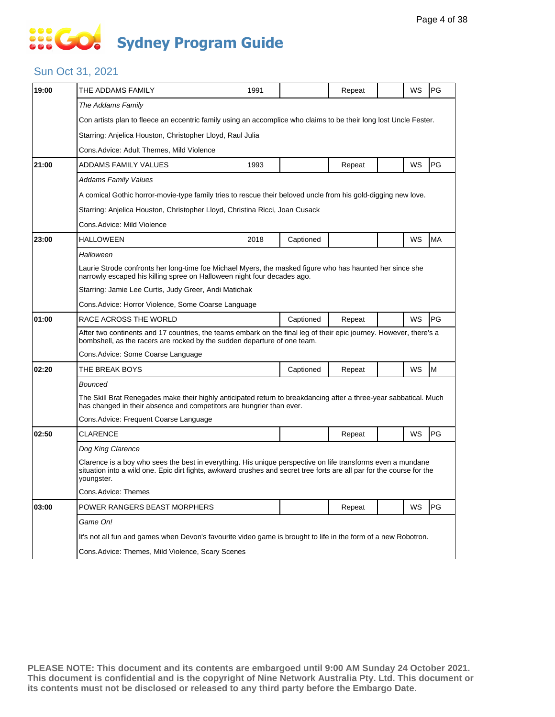# **SECT Sydney Program Guide**

### Sun Oct 31, 2021

| 19:00          | THE ADDAMS FAMILY                                                                                                                                                                                                                                  | 1991 |           | Repeat |  | WS | PG        |  |  |
|----------------|----------------------------------------------------------------------------------------------------------------------------------------------------------------------------------------------------------------------------------------------------|------|-----------|--------|--|----|-----------|--|--|
|                | The Addams Family                                                                                                                                                                                                                                  |      |           |        |  |    |           |  |  |
|                | Con artists plan to fleece an eccentric family using an accomplice who claims to be their long lost Uncle Fester.                                                                                                                                  |      |           |        |  |    |           |  |  |
|                | Starring: Anjelica Houston, Christopher Lloyd, Raul Julia                                                                                                                                                                                          |      |           |        |  |    |           |  |  |
|                | Cons.Advice: Adult Themes, Mild Violence                                                                                                                                                                                                           |      |           |        |  |    |           |  |  |
| 21:00          | ADDAMS FAMILY VALUES                                                                                                                                                                                                                               | 1993 |           | Repeat |  | WS | PG        |  |  |
|                | <b>Addams Family Values</b>                                                                                                                                                                                                                        |      |           |        |  |    |           |  |  |
|                | A comical Gothic horror-movie-type family tries to rescue their beloved uncle from his gold-digging new love.                                                                                                                                      |      |           |        |  |    |           |  |  |
|                | Starring: Anjelica Houston, Christopher Lloyd, Christina Ricci, Joan Cusack                                                                                                                                                                        |      |           |        |  |    |           |  |  |
|                | Cons.Advice: Mild Violence                                                                                                                                                                                                                         |      |           |        |  |    |           |  |  |
| 23:00<br>01:00 | <b>HALLOWEEN</b>                                                                                                                                                                                                                                   | 2018 | Captioned |        |  | WS | <b>MA</b> |  |  |
|                | Halloween                                                                                                                                                                                                                                          |      |           |        |  |    |           |  |  |
|                | Laurie Strode confronts her long-time foe Michael Myers, the masked figure who has haunted her since she<br>narrowly escaped his killing spree on Halloween night four decades ago.                                                                |      |           |        |  |    |           |  |  |
|                | Starring: Jamie Lee Curtis, Judy Greer, Andi Matichak                                                                                                                                                                                              |      |           |        |  |    |           |  |  |
|                | Cons. Advice: Horror Violence, Some Coarse Language                                                                                                                                                                                                |      |           |        |  |    |           |  |  |
| 02:20          | RACE ACROSS THE WORLD                                                                                                                                                                                                                              |      | Captioned | Repeat |  | WS | PG        |  |  |
|                | After two continents and 17 countries, the teams embark on the final leg of their epic journey. However, there's a<br>bombshell, as the racers are rocked by the sudden departure of one team.                                                     |      |           |        |  |    |           |  |  |
|                | Cons. Advice: Some Coarse Language                                                                                                                                                                                                                 |      |           |        |  |    |           |  |  |
|                | THE BREAK BOYS                                                                                                                                                                                                                                     |      | Captioned | Repeat |  | WS | M         |  |  |
|                | <b>Bounced</b>                                                                                                                                                                                                                                     |      |           |        |  |    |           |  |  |
|                | The Skill Brat Renegades make their highly anticipated return to breakdancing after a three-year sabbatical. Much<br>has changed in their absence and competitors are hungrier than ever.                                                          |      |           |        |  |    |           |  |  |
|                | Cons.Advice: Frequent Coarse Language                                                                                                                                                                                                              |      |           |        |  |    |           |  |  |
| 02:50          | <b>CLARENCE</b>                                                                                                                                                                                                                                    |      |           | Repeat |  | WS | PG        |  |  |
|                | Dog King Clarence                                                                                                                                                                                                                                  |      |           |        |  |    |           |  |  |
|                | Clarence is a boy who sees the best in everything. His unique perspective on life transforms even a mundane<br>situation into a wild one. Epic dirt fights, awkward crushes and secret tree forts are all par for the course for the<br>youngster. |      |           |        |  |    |           |  |  |
|                | Cons.Advice: Themes                                                                                                                                                                                                                                |      |           |        |  |    |           |  |  |
| 03:00          | POWER RANGERS BEAST MORPHERS                                                                                                                                                                                                                       |      |           | Repeat |  | WS | PG        |  |  |
|                | Game On!                                                                                                                                                                                                                                           |      |           |        |  |    |           |  |  |
|                | It's not all fun and games when Devon's favourite video game is brought to life in the form of a new Robotron.                                                                                                                                     |      |           |        |  |    |           |  |  |
|                | Cons. Advice: Themes, Mild Violence, Scary Scenes                                                                                                                                                                                                  |      |           |        |  |    |           |  |  |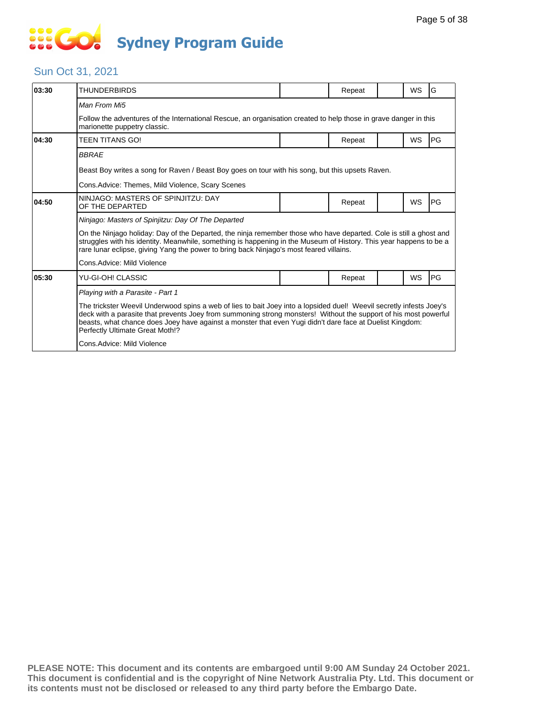### Sun Oct 31, 2021

| 03:30 | THUNDERBIRDS                                                                                                                                                                                                                                                                                                                                                                            |  | Repeat |  | WS | G  |  |  |  |
|-------|-----------------------------------------------------------------------------------------------------------------------------------------------------------------------------------------------------------------------------------------------------------------------------------------------------------------------------------------------------------------------------------------|--|--------|--|----|----|--|--|--|
|       | Man From Mi5                                                                                                                                                                                                                                                                                                                                                                            |  |        |  |    |    |  |  |  |
|       | Follow the adventures of the International Rescue, an organisation created to help those in grave danger in this<br>marionette puppetry classic.                                                                                                                                                                                                                                        |  |        |  |    |    |  |  |  |
| 04:30 | TEEN TITANS GO!                                                                                                                                                                                                                                                                                                                                                                         |  | Repeat |  | WS | PG |  |  |  |
|       | <b>BBRAE</b>                                                                                                                                                                                                                                                                                                                                                                            |  |        |  |    |    |  |  |  |
|       | Beast Boy writes a song for Raven / Beast Boy goes on tour with his song, but this upsets Raven.                                                                                                                                                                                                                                                                                        |  |        |  |    |    |  |  |  |
|       | Cons. Advice: Themes, Mild Violence, Scary Scenes                                                                                                                                                                                                                                                                                                                                       |  |        |  |    |    |  |  |  |
| 04:50 | NINJAGO: MASTERS OF SPINJITZU: DAY<br>OF THE DEPARTED                                                                                                                                                                                                                                                                                                                                   |  | Repeat |  | WS | PG |  |  |  |
|       | Ninjago: Masters of Spinjitzu: Day Of The Departed                                                                                                                                                                                                                                                                                                                                      |  |        |  |    |    |  |  |  |
|       | On the Ninjago holiday: Day of the Departed, the ninja remember those who have departed. Cole is still a ghost and<br>struggles with his identity. Meanwhile, something is happening in the Museum of History. This year happens to be a<br>rare lunar eclipse, giving Yang the power to bring back Ninjago's most feared villains.                                                     |  |        |  |    |    |  |  |  |
|       | Cons. Advice: Mild Violence                                                                                                                                                                                                                                                                                                                                                             |  |        |  |    |    |  |  |  |
| 05:30 | YU-GI-OH! CLASSIC                                                                                                                                                                                                                                                                                                                                                                       |  | Repeat |  | WS | PG |  |  |  |
|       | Playing with a Parasite - Part 1                                                                                                                                                                                                                                                                                                                                                        |  |        |  |    |    |  |  |  |
|       | The trickster Weevil Underwood spins a web of lies to bait Joey into a lopsided duel! Weevil secretly infests Joey's<br>deck with a parasite that prevents Joey from summoning strong monsters! Without the support of his most powerful<br>beasts, what chance does Joey have against a monster that even Yugi didn't dare face at Duelist Kingdom:<br>Perfectly Ultimate Great Moth!? |  |        |  |    |    |  |  |  |
|       | Cons.Advice: Mild Violence                                                                                                                                                                                                                                                                                                                                                              |  |        |  |    |    |  |  |  |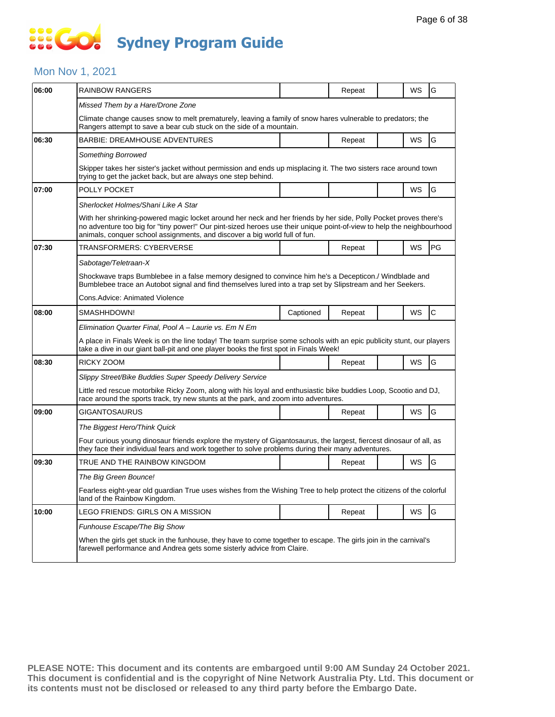# **SOCOL Sydney Program Guide**

#### Mon Nov 1, 2021

| 06:00 | <b>RAINBOW RANGERS</b>                                                                                                                                                                                                                                                                                                  |           | Repeat |  | WS | G            |  |  |  |
|-------|-------------------------------------------------------------------------------------------------------------------------------------------------------------------------------------------------------------------------------------------------------------------------------------------------------------------------|-----------|--------|--|----|--------------|--|--|--|
|       | Missed Them by a Hare/Drone Zone                                                                                                                                                                                                                                                                                        |           |        |  |    |              |  |  |  |
|       | Climate change causes snow to melt prematurely, leaving a family of snow hares vulnerable to predators; the<br>Rangers attempt to save a bear cub stuck on the side of a mountain.                                                                                                                                      |           |        |  |    |              |  |  |  |
| 06:30 | <b>BARBIE: DREAMHOUSE ADVENTURES</b>                                                                                                                                                                                                                                                                                    |           | Repeat |  | WS | G            |  |  |  |
|       | Something Borrowed                                                                                                                                                                                                                                                                                                      |           |        |  |    |              |  |  |  |
|       | Skipper takes her sister's jacket without permission and ends up misplacing it. The two sisters race around town<br>trying to get the jacket back, but are always one step behind.                                                                                                                                      |           |        |  |    |              |  |  |  |
| 07:00 | POLLY POCKET                                                                                                                                                                                                                                                                                                            |           |        |  | WS | G            |  |  |  |
|       | Sherlocket Holmes/Shani Like A Star                                                                                                                                                                                                                                                                                     |           |        |  |    |              |  |  |  |
|       | With her shrinking-powered magic locket around her neck and her friends by her side, Polly Pocket proves there's<br>no adventure too big for "tiny power!" Our pint-sized heroes use their unique point-of-view to help the neighbourhood<br>animals, conquer school assignments, and discover a big world full of fun. |           |        |  |    |              |  |  |  |
| 07:30 | TRANSFORMERS: CYBERVERSE                                                                                                                                                                                                                                                                                                |           | Repeat |  | WS | PG           |  |  |  |
|       | Sabotage/Teletraan-X                                                                                                                                                                                                                                                                                                    |           |        |  |    |              |  |  |  |
|       | Shockwave traps Bumblebee in a false memory designed to convince him he's a Decepticon./ Windblade and<br>Bumblebee trace an Autobot signal and find themselves lured into a trap set by Slipstream and her Seekers.                                                                                                    |           |        |  |    |              |  |  |  |
|       | Cons.Advice: Animated Violence                                                                                                                                                                                                                                                                                          |           |        |  |    |              |  |  |  |
| 08:00 | SMASHHDOWN!                                                                                                                                                                                                                                                                                                             | Captioned | Repeat |  | WS | $\mathsf{C}$ |  |  |  |
|       | Elimination Quarter Final, Pool A – Laurie vs. Em N Em                                                                                                                                                                                                                                                                  |           |        |  |    |              |  |  |  |
|       | A place in Finals Week is on the line today! The team surprise some schools with an epic publicity stunt, our players<br>take a dive in our giant ball-pit and one player books the first spot in Finals Week!                                                                                                          |           |        |  |    |              |  |  |  |
| 08:30 | RICKY ZOOM                                                                                                                                                                                                                                                                                                              |           | Repeat |  | WS | G            |  |  |  |
|       | Slippy Street/Bike Buddies Super Speedy Delivery Service                                                                                                                                                                                                                                                                |           |        |  |    |              |  |  |  |
|       | Little red rescue motorbike Ricky Zoom, along with his loyal and enthusiastic bike buddies Loop, Scootio and DJ,<br>race around the sports track, try new stunts at the park, and zoom into adventures.                                                                                                                 |           |        |  |    |              |  |  |  |
| 09:00 | GIGANTOSAURUS                                                                                                                                                                                                                                                                                                           |           | Repeat |  | WS | G            |  |  |  |
|       | The Biggest Hero/Think Quick                                                                                                                                                                                                                                                                                            |           |        |  |    |              |  |  |  |
|       | Four curious young dinosaur friends explore the mystery of Gigantosaurus, the largest, fiercest dinosaur of all, as<br>they face their individual fears and work together to solve problems during their many adventures.                                                                                               |           |        |  |    |              |  |  |  |
| 09:30 | TRUE AND THE RAINBOW KINGDOM                                                                                                                                                                                                                                                                                            |           | Repeat |  | WS | G            |  |  |  |
|       | The Big Green Bounce!                                                                                                                                                                                                                                                                                                   |           |        |  |    |              |  |  |  |
|       | Fearless eight-year old guardian True uses wishes from the Wishing Tree to help protect the citizens of the colorful<br>land of the Rainbow Kingdom.                                                                                                                                                                    |           |        |  |    |              |  |  |  |
| 10:00 | LEGO FRIENDS: GIRLS ON A MISSION                                                                                                                                                                                                                                                                                        |           | Repeat |  | WS | G            |  |  |  |
|       | Funhouse Escape/The Big Show                                                                                                                                                                                                                                                                                            |           |        |  |    |              |  |  |  |
|       | When the girls get stuck in the funhouse, they have to come together to escape. The girls join in the carnival's<br>farewell performance and Andrea gets some sisterly advice from Claire.                                                                                                                              |           |        |  |    |              |  |  |  |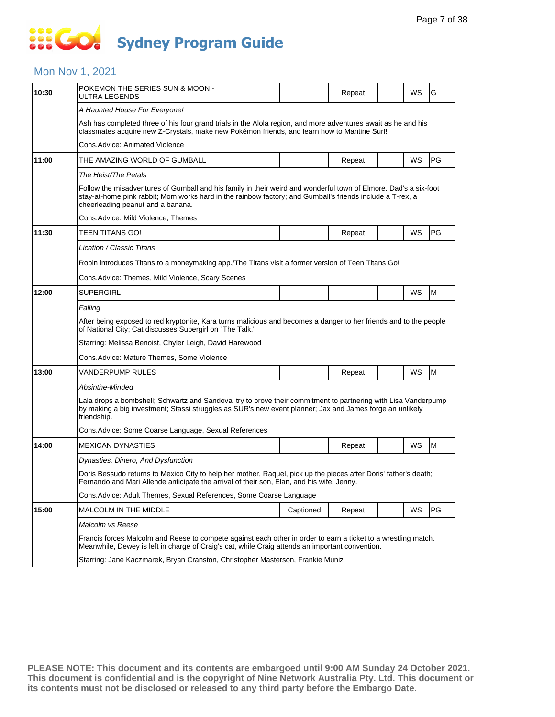## **SOCO Sydney Program Guide**

### Mon Nov 1, 2021

| 10:30 | POKEMON THE SERIES SUN & MOON -<br>ULTRA LEGENDS                                                                                                                                                                                                                   |           | Repeat |  | WS | G  |  |  |  |
|-------|--------------------------------------------------------------------------------------------------------------------------------------------------------------------------------------------------------------------------------------------------------------------|-----------|--------|--|----|----|--|--|--|
|       | A Haunted House For Everyone!                                                                                                                                                                                                                                      |           |        |  |    |    |  |  |  |
|       | Ash has completed three of his four grand trials in the Alola region, and more adventures await as he and his<br>classmates acquire new Z-Crystals, make new Pokémon friends, and learn how to Mantine Surf!                                                       |           |        |  |    |    |  |  |  |
|       | Cons.Advice: Animated Violence                                                                                                                                                                                                                                     |           |        |  |    |    |  |  |  |
| 11:00 | THE AMAZING WORLD OF GUMBALL                                                                                                                                                                                                                                       |           | Repeat |  | WS | PG |  |  |  |
|       | The Heist/The Petals                                                                                                                                                                                                                                               |           |        |  |    |    |  |  |  |
|       | Follow the misadventures of Gumball and his family in their weird and wonderful town of Elmore. Dad's a six-foot<br>stay-at-home pink rabbit; Mom works hard in the rainbow factory; and Gumball's friends include a T-rex, a<br>cheerleading peanut and a banana. |           |        |  |    |    |  |  |  |
|       | Cons.Advice: Mild Violence, Themes                                                                                                                                                                                                                                 |           |        |  |    |    |  |  |  |
| 11:30 | TEEN TITANS GO!                                                                                                                                                                                                                                                    |           | Repeat |  | WS | PG |  |  |  |
|       | Lication / Classic Titans                                                                                                                                                                                                                                          |           |        |  |    |    |  |  |  |
|       | Robin introduces Titans to a moneymaking app./The Titans visit a former version of Teen Titans Go!                                                                                                                                                                 |           |        |  |    |    |  |  |  |
|       | Cons.Advice: Themes, Mild Violence, Scary Scenes                                                                                                                                                                                                                   |           |        |  |    |    |  |  |  |
| 12:00 | <b>SUPERGIRL</b>                                                                                                                                                                                                                                                   |           |        |  | WS | M  |  |  |  |
|       | Falling                                                                                                                                                                                                                                                            |           |        |  |    |    |  |  |  |
|       | After being exposed to red kryptonite, Kara turns malicious and becomes a danger to her friends and to the people<br>of National City; Cat discusses Supergirl on "The Talk."                                                                                      |           |        |  |    |    |  |  |  |
|       | Starring: Melissa Benoist, Chyler Leigh, David Harewood                                                                                                                                                                                                            |           |        |  |    |    |  |  |  |
|       | Cons. Advice: Mature Themes, Some Violence                                                                                                                                                                                                                         |           |        |  |    |    |  |  |  |
| 13:00 | VANDERPUMP RULES                                                                                                                                                                                                                                                   |           | Repeat |  | WS | M  |  |  |  |
|       | Absinthe-Minded                                                                                                                                                                                                                                                    |           |        |  |    |    |  |  |  |
|       | Lala drops a bombshell; Schwartz and Sandoval try to prove their commitment to partnering with Lisa Vanderpump<br>by making a big investment; Stassi struggles as SUR's new event planner; Jax and James forge an unlikely<br>friendship.                          |           |        |  |    |    |  |  |  |
|       | Cons. Advice: Some Coarse Language, Sexual References                                                                                                                                                                                                              |           |        |  |    |    |  |  |  |
| 14:00 | <b>MEXICAN DYNASTIES</b>                                                                                                                                                                                                                                           |           | Repeat |  | WS | M  |  |  |  |
|       | Dynasties, Dinero, And Dysfunction                                                                                                                                                                                                                                 |           |        |  |    |    |  |  |  |
|       | Doris Bessudo returns to Mexico City to help her mother, Raquel, pick up the pieces after Doris' father's death;<br>Fernando and Mari Allende anticipate the arrival of their son, Elan, and his wife, Jenny.                                                      |           |        |  |    |    |  |  |  |
|       | Cons. Advice: Adult Themes, Sexual References, Some Coarse Language                                                                                                                                                                                                |           |        |  |    |    |  |  |  |
| 15:00 | MALCOLM IN THE MIDDLE                                                                                                                                                                                                                                              | Captioned | Repeat |  | WS | PG |  |  |  |
|       | Malcolm vs Reese                                                                                                                                                                                                                                                   |           |        |  |    |    |  |  |  |
|       | Francis forces Malcolm and Reese to compete against each other in order to earn a ticket to a wrestling match.<br>Meanwhile, Dewey is left in charge of Craig's cat, while Craig attends an important convention.                                                  |           |        |  |    |    |  |  |  |
|       | Starring: Jane Kaczmarek, Bryan Cranston, Christopher Masterson, Frankie Muniz                                                                                                                                                                                     |           |        |  |    |    |  |  |  |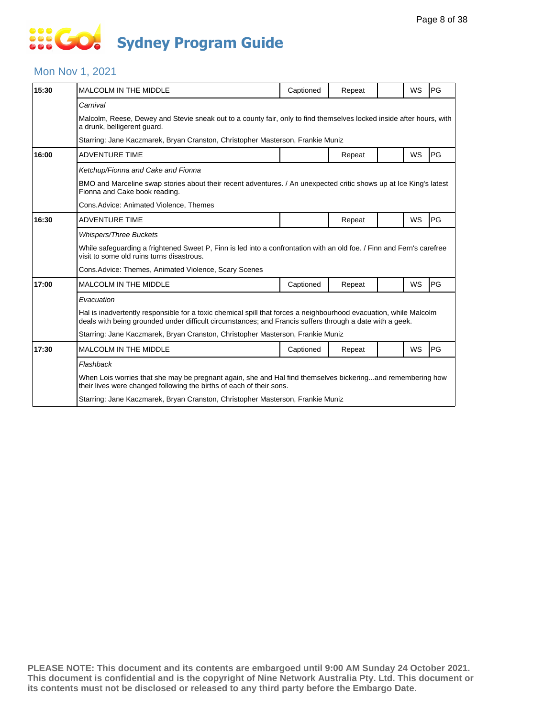## **... Go Sydney Program Guide**

#### Mon Nov 1, 2021

| 15:30 | <b>MALCOLM IN THE MIDDLE</b>                                                                                                                                                                                                  | Captioned | Repeat |  | <b>WS</b> | PG |  |  |
|-------|-------------------------------------------------------------------------------------------------------------------------------------------------------------------------------------------------------------------------------|-----------|--------|--|-----------|----|--|--|
|       | Carnival                                                                                                                                                                                                                      |           |        |  |           |    |  |  |
|       | Malcolm, Reese, Dewey and Stevie sneak out to a county fair, only to find themselves locked inside after hours, with<br>a drunk, belligerent guard.                                                                           |           |        |  |           |    |  |  |
|       | Starring: Jane Kaczmarek, Bryan Cranston, Christopher Masterson, Frankie Muniz                                                                                                                                                |           |        |  |           |    |  |  |
| 16:00 | <b>ADVENTURE TIME</b>                                                                                                                                                                                                         |           | Repeat |  | WS        | PG |  |  |
|       | Ketchup/Fionna and Cake and Fionna                                                                                                                                                                                            |           |        |  |           |    |  |  |
|       | BMO and Marceline swap stories about their recent adventures. / An unexpected critic shows up at Ice King's latest<br>Fionna and Cake book reading.                                                                           |           |        |  |           |    |  |  |
|       | Cons. Advice: Animated Violence, Themes                                                                                                                                                                                       |           |        |  |           |    |  |  |
| 16:30 | <b>ADVENTURE TIME</b>                                                                                                                                                                                                         |           | Repeat |  | <b>WS</b> | PG |  |  |
|       | <b>Whispers/Three Buckets</b>                                                                                                                                                                                                 |           |        |  |           |    |  |  |
|       | While safeguarding a frightened Sweet P, Finn is led into a confrontation with an old foe. / Finn and Fern's carefree<br>visit to some old ruins turns disastrous.                                                            |           |        |  |           |    |  |  |
|       | Cons. Advice: Themes, Animated Violence, Scary Scenes                                                                                                                                                                         |           |        |  |           |    |  |  |
| 17:00 | MALCOLM IN THE MIDDLE                                                                                                                                                                                                         | Captioned | Repeat |  | WS        | PG |  |  |
|       | Evacuation                                                                                                                                                                                                                    |           |        |  |           |    |  |  |
|       | Hal is inadvertently responsible for a toxic chemical spill that forces a neighbourhood evacuation, while Malcolm<br>deals with being grounded under difficult circumstances; and Francis suffers through a date with a geek. |           |        |  |           |    |  |  |
|       | Starring: Jane Kaczmarek, Bryan Cranston, Christopher Masterson, Frankie Muniz                                                                                                                                                |           |        |  |           |    |  |  |
| 17:30 | <b>MALCOLM IN THE MIDDLE</b>                                                                                                                                                                                                  | Captioned | Repeat |  | <b>WS</b> | PG |  |  |
|       | Flashback                                                                                                                                                                                                                     |           |        |  |           |    |  |  |
|       | When Lois worries that she may be pregnant again, she and Hal find themselves bickeringand remembering how<br>their lives were changed following the births of each of their sons.                                            |           |        |  |           |    |  |  |
|       | Starring: Jane Kaczmarek, Bryan Cranston, Christopher Masterson, Frankie Muniz                                                                                                                                                |           |        |  |           |    |  |  |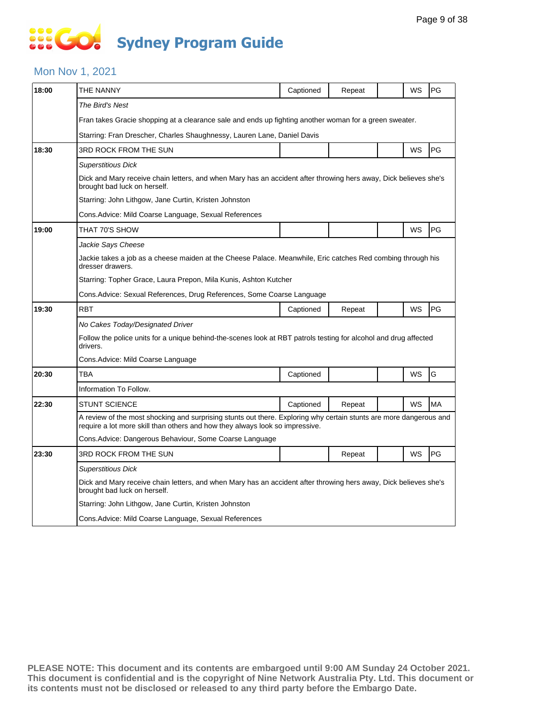### Mon Nov 1, 2021

| 18:00 | THE NANNY                                                                                                                                                                                          | Captioned                                                                                                        | Repeat |  | WS | PG        |  |  |
|-------|----------------------------------------------------------------------------------------------------------------------------------------------------------------------------------------------------|------------------------------------------------------------------------------------------------------------------|--------|--|----|-----------|--|--|
|       | The Bird's Nest                                                                                                                                                                                    |                                                                                                                  |        |  |    |           |  |  |
|       | Fran takes Gracie shopping at a clearance sale and ends up fighting another woman for a green sweater.                                                                                             |                                                                                                                  |        |  |    |           |  |  |
|       | Starring: Fran Drescher, Charles Shaughnessy, Lauren Lane, Daniel Davis                                                                                                                            |                                                                                                                  |        |  |    |           |  |  |
| 18:30 | 3RD ROCK FROM THE SUN                                                                                                                                                                              |                                                                                                                  |        |  | WS | PG        |  |  |
|       | <b>Superstitious Dick</b>                                                                                                                                                                          |                                                                                                                  |        |  |    |           |  |  |
|       | Dick and Mary receive chain letters, and when Mary has an accident after throwing hers away, Dick believes she's<br>brought bad luck on herself.                                                   |                                                                                                                  |        |  |    |           |  |  |
|       | Starring: John Lithgow, Jane Curtin, Kristen Johnston                                                                                                                                              |                                                                                                                  |        |  |    |           |  |  |
|       | Cons.Advice: Mild Coarse Language, Sexual References                                                                                                                                               |                                                                                                                  |        |  |    |           |  |  |
| 19:00 | THAT 70'S SHOW                                                                                                                                                                                     |                                                                                                                  |        |  | WS | PG        |  |  |
|       | Jackie Says Cheese                                                                                                                                                                                 |                                                                                                                  |        |  |    |           |  |  |
|       | Jackie takes a job as a cheese maiden at the Cheese Palace. Meanwhile, Eric catches Red combing through his<br>dresser drawers.                                                                    |                                                                                                                  |        |  |    |           |  |  |
|       | Starring: Topher Grace, Laura Prepon, Mila Kunis, Ashton Kutcher                                                                                                                                   |                                                                                                                  |        |  |    |           |  |  |
|       | Cons.Advice: Sexual References, Drug References, Some Coarse Language                                                                                                                              |                                                                                                                  |        |  |    |           |  |  |
| 19:30 | <b>RBT</b>                                                                                                                                                                                         | Captioned                                                                                                        | Repeat |  | WS | PG        |  |  |
|       | No Cakes Today/Designated Driver                                                                                                                                                                   |                                                                                                                  |        |  |    |           |  |  |
|       | Follow the police units for a unique behind-the-scenes look at RBT patrols testing for alcohol and drug affected<br>drivers.                                                                       |                                                                                                                  |        |  |    |           |  |  |
|       | Cons.Advice: Mild Coarse Language                                                                                                                                                                  |                                                                                                                  |        |  |    |           |  |  |
| 20:30 | TBA                                                                                                                                                                                                | Captioned                                                                                                        |        |  | WS | G         |  |  |
|       | Information To Follow.                                                                                                                                                                             |                                                                                                                  |        |  |    |           |  |  |
| 22:30 | <b>STUNT SCIENCE</b>                                                                                                                                                                               | Captioned                                                                                                        | Repeat |  | WS | <b>MA</b> |  |  |
|       | A review of the most shocking and surprising stunts out there. Exploring why certain stunts are more dangerous and<br>require a lot more skill than others and how they always look so impressive. |                                                                                                                  |        |  |    |           |  |  |
|       | Cons.Advice: Dangerous Behaviour, Some Coarse Language                                                                                                                                             |                                                                                                                  |        |  |    |           |  |  |
| 23:30 | 3RD ROCK FROM THE SUN                                                                                                                                                                              |                                                                                                                  | Repeat |  | WS | PG        |  |  |
|       | Superstitious Dick                                                                                                                                                                                 |                                                                                                                  |        |  |    |           |  |  |
|       | brought bad luck on herself.                                                                                                                                                                       | Dick and Mary receive chain letters, and when Mary has an accident after throwing hers away, Dick believes she's |        |  |    |           |  |  |
|       | Starring: John Lithgow, Jane Curtin, Kristen Johnston                                                                                                                                              |                                                                                                                  |        |  |    |           |  |  |
|       | Cons.Advice: Mild Coarse Language, Sexual References                                                                                                                                               |                                                                                                                  |        |  |    |           |  |  |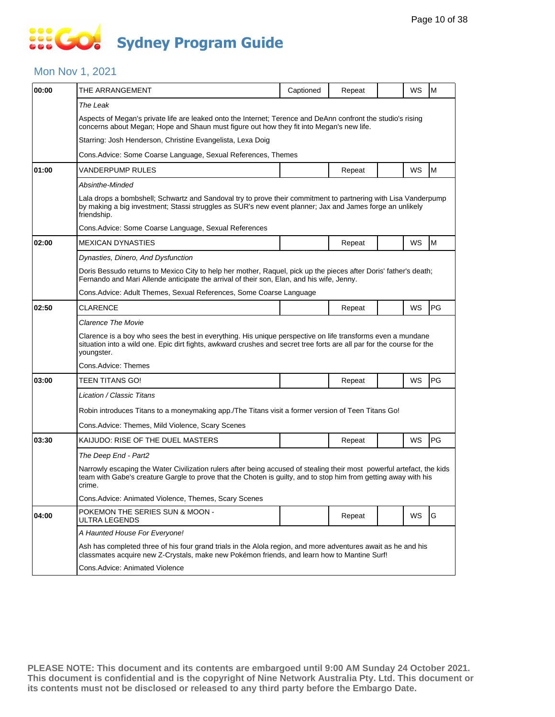#### Mon Nov 1, 2021

| 00:00 | THE ARRANGEMENT                                                                                                                                                                                                                                                        | Captioned | Repeat |  | WS | M  |  |  |  |
|-------|------------------------------------------------------------------------------------------------------------------------------------------------------------------------------------------------------------------------------------------------------------------------|-----------|--------|--|----|----|--|--|--|
|       | The Leak                                                                                                                                                                                                                                                               |           |        |  |    |    |  |  |  |
|       | Aspects of Megan's private life are leaked onto the Internet; Terence and DeAnn confront the studio's rising<br>concerns about Megan; Hope and Shaun must figure out how they fit into Megan's new life.<br>Starring: Josh Henderson, Christine Evangelista, Lexa Doig |           |        |  |    |    |  |  |  |
|       |                                                                                                                                                                                                                                                                        |           |        |  |    |    |  |  |  |
|       | Cons.Advice: Some Coarse Language, Sexual References, Themes                                                                                                                                                                                                           |           |        |  |    |    |  |  |  |
| 01:00 | VANDERPUMP RULES                                                                                                                                                                                                                                                       |           | Repeat |  | WS | M  |  |  |  |
|       | Absinthe-Minded                                                                                                                                                                                                                                                        |           |        |  |    |    |  |  |  |
|       | Lala drops a bombshell; Schwartz and Sandoval try to prove their commitment to partnering with Lisa Vanderpump<br>by making a big investment; Stassi struggles as SUR's new event planner; Jax and James forge an unlikely<br>friendship.                              |           |        |  |    |    |  |  |  |
|       | Cons. Advice: Some Coarse Language, Sexual References                                                                                                                                                                                                                  |           |        |  |    |    |  |  |  |
| 02:00 | <b>MEXICAN DYNASTIES</b>                                                                                                                                                                                                                                               |           | Repeat |  | WS | M  |  |  |  |
|       | Dynasties, Dinero, And Dysfunction                                                                                                                                                                                                                                     |           |        |  |    |    |  |  |  |
|       | Doris Bessudo returns to Mexico City to help her mother, Raquel, pick up the pieces after Doris' father's death;<br>Fernando and Mari Allende anticipate the arrival of their son, Elan, and his wife, Jenny.                                                          |           |        |  |    |    |  |  |  |
|       | Cons.Advice: Adult Themes, Sexual References, Some Coarse Language                                                                                                                                                                                                     |           |        |  |    |    |  |  |  |
| 02:50 | <b>CLARENCE</b>                                                                                                                                                                                                                                                        |           | Repeat |  | WS | PG |  |  |  |
|       | Clarence The Movie                                                                                                                                                                                                                                                     |           |        |  |    |    |  |  |  |
|       | Clarence is a boy who sees the best in everything. His unique perspective on life transforms even a mundane<br>situation into a wild one. Epic dirt fights, awkward crushes and secret tree forts are all par for the course for the<br>youngster.                     |           |        |  |    |    |  |  |  |
|       | Cons.Advice: Themes                                                                                                                                                                                                                                                    |           |        |  |    |    |  |  |  |
| 03:00 | TEEN TITANS GO!                                                                                                                                                                                                                                                        |           | Repeat |  | WS | PG |  |  |  |
|       | Lication / Classic Titans                                                                                                                                                                                                                                              |           |        |  |    |    |  |  |  |
|       | Robin introduces Titans to a moneymaking app./The Titans visit a former version of Teen Titans Go!                                                                                                                                                                     |           |        |  |    |    |  |  |  |
|       | Cons. Advice: Themes, Mild Violence, Scary Scenes                                                                                                                                                                                                                      |           |        |  |    |    |  |  |  |
| 03:30 | KAIJUDO: RISE OF THE DUEL MASTERS                                                                                                                                                                                                                                      |           | Repeat |  | WS | PG |  |  |  |
|       | The Deep End - Part2                                                                                                                                                                                                                                                   |           |        |  |    |    |  |  |  |
|       | Narrowly escaping the Water Civilization rulers after being accused of stealing their most powerful artefact, the kids<br>team with Gabe's creature Gargle to prove that the Choten is guilty, and to stop him from getting away with his<br>crime.                    |           |        |  |    |    |  |  |  |
|       | Cons. Advice: Animated Violence, Themes, Scary Scenes                                                                                                                                                                                                                  |           |        |  |    |    |  |  |  |
| 04:00 | POKEMON THE SERIES SUN & MOON -<br>ULTRA LEGENDS                                                                                                                                                                                                                       |           | Repeat |  | WS | G  |  |  |  |
|       | A Haunted House For Everyone!                                                                                                                                                                                                                                          |           |        |  |    |    |  |  |  |
|       | Ash has completed three of his four grand trials in the Alola region, and more adventures await as he and his<br>classmates acquire new Z-Crystals, make new Pokémon friends, and learn how to Mantine Surf!                                                           |           |        |  |    |    |  |  |  |
|       | Cons.Advice: Animated Violence                                                                                                                                                                                                                                         |           |        |  |    |    |  |  |  |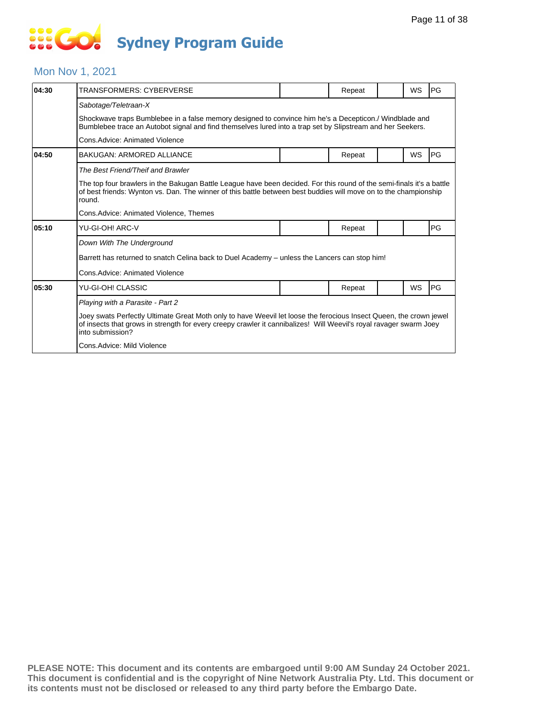# **SOCOL Sydney Program Guide**

#### Mon Nov 1, 2021

| 04:30 | TRANSFORMERS: CYBERVERSE                                                                                                                                                                                                                                     |  | Repeat |  | <b>WS</b> | PG |  |  |  |
|-------|--------------------------------------------------------------------------------------------------------------------------------------------------------------------------------------------------------------------------------------------------------------|--|--------|--|-----------|----|--|--|--|
|       | Sabotage/Teletraan-X                                                                                                                                                                                                                                         |  |        |  |           |    |  |  |  |
|       | Shockwave traps Bumblebee in a false memory designed to convince him he's a Decepticon./ Windblade and<br>Bumblebee trace an Autobot signal and find themselves lured into a trap set by Slipstream and her Seekers.                                         |  |        |  |           |    |  |  |  |
|       | Cons.Advice: Animated Violence                                                                                                                                                                                                                               |  |        |  |           |    |  |  |  |
| 04:50 | <b>BAKUGAN: ARMORED ALLIANCE</b>                                                                                                                                                                                                                             |  | Repeat |  | WS        | PG |  |  |  |
|       | The Best Friend/Theif and Brawler                                                                                                                                                                                                                            |  |        |  |           |    |  |  |  |
|       | The top four brawlers in the Bakugan Battle League have been decided. For this round of the semi-finals it's a battle<br>of best friends: Wynton vs. Dan. The winner of this battle between best buddies will move on to the championship<br>round.          |  |        |  |           |    |  |  |  |
|       | Cons.Advice: Animated Violence, Themes                                                                                                                                                                                                                       |  |        |  |           |    |  |  |  |
| 05:10 | YU-GI-OH! ARC-V                                                                                                                                                                                                                                              |  | Repeat |  |           | PG |  |  |  |
|       | Down With The Underground                                                                                                                                                                                                                                    |  |        |  |           |    |  |  |  |
|       | Barrett has returned to snatch Celina back to Duel Academy – unless the Lancers can stop him!                                                                                                                                                                |  |        |  |           |    |  |  |  |
|       | Cons.Advice: Animated Violence                                                                                                                                                                                                                               |  |        |  |           |    |  |  |  |
| 05:30 | YU-GI-OH! CLASSIC                                                                                                                                                                                                                                            |  | Repeat |  | WS        | PG |  |  |  |
|       | Playing with a Parasite - Part 2                                                                                                                                                                                                                             |  |        |  |           |    |  |  |  |
|       | Joey swats Perfectly Ultimate Great Moth only to have Weevil let loose the ferocious Insect Queen, the crown jewel<br>of insects that grows in strength for every creepy crawler it cannibalizes! Will Weevil's royal ravager swarm Joey<br>into submission? |  |        |  |           |    |  |  |  |
|       | Cons.Advice: Mild Violence                                                                                                                                                                                                                                   |  |        |  |           |    |  |  |  |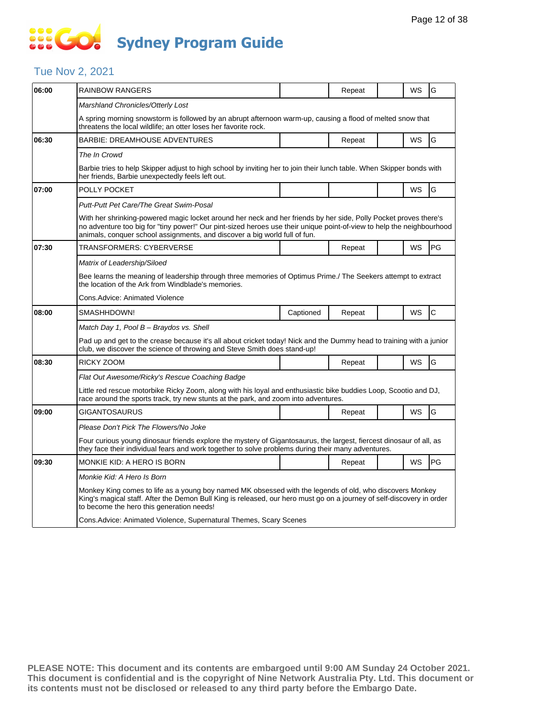### **... Go Sydney Program Guide**

### Tue Nov 2, 2021

| RAINBOW RANGERS                                                                                                                                                                                                                                                                                                         |           | Repeat |  | WS | G                                                                                                                                                                                                                                   |  |  |
|-------------------------------------------------------------------------------------------------------------------------------------------------------------------------------------------------------------------------------------------------------------------------------------------------------------------------|-----------|--------|--|----|-------------------------------------------------------------------------------------------------------------------------------------------------------------------------------------------------------------------------------------|--|--|
| Marshland Chronicles/Otterly Lost                                                                                                                                                                                                                                                                                       |           |        |  |    |                                                                                                                                                                                                                                     |  |  |
| threatens the local wildlife; an otter loses her favorite rock.                                                                                                                                                                                                                                                         |           |        |  |    |                                                                                                                                                                                                                                     |  |  |
| <b>BARBIE: DREAMHOUSE ADVENTURES</b>                                                                                                                                                                                                                                                                                    |           | Repeat |  | WS | G                                                                                                                                                                                                                                   |  |  |
| The In Crowd                                                                                                                                                                                                                                                                                                            |           |        |  |    |                                                                                                                                                                                                                                     |  |  |
| her friends, Barbie unexpectedly feels left out.                                                                                                                                                                                                                                                                        |           |        |  |    |                                                                                                                                                                                                                                     |  |  |
| POLLY POCKET                                                                                                                                                                                                                                                                                                            |           |        |  | WS | G                                                                                                                                                                                                                                   |  |  |
| Putt-Putt Pet Care/The Great Swim-Posal                                                                                                                                                                                                                                                                                 |           |        |  |    |                                                                                                                                                                                                                                     |  |  |
| With her shrinking-powered magic locket around her neck and her friends by her side, Polly Pocket proves there's<br>no adventure too big for "tiny power!" Our pint-sized heroes use their unique point-of-view to help the neighbourhood<br>animals, conquer school assignments, and discover a big world full of fun. |           |        |  |    |                                                                                                                                                                                                                                     |  |  |
| TRANSFORMERS: CYBERVERSE                                                                                                                                                                                                                                                                                                |           | Repeat |  | WS | PG                                                                                                                                                                                                                                  |  |  |
| Matrix of Leadership/Siloed                                                                                                                                                                                                                                                                                             |           |        |  |    |                                                                                                                                                                                                                                     |  |  |
| Bee learns the meaning of leadership through three memories of Optimus Prime./ The Seekers attempt to extract<br>the location of the Ark from Windblade's memories.                                                                                                                                                     |           |        |  |    |                                                                                                                                                                                                                                     |  |  |
| Cons.Advice: Animated Violence                                                                                                                                                                                                                                                                                          |           |        |  |    |                                                                                                                                                                                                                                     |  |  |
| SMASHHDOWN!                                                                                                                                                                                                                                                                                                             | Captioned | Repeat |  | WS | C                                                                                                                                                                                                                                   |  |  |
| Match Day 1, Pool B - Braydos vs. Shell                                                                                                                                                                                                                                                                                 |           |        |  |    |                                                                                                                                                                                                                                     |  |  |
| Pad up and get to the crease because it's all about cricket today! Nick and the Dummy head to training with a junior<br>club, we discover the science of throwing and Steve Smith does stand-up!                                                                                                                        |           |        |  |    |                                                                                                                                                                                                                                     |  |  |
| RICKY ZOOM                                                                                                                                                                                                                                                                                                              |           | Repeat |  | WS | G                                                                                                                                                                                                                                   |  |  |
| Flat Out Awesome/Ricky's Rescue Coaching Badge                                                                                                                                                                                                                                                                          |           |        |  |    |                                                                                                                                                                                                                                     |  |  |
| Little red rescue motorbike Ricky Zoom, along with his loyal and enthusiastic bike buddies Loop, Scootio and DJ,<br>race around the sports track, try new stunts at the park, and zoom into adventures.                                                                                                                 |           |        |  |    |                                                                                                                                                                                                                                     |  |  |
| GIGANTOSAURUS                                                                                                                                                                                                                                                                                                           |           | Repeat |  | WS | G                                                                                                                                                                                                                                   |  |  |
| Please Don't Pick The Flowers/No Joke                                                                                                                                                                                                                                                                                   |           |        |  |    |                                                                                                                                                                                                                                     |  |  |
| Four curious young dinosaur friends explore the mystery of Gigantosaurus, the largest, fiercest dinosaur of all, as<br>they face their individual fears and work together to solve problems during their many adventures.                                                                                               |           |        |  |    |                                                                                                                                                                                                                                     |  |  |
| MONKIE KID: A HERO IS BORN                                                                                                                                                                                                                                                                                              |           | Repeat |  | WS | PG                                                                                                                                                                                                                                  |  |  |
| Monkie Kid: A Hero Is Born                                                                                                                                                                                                                                                                                              |           |        |  |    |                                                                                                                                                                                                                                     |  |  |
|                                                                                                                                                                                                                                                                                                                         |           |        |  |    |                                                                                                                                                                                                                                     |  |  |
| Monkey King comes to life as a young boy named MK obsessed with the legends of old, who discovers Monkey<br>King's magical staff. After the Demon Bull King is released, our hero must go on a journey of self-discovery in order<br>to become the hero this generation needs!                                          |           |        |  |    |                                                                                                                                                                                                                                     |  |  |
|                                                                                                                                                                                                                                                                                                                         |           |        |  |    | A spring morning snowstorm is followed by an abrupt afternoon warm-up, causing a flood of melted snow that<br>Barbie tries to help Skipper adjust to high school by inviting her to join their lunch table. When Skipper bonds with |  |  |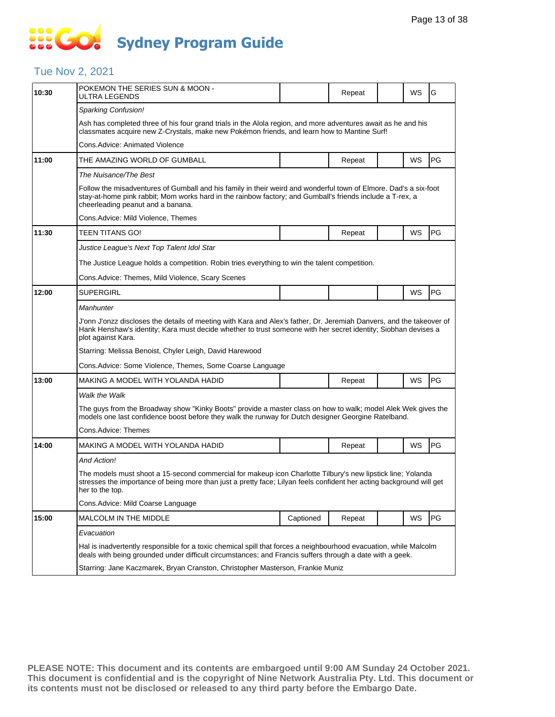### 888 **Sydney Program Guide**

#### Tue Nov 2, 2021

| 10:30 | POKEMON THE SERIES SUN & MOON -<br>ULTRA LEGENDS                                                                                                                                                                                                             |                                                                                                                                                                                                                               | Repeat |  | WS | G         |  |  |  |
|-------|--------------------------------------------------------------------------------------------------------------------------------------------------------------------------------------------------------------------------------------------------------------|-------------------------------------------------------------------------------------------------------------------------------------------------------------------------------------------------------------------------------|--------|--|----|-----------|--|--|--|
|       | <b>Sparking Confusion!</b>                                                                                                                                                                                                                                   |                                                                                                                                                                                                                               |        |  |    |           |  |  |  |
|       | Ash has completed three of his four grand trials in the Alola region, and more adventures await as he and his<br>classmates acquire new Z-Crystals, make new Pokémon friends, and learn how to Mantine Surf!                                                 |                                                                                                                                                                                                                               |        |  |    |           |  |  |  |
|       | Cons.Advice: Animated Violence                                                                                                                                                                                                                               |                                                                                                                                                                                                                               |        |  |    |           |  |  |  |
| 11:00 | THE AMAZING WORLD OF GUMBALL                                                                                                                                                                                                                                 |                                                                                                                                                                                                                               | Repeat |  | WS | PG        |  |  |  |
|       | The Nuisance/The Best                                                                                                                                                                                                                                        |                                                                                                                                                                                                                               |        |  |    |           |  |  |  |
|       | cheerleading peanut and a banana.                                                                                                                                                                                                                            | Follow the misadventures of Gumball and his family in their weird and wonderful town of Elmore. Dad's a six-foot<br>stay-at-home pink rabbit; Mom works hard in the rainbow factory; and Gumball's friends include a T-rex, a |        |  |    |           |  |  |  |
|       | Cons.Advice: Mild Violence, Themes                                                                                                                                                                                                                           |                                                                                                                                                                                                                               |        |  |    |           |  |  |  |
| 11:30 | TEEN TITANS GO!                                                                                                                                                                                                                                              |                                                                                                                                                                                                                               | Repeat |  | WS | <b>PG</b> |  |  |  |
|       | Justice League's Next Top Talent Idol Star                                                                                                                                                                                                                   |                                                                                                                                                                                                                               |        |  |    |           |  |  |  |
|       | The Justice League holds a competition. Robin tries everything to win the talent competition.                                                                                                                                                                |                                                                                                                                                                                                                               |        |  |    |           |  |  |  |
|       | Cons.Advice: Themes, Mild Violence, Scary Scenes                                                                                                                                                                                                             |                                                                                                                                                                                                                               |        |  |    |           |  |  |  |
| 12:00 | SUPERGIRL                                                                                                                                                                                                                                                    |                                                                                                                                                                                                                               |        |  | WS | PG        |  |  |  |
|       | Manhunter                                                                                                                                                                                                                                                    |                                                                                                                                                                                                                               |        |  |    |           |  |  |  |
|       | J'onn J'onzz discloses the details of meeting with Kara and Alex's father, Dr. Jeremiah Danvers, and the takeover of<br>Hank Henshaw's identity; Kara must decide whether to trust someone with her secret identity; Siobhan devises a<br>plot against Kara. |                                                                                                                                                                                                                               |        |  |    |           |  |  |  |
|       | Starring: Melissa Benoist, Chyler Leigh, David Harewood                                                                                                                                                                                                      |                                                                                                                                                                                                                               |        |  |    |           |  |  |  |
|       | Cons.Advice: Some Violence, Themes, Some Coarse Language                                                                                                                                                                                                     |                                                                                                                                                                                                                               |        |  |    |           |  |  |  |
| 13:00 | MAKING A MODEL WITH YOLANDA HADID                                                                                                                                                                                                                            |                                                                                                                                                                                                                               | Repeat |  | WS | <b>PG</b> |  |  |  |
|       | Walk the Walk                                                                                                                                                                                                                                                |                                                                                                                                                                                                                               |        |  |    |           |  |  |  |
|       | The guys from the Broadway show "Kinky Boots" provide a master class on how to walk; model Alek Wek gives the<br>models one last confidence boost before they walk the runway for Dutch designer Georgine Ratelband.                                         |                                                                                                                                                                                                                               |        |  |    |           |  |  |  |
|       | Cons.Advice: Themes                                                                                                                                                                                                                                          |                                                                                                                                                                                                                               |        |  |    |           |  |  |  |
| 14:00 | MAKING A MODEL WITH YOLANDA HADID                                                                                                                                                                                                                            |                                                                                                                                                                                                                               | Repeat |  | WS | <b>PG</b> |  |  |  |
|       | And Action!                                                                                                                                                                                                                                                  |                                                                                                                                                                                                                               |        |  |    |           |  |  |  |
|       | The models must shoot a 15-second commercial for makeup icon Charlotte Tilbury's new lipstick line; Yolanda<br>stresses the importance of being more than just a pretty face; Lilyan feels confident her acting background will get<br>her to the top.       |                                                                                                                                                                                                                               |        |  |    |           |  |  |  |
|       | Cons.Advice: Mild Coarse Language                                                                                                                                                                                                                            |                                                                                                                                                                                                                               |        |  |    |           |  |  |  |
| 15:00 | <b>MALCOLM IN THE MIDDLE</b>                                                                                                                                                                                                                                 | Captioned                                                                                                                                                                                                                     | Repeat |  | WS | PG        |  |  |  |
|       | Evacuation                                                                                                                                                                                                                                                   |                                                                                                                                                                                                                               |        |  |    |           |  |  |  |
|       |                                                                                                                                                                                                                                                              | Hal is inadvertently responsible for a toxic chemical spill that forces a neighbourhood evacuation, while Malcolm<br>deals with being grounded under difficult circumstances; and Francis suffers through a date with a geek. |        |  |    |           |  |  |  |
|       | Starring: Jane Kaczmarek, Bryan Cranston, Christopher Masterson, Frankie Muniz                                                                                                                                                                               |                                                                                                                                                                                                                               |        |  |    |           |  |  |  |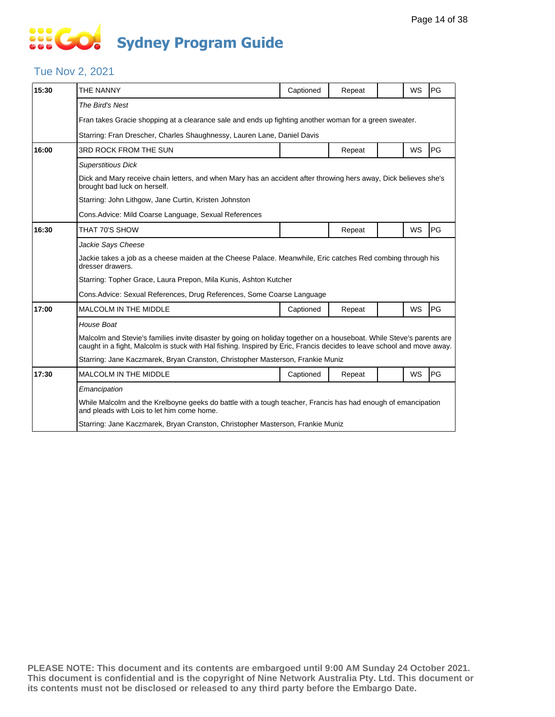#### Tue Nov 2, 2021

| 15:30 | THE NANNY                                                                                                                                                                                                                                      | Captioned | Repeat |  | WS | PG |  |  |
|-------|------------------------------------------------------------------------------------------------------------------------------------------------------------------------------------------------------------------------------------------------|-----------|--------|--|----|----|--|--|
|       | The Bird's Nest                                                                                                                                                                                                                                |           |        |  |    |    |  |  |
|       | Fran takes Gracie shopping at a clearance sale and ends up fighting another woman for a green sweater.                                                                                                                                         |           |        |  |    |    |  |  |
|       | Starring: Fran Drescher, Charles Shaughnessy, Lauren Lane, Daniel Davis                                                                                                                                                                        |           |        |  |    |    |  |  |
| 16:00 | 3RD ROCK FROM THE SUN                                                                                                                                                                                                                          |           | Repeat |  | WS | PG |  |  |
|       | <b>Superstitious Dick</b>                                                                                                                                                                                                                      |           |        |  |    |    |  |  |
|       | Dick and Mary receive chain letters, and when Mary has an accident after throwing hers away, Dick believes she's<br>brought bad luck on herself.                                                                                               |           |        |  |    |    |  |  |
|       | Starring: John Lithgow, Jane Curtin, Kristen Johnston                                                                                                                                                                                          |           |        |  |    |    |  |  |
|       | Cons. Advice: Mild Coarse Language, Sexual References                                                                                                                                                                                          |           |        |  |    |    |  |  |
| 16:30 | THAT 70'S SHOW                                                                                                                                                                                                                                 |           | Repeat |  | WS | PG |  |  |
|       | Jackie Says Cheese                                                                                                                                                                                                                             |           |        |  |    |    |  |  |
|       | Jackie takes a job as a cheese maiden at the Cheese Palace. Meanwhile, Eric catches Red combing through his<br>dresser drawers.                                                                                                                |           |        |  |    |    |  |  |
|       | Starring: Topher Grace, Laura Prepon, Mila Kunis, Ashton Kutcher                                                                                                                                                                               |           |        |  |    |    |  |  |
|       | Cons. Advice: Sexual References, Drug References, Some Coarse Language                                                                                                                                                                         |           |        |  |    |    |  |  |
| 17:00 | <b>MALCOLM IN THE MIDDLE</b>                                                                                                                                                                                                                   | Captioned | Repeat |  | WS | PG |  |  |
|       | House Boat                                                                                                                                                                                                                                     |           |        |  |    |    |  |  |
|       | Malcolm and Stevie's families invite disaster by going on holiday together on a houseboat. While Steve's parents are<br>caught in a fight, Malcolm is stuck with Hal fishing. Inspired by Eric, Francis decides to leave school and move away. |           |        |  |    |    |  |  |
|       | Starring: Jane Kaczmarek, Bryan Cranston, Christopher Masterson, Frankie Muniz                                                                                                                                                                 |           |        |  |    |    |  |  |
| 17:30 | <b>MALCOLM IN THE MIDDLE</b>                                                                                                                                                                                                                   | Captioned | Repeat |  | WS | PG |  |  |
|       | Emancipation                                                                                                                                                                                                                                   |           |        |  |    |    |  |  |
|       | While Malcolm and the Krelboyne geeks do battle with a tough teacher, Francis has had enough of emancipation<br>and pleads with Lois to let him come home.                                                                                     |           |        |  |    |    |  |  |
|       | Starring: Jane Kaczmarek, Bryan Cranston, Christopher Masterson, Frankie Muniz                                                                                                                                                                 |           |        |  |    |    |  |  |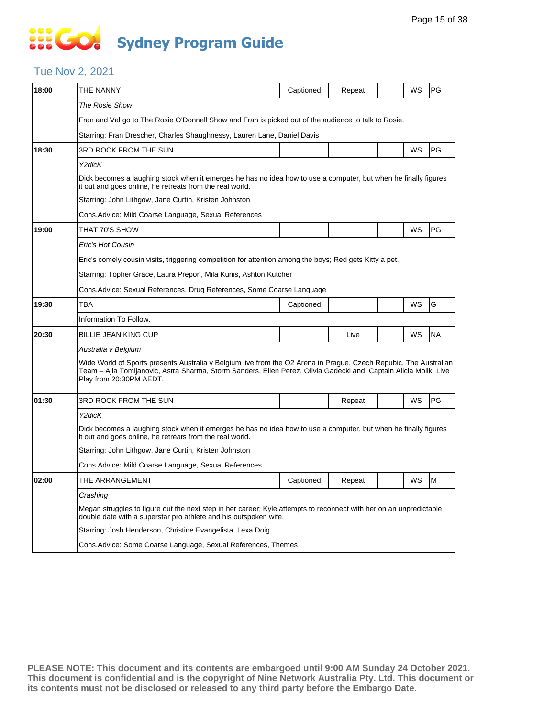## **SOCOL Sydney Program Guide**

#### Tue Nov 2, 2021

| 18:00 | THE NANNY                                                                                                                                                                                                                                                        | Captioned                                                                                            | Repeat |  | WS | PG        |  |  |
|-------|------------------------------------------------------------------------------------------------------------------------------------------------------------------------------------------------------------------------------------------------------------------|------------------------------------------------------------------------------------------------------|--------|--|----|-----------|--|--|
|       | <b>The Rosie Show</b>                                                                                                                                                                                                                                            |                                                                                                      |        |  |    |           |  |  |
|       |                                                                                                                                                                                                                                                                  | Fran and Val go to The Rosie O'Donnell Show and Fran is picked out of the audience to talk to Rosie. |        |  |    |           |  |  |
|       | Starring: Fran Drescher, Charles Shaughnessy, Lauren Lane, Daniel Davis                                                                                                                                                                                          |                                                                                                      |        |  |    |           |  |  |
| 18:30 | 3RD ROCK FROM THE SUN                                                                                                                                                                                                                                            |                                                                                                      |        |  | WS | PG        |  |  |
|       | Y2dicK                                                                                                                                                                                                                                                           |                                                                                                      |        |  |    |           |  |  |
|       | Dick becomes a laughing stock when it emerges he has no idea how to use a computer, but when he finally figures<br>it out and goes online, he retreats from the real world.                                                                                      |                                                                                                      |        |  |    |           |  |  |
|       | Starring: John Lithgow, Jane Curtin, Kristen Johnston                                                                                                                                                                                                            |                                                                                                      |        |  |    |           |  |  |
|       | Cons. Advice: Mild Coarse Language, Sexual References                                                                                                                                                                                                            |                                                                                                      |        |  |    |           |  |  |
| 19:00 | THAT 70'S SHOW                                                                                                                                                                                                                                                   |                                                                                                      |        |  | WS | PG        |  |  |
|       | Eric's Hot Cousin                                                                                                                                                                                                                                                |                                                                                                      |        |  |    |           |  |  |
|       | Eric's comely cousin visits, triggering competition for attention among the boys; Red gets Kitty a pet.                                                                                                                                                          |                                                                                                      |        |  |    |           |  |  |
|       | Starring: Topher Grace, Laura Prepon, Mila Kunis, Ashton Kutcher                                                                                                                                                                                                 |                                                                                                      |        |  |    |           |  |  |
|       | Cons.Advice: Sexual References, Drug References, Some Coarse Language                                                                                                                                                                                            |                                                                                                      |        |  |    |           |  |  |
| 19:30 | TBA                                                                                                                                                                                                                                                              | Captioned                                                                                            |        |  | WS | G         |  |  |
|       | Information To Follow.                                                                                                                                                                                                                                           |                                                                                                      |        |  |    |           |  |  |
| 20:30 | <b>BILLIE JEAN KING CUP</b>                                                                                                                                                                                                                                      |                                                                                                      | Live   |  | WS | <b>NA</b> |  |  |
|       | Australia v Belgium                                                                                                                                                                                                                                              |                                                                                                      |        |  |    |           |  |  |
|       | Wide World of Sports presents Australia v Belgium live from the O2 Arena in Prague, Czech Repubic. The Australian<br>Team – Aila Tomlianovic, Astra Sharma, Storm Sanders, Ellen Perez, Olivia Gadecki and Captain Alicia Molik. Live<br>Play from 20:30PM AEDT. |                                                                                                      |        |  |    |           |  |  |
| 01:30 | 3RD ROCK FROM THE SUN                                                                                                                                                                                                                                            |                                                                                                      | Repeat |  | WS | PG        |  |  |
|       | Y2dicK                                                                                                                                                                                                                                                           |                                                                                                      |        |  |    |           |  |  |
|       | Dick becomes a laughing stock when it emerges he has no idea how to use a computer, but when he finally figures<br>it out and goes online, he retreats from the real world.                                                                                      |                                                                                                      |        |  |    |           |  |  |
|       | Starring: John Lithgow, Jane Curtin, Kristen Johnston                                                                                                                                                                                                            |                                                                                                      |        |  |    |           |  |  |
|       | Cons. Advice: Mild Coarse Language, Sexual References                                                                                                                                                                                                            |                                                                                                      |        |  |    |           |  |  |
| 02:00 | THE ARRANGEMENT                                                                                                                                                                                                                                                  | Captioned                                                                                            | Repeat |  | WS | M         |  |  |
|       | Crashing                                                                                                                                                                                                                                                         |                                                                                                      |        |  |    |           |  |  |
|       | Megan struggles to figure out the next step in her career; Kyle attempts to reconnect with her on an unpredictable<br>double date with a superstar pro athlete and his outspoken wife.                                                                           |                                                                                                      |        |  |    |           |  |  |
|       | Starring: Josh Henderson, Christine Evangelista, Lexa Doig                                                                                                                                                                                                       |                                                                                                      |        |  |    |           |  |  |
|       | Cons. Advice: Some Coarse Language, Sexual References, Themes                                                                                                                                                                                                    |                                                                                                      |        |  |    |           |  |  |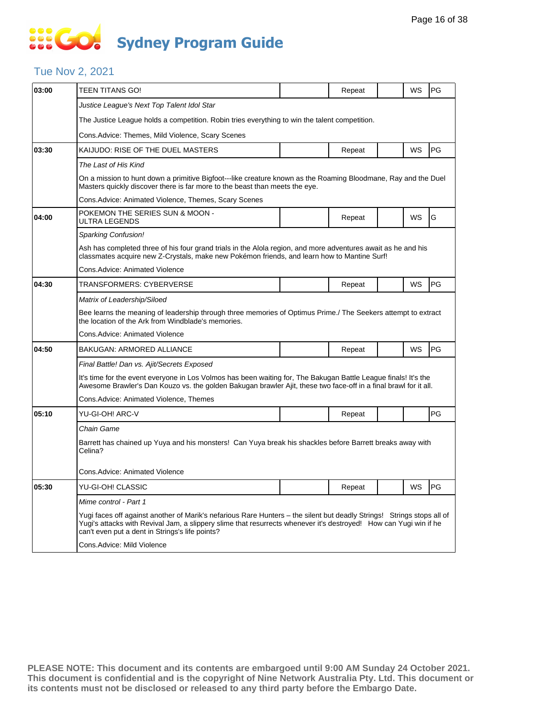#### Tue Nov 2, 2021

| 03:00 | <b>TEEN TITANS GO!</b>                                                                                                                                                                                                                                                                         |  | Repeat |  | WS        | PG |  |  |
|-------|------------------------------------------------------------------------------------------------------------------------------------------------------------------------------------------------------------------------------------------------------------------------------------------------|--|--------|--|-----------|----|--|--|
|       | Justice League's Next Top Talent Idol Star                                                                                                                                                                                                                                                     |  |        |  |           |    |  |  |
|       | The Justice League holds a competition. Robin tries everything to win the talent competition.                                                                                                                                                                                                  |  |        |  |           |    |  |  |
|       | Cons. Advice: Themes, Mild Violence, Scary Scenes                                                                                                                                                                                                                                              |  |        |  |           |    |  |  |
| 03:30 | KAIJUDO: RISE OF THE DUEL MASTERS                                                                                                                                                                                                                                                              |  | Repeat |  | WS        | PG |  |  |
|       | The Last of His Kind                                                                                                                                                                                                                                                                           |  |        |  |           |    |  |  |
|       | On a mission to hunt down a primitive Bigfoot---like creature known as the Roaming Bloodmane, Ray and the Duel<br>Masters quickly discover there is far more to the beast than meets the eye.                                                                                                  |  |        |  |           |    |  |  |
|       | Cons. Advice: Animated Violence, Themes, Scary Scenes                                                                                                                                                                                                                                          |  |        |  |           |    |  |  |
| 04:00 | POKEMON THE SERIES SUN & MOON -<br><b>ULTRA LEGENDS</b>                                                                                                                                                                                                                                        |  | Repeat |  | <b>WS</b> | G  |  |  |
|       | <b>Sparking Confusion!</b>                                                                                                                                                                                                                                                                     |  |        |  |           |    |  |  |
|       | Ash has completed three of his four grand trials in the Alola region, and more adventures await as he and his<br>classmates acquire new Z-Crystals, make new Pokémon friends, and learn how to Mantine Surf!                                                                                   |  |        |  |           |    |  |  |
|       | Cons.Advice: Animated Violence                                                                                                                                                                                                                                                                 |  |        |  |           |    |  |  |
| 04:30 | TRANSFORMERS: CYBERVERSE                                                                                                                                                                                                                                                                       |  | Repeat |  | WS        | PG |  |  |
|       | Matrix of Leadership/Siloed                                                                                                                                                                                                                                                                    |  |        |  |           |    |  |  |
|       | Bee learns the meaning of leadership through three memories of Optimus Prime./ The Seekers attempt to extract<br>the location of the Ark from Windblade's memories.                                                                                                                            |  |        |  |           |    |  |  |
|       | Cons.Advice: Animated Violence                                                                                                                                                                                                                                                                 |  |        |  |           |    |  |  |
| 04:50 | <b>BAKUGAN: ARMORED ALLIANCE</b>                                                                                                                                                                                                                                                               |  | Repeat |  | WS        | PG |  |  |
|       | Final Battle! Dan vs. Ajit/Secrets Exposed                                                                                                                                                                                                                                                     |  |        |  |           |    |  |  |
|       | It's time for the event everyone in Los Volmos has been waiting for, The Bakugan Battle League finals! It's the<br>Awesome Brawler's Dan Kouzo vs. the golden Bakugan brawler Ajit, these two face-off in a final brawl for it all.                                                            |  |        |  |           |    |  |  |
|       | Cons.Advice: Animated Violence, Themes                                                                                                                                                                                                                                                         |  |        |  |           |    |  |  |
| 05:10 | YU-GI-OH! ARC-V                                                                                                                                                                                                                                                                                |  | Repeat |  |           | PG |  |  |
|       | Chain Game                                                                                                                                                                                                                                                                                     |  |        |  |           |    |  |  |
|       | Barrett has chained up Yuya and his monsters! Can Yuya break his shackles before Barrett breaks away with<br>Celina?                                                                                                                                                                           |  |        |  |           |    |  |  |
|       | Cons.Advice: Animated Violence                                                                                                                                                                                                                                                                 |  |        |  |           |    |  |  |
| 05:30 | YU-GI-OH! CLASSIC                                                                                                                                                                                                                                                                              |  | Repeat |  | WS        | PG |  |  |
|       | Mime control - Part 1                                                                                                                                                                                                                                                                          |  |        |  |           |    |  |  |
|       | Yugi faces off against another of Marik's nefarious Rare Hunters – the silent but deadly Strings! Strings stops all of<br>Yugi's attacks with Revival Jam, a slippery slime that resurrects whenever it's destroyed! How can Yugi win if he<br>can't even put a dent in Strings's life points? |  |        |  |           |    |  |  |
|       | Cons.Advice: Mild Violence                                                                                                                                                                                                                                                                     |  |        |  |           |    |  |  |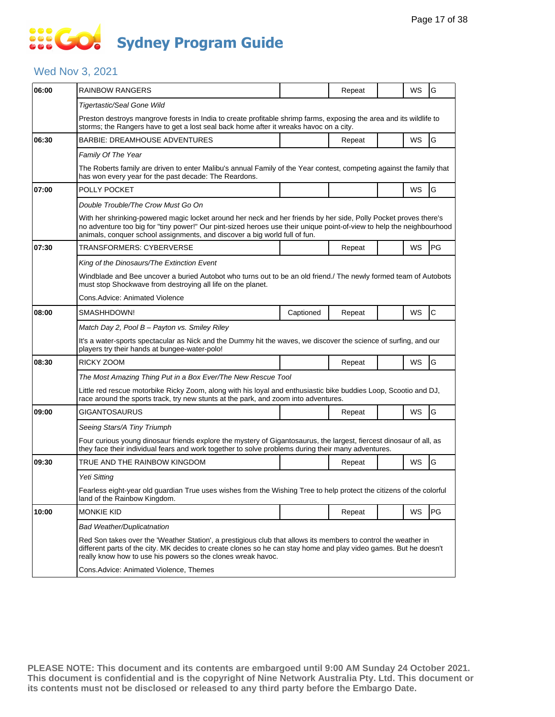# **SOCIOL Sydney Program Guide**

### Wed Nov 3, 2021

| RAINBOW RANGERS                                                                                                                                                                                                                                                                                                         |           | Repeat                                                       |  | WS | G                                                                                                                    |  |  |
|-------------------------------------------------------------------------------------------------------------------------------------------------------------------------------------------------------------------------------------------------------------------------------------------------------------------------|-----------|--------------------------------------------------------------|--|----|----------------------------------------------------------------------------------------------------------------------|--|--|
| Tigertastic/Seal Gone Wild                                                                                                                                                                                                                                                                                              |           |                                                              |  |    |                                                                                                                      |  |  |
| Preston destroys mangrove forests in India to create profitable shrimp farms, exposing the area and its wildlife to<br>storms; the Rangers have to get a lost seal back home after it wreaks havoc on a city.                                                                                                           |           |                                                              |  |    |                                                                                                                      |  |  |
| <b>BARBIE: DREAMHOUSE ADVENTURES</b>                                                                                                                                                                                                                                                                                    |           | Repeat                                                       |  | WS | G                                                                                                                    |  |  |
| Family Of The Year                                                                                                                                                                                                                                                                                                      |           |                                                              |  |    |                                                                                                                      |  |  |
| has won every year for the past decade: The Reardons.                                                                                                                                                                                                                                                                   |           |                                                              |  |    |                                                                                                                      |  |  |
| POLLY POCKET                                                                                                                                                                                                                                                                                                            |           |                                                              |  | WS | G                                                                                                                    |  |  |
| Double Trouble/The Crow Must Go On                                                                                                                                                                                                                                                                                      |           |                                                              |  |    |                                                                                                                      |  |  |
| With her shrinking-powered magic locket around her neck and her friends by her side, Polly Pocket proves there's<br>no adventure too big for "tiny power!" Our pint-sized heroes use their unique point-of-view to help the neighbourhood<br>animals, conquer school assignments, and discover a big world full of fun. |           |                                                              |  |    |                                                                                                                      |  |  |
| TRANSFORMERS: CYBERVERSE                                                                                                                                                                                                                                                                                                |           | Repeat                                                       |  | WS | PG                                                                                                                   |  |  |
| King of the Dinosaurs/The Extinction Event                                                                                                                                                                                                                                                                              |           |                                                              |  |    |                                                                                                                      |  |  |
| Windblade and Bee uncover a buried Autobot who turns out to be an old friend./ The newly formed team of Autobots<br>must stop Shockwave from destroying all life on the planet.                                                                                                                                         |           |                                                              |  |    |                                                                                                                      |  |  |
| Cons. Advice: Animated Violence                                                                                                                                                                                                                                                                                         |           |                                                              |  |    |                                                                                                                      |  |  |
| SMASHHDOWN!                                                                                                                                                                                                                                                                                                             | Captioned | Repeat                                                       |  | WS | C                                                                                                                    |  |  |
| Match Day 2, Pool B - Payton vs. Smiley Riley                                                                                                                                                                                                                                                                           |           |                                                              |  |    |                                                                                                                      |  |  |
| It's a water-sports spectacular as Nick and the Dummy hit the waves, we discover the science of surfing, and our<br>players try their hands at bungee-water-polo!                                                                                                                                                       |           |                                                              |  |    |                                                                                                                      |  |  |
| RICKY ZOOM                                                                                                                                                                                                                                                                                                              |           | Repeat                                                       |  | WS | G                                                                                                                    |  |  |
| The Most Amazing Thing Put in a Box Ever/The New Rescue Tool                                                                                                                                                                                                                                                            |           |                                                              |  |    |                                                                                                                      |  |  |
| Little red rescue motorbike Ricky Zoom, along with his loyal and enthusiastic bike buddies Loop, Scootio and DJ,<br>race around the sports track, try new stunts at the park, and zoom into adventures.                                                                                                                 |           |                                                              |  |    |                                                                                                                      |  |  |
| GIGANTOSAURUS                                                                                                                                                                                                                                                                                                           |           | Repeat                                                       |  | WS | G                                                                                                                    |  |  |
| Seeing Stars/A Tiny Triumph                                                                                                                                                                                                                                                                                             |           |                                                              |  |    |                                                                                                                      |  |  |
| Four curious young dinosaur friends explore the mystery of Gigantosaurus, the largest, fiercest dinosaur of all, as<br>they face their individual fears and work together to solve problems during their many adventures.                                                                                               |           |                                                              |  |    |                                                                                                                      |  |  |
| TRUE AND THE RAINBOW KINGDOM                                                                                                                                                                                                                                                                                            |           | Repeat                                                       |  | WS | G                                                                                                                    |  |  |
| Yeti Sitting                                                                                                                                                                                                                                                                                                            |           |                                                              |  |    |                                                                                                                      |  |  |
| Fearless eight-year old guardian True uses wishes from the Wishing Tree to help protect the citizens of the colorful<br>land of the Rainbow Kingdom.                                                                                                                                                                    |           |                                                              |  |    |                                                                                                                      |  |  |
| MONKIE KID                                                                                                                                                                                                                                                                                                              |           | Repeat                                                       |  | WS | PG                                                                                                                   |  |  |
| Bad Weather/Duplicatnation                                                                                                                                                                                                                                                                                              |           |                                                              |  |    |                                                                                                                      |  |  |
| Red Son takes over the 'Weather Station', a prestigious club that allows its members to control the weather in<br>different parts of the city. MK decides to create clones so he can stay home and play video games. But he doesn't                                                                                     |           |                                                              |  |    |                                                                                                                      |  |  |
| Cons.Advice: Animated Violence, Themes                                                                                                                                                                                                                                                                                  |           |                                                              |  |    |                                                                                                                      |  |  |
|                                                                                                                                                                                                                                                                                                                         |           | really know how to use his powers so the clones wreak havoc. |  |    | The Roberts family are driven to enter Malibu's annual Family of the Year contest, competing against the family that |  |  |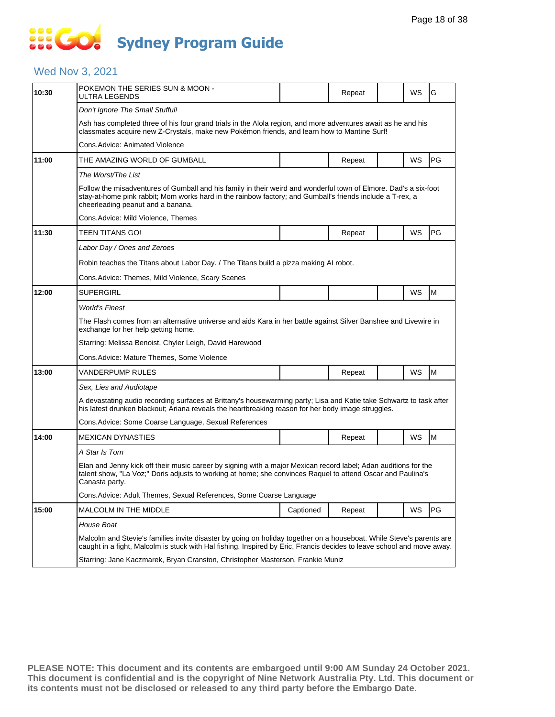### Wed Nov 3, 2021

| 10:30 | POKEMON THE SERIES SUN & MOON -<br>ULTRA LEGENDS                                                                                                                                                                                                                   |           | Repeat |  | WS | G  |  |  |
|-------|--------------------------------------------------------------------------------------------------------------------------------------------------------------------------------------------------------------------------------------------------------------------|-----------|--------|--|----|----|--|--|
|       | Don't Ignore The Small Stufful!                                                                                                                                                                                                                                    |           |        |  |    |    |  |  |
|       | Ash has completed three of his four grand trials in the Alola region, and more adventures await as he and his<br>classmates acquire new Z-Crystals, make new Pokémon friends, and learn how to Mantine Surf!                                                       |           |        |  |    |    |  |  |
|       | Cons.Advice: Animated Violence                                                                                                                                                                                                                                     |           |        |  |    |    |  |  |
| 11:00 | THE AMAZING WORLD OF GUMBALL                                                                                                                                                                                                                                       |           | Repeat |  | WS | PG |  |  |
|       | The Worst/The List                                                                                                                                                                                                                                                 |           |        |  |    |    |  |  |
|       | Follow the misadventures of Gumball and his family in their weird and wonderful town of Elmore. Dad's a six-foot<br>stay-at-home pink rabbit; Mom works hard in the rainbow factory; and Gumball's friends include a T-rex, a<br>cheerleading peanut and a banana. |           |        |  |    |    |  |  |
|       | Cons.Advice: Mild Violence, Themes                                                                                                                                                                                                                                 |           |        |  |    |    |  |  |
| 11:30 | TEEN TITANS GO!                                                                                                                                                                                                                                                    |           | Repeat |  | WS | PG |  |  |
|       | Labor Day / Ones and Zeroes                                                                                                                                                                                                                                        |           |        |  |    |    |  |  |
|       | Robin teaches the Titans about Labor Day. / The Titans build a pizza making AI robot.                                                                                                                                                                              |           |        |  |    |    |  |  |
|       | Cons.Advice: Themes, Mild Violence, Scary Scenes                                                                                                                                                                                                                   |           |        |  |    |    |  |  |
| 12:00 | SUPERGIRL                                                                                                                                                                                                                                                          |           |        |  | WS | M  |  |  |
|       | World's Finest                                                                                                                                                                                                                                                     |           |        |  |    |    |  |  |
|       | The Flash comes from an alternative universe and aids Kara in her battle against Silver Banshee and Livewire in<br>exchange for her help getting home.                                                                                                             |           |        |  |    |    |  |  |
|       | Starring: Melissa Benoist, Chyler Leigh, David Harewood                                                                                                                                                                                                            |           |        |  |    |    |  |  |
|       | Cons.Advice: Mature Themes, Some Violence                                                                                                                                                                                                                          |           |        |  |    |    |  |  |
| 13:00 | VANDERPUMP RULES                                                                                                                                                                                                                                                   |           | Repeat |  | WS | M  |  |  |
|       | Sex, Lies and Audiotape                                                                                                                                                                                                                                            |           |        |  |    |    |  |  |
|       | A devastating audio recording surfaces at Brittany's housewarming party; Lisa and Katie take Schwartz to task after<br>his latest drunken blackout; Ariana reveals the heartbreaking reason for her body image struggles.                                          |           |        |  |    |    |  |  |
|       | Cons.Advice: Some Coarse Language, Sexual References                                                                                                                                                                                                               |           |        |  |    |    |  |  |
| 14:00 | <b>MEXICAN DYNASTIES</b>                                                                                                                                                                                                                                           |           | Repeat |  | WS | M  |  |  |
|       | A Star Is Torn                                                                                                                                                                                                                                                     |           |        |  |    |    |  |  |
|       | Elan and Jenny kick off their music career by signing with a major Mexican record label; Adan auditions for the<br>talent show, "La Voz;" Doris adjusts to working at home; she convinces Raquel to attend Oscar and Paulina's<br>Canasta party.                   |           |        |  |    |    |  |  |
|       | Cons.Advice: Adult Themes, Sexual References, Some Coarse Language                                                                                                                                                                                                 |           |        |  |    |    |  |  |
| 15:00 |                                                                                                                                                                                                                                                                    |           |        |  |    |    |  |  |
|       | MALCOLM IN THE MIDDLE                                                                                                                                                                                                                                              | Captioned | Repeat |  | WS | PG |  |  |
|       | House Boat                                                                                                                                                                                                                                                         |           |        |  |    |    |  |  |
|       | Malcolm and Stevie's families invite disaster by going on holiday together on a houseboat. While Steve's parents are<br>caught in a fight, Malcolm is stuck with Hal fishing. Inspired by Eric, Francis decides to leave school and move away.                     |           |        |  |    |    |  |  |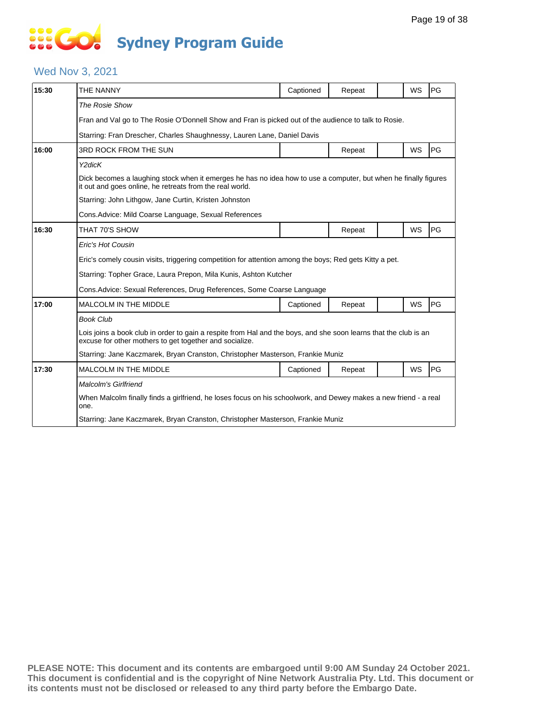#### Wed Nov 3, 2021

| 15:30 | THE NANNY                                                                                                                                                                   | Captioned | Repeat |  | WS        | PG |  |  |
|-------|-----------------------------------------------------------------------------------------------------------------------------------------------------------------------------|-----------|--------|--|-----------|----|--|--|
|       | The Rosie Show                                                                                                                                                              |           |        |  |           |    |  |  |
|       | Fran and Val go to The Rosie O'Donnell Show and Fran is picked out of the audience to talk to Rosie.                                                                        |           |        |  |           |    |  |  |
|       | Starring: Fran Drescher, Charles Shaughnessy, Lauren Lane, Daniel Davis                                                                                                     |           |        |  |           |    |  |  |
| 16:00 | 3RD ROCK FROM THE SUN                                                                                                                                                       |           | Repeat |  | WS        | PG |  |  |
|       | Y2dicK                                                                                                                                                                      |           |        |  |           |    |  |  |
|       | Dick becomes a laughing stock when it emerges he has no idea how to use a computer, but when he finally figures<br>it out and goes online, he retreats from the real world. |           |        |  |           |    |  |  |
|       | Starring: John Lithgow, Jane Curtin, Kristen Johnston                                                                                                                       |           |        |  |           |    |  |  |
|       | Cons. Advice: Mild Coarse Language, Sexual References                                                                                                                       |           |        |  |           |    |  |  |
| 16:30 | THAT 70'S SHOW                                                                                                                                                              |           | Repeat |  | WS        | PG |  |  |
|       | Eric's Hot Cousin                                                                                                                                                           |           |        |  |           |    |  |  |
|       | Eric's comely cousin visits, triggering competition for attention among the boys; Red gets Kitty a pet.                                                                     |           |        |  |           |    |  |  |
|       | Starring: Topher Grace, Laura Prepon, Mila Kunis, Ashton Kutcher                                                                                                            |           |        |  |           |    |  |  |
|       | Cons. Advice: Sexual References, Drug References, Some Coarse Language                                                                                                      |           |        |  |           |    |  |  |
| 17:00 | <b>MALCOLM IN THE MIDDLE</b>                                                                                                                                                | Captioned | Repeat |  | <b>WS</b> | PG |  |  |
|       | <b>Book Club</b>                                                                                                                                                            |           |        |  |           |    |  |  |
|       | Lois joins a book club in order to gain a respite from Hal and the boys, and she soon learns that the club is an<br>excuse for other mothers to get together and socialize. |           |        |  |           |    |  |  |
|       | Starring: Jane Kaczmarek, Bryan Cranston, Christopher Masterson, Frankie Muniz                                                                                              |           |        |  |           |    |  |  |
| 17:30 | <b>MALCOLM IN THE MIDDLE</b>                                                                                                                                                | Captioned | Repeat |  | WS        | PG |  |  |
|       | <b>Malcolm's Girlfriend</b>                                                                                                                                                 |           |        |  |           |    |  |  |
|       | When Malcolm finally finds a girlfriend, he loses focus on his schoolwork, and Dewey makes a new friend - a real<br>one.                                                    |           |        |  |           |    |  |  |
|       | Starring: Jane Kaczmarek, Bryan Cranston, Christopher Masterson, Frankie Muniz                                                                                              |           |        |  |           |    |  |  |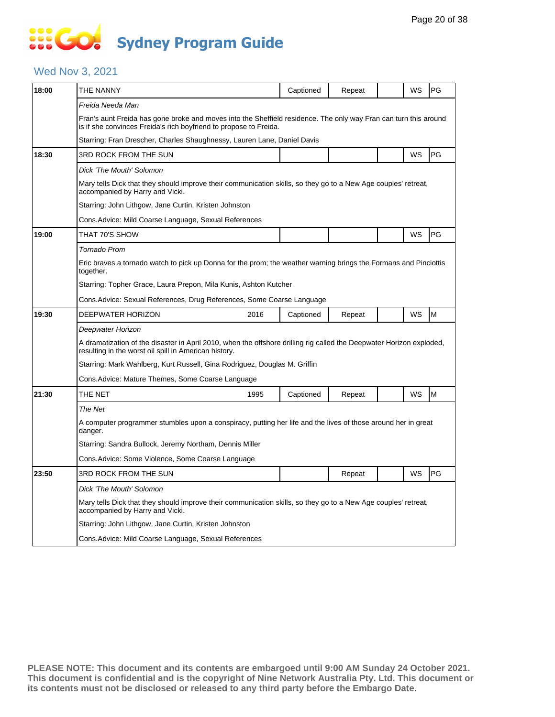#### Wed Nov 3, 2021

| 18:00 | THE NANNY                                                                                                                                                                             | Captioned | Repeat |  | WS | PG |  |
|-------|---------------------------------------------------------------------------------------------------------------------------------------------------------------------------------------|-----------|--------|--|----|----|--|
|       | Freida Needa Man                                                                                                                                                                      |           |        |  |    |    |  |
|       | Fran's aunt Freida has gone broke and moves into the Sheffield residence. The only way Fran can turn this around<br>is if she convinces Freida's rich boyfriend to propose to Freida. |           |        |  |    |    |  |
|       | Starring: Fran Drescher, Charles Shaughnessy, Lauren Lane, Daniel Davis                                                                                                               |           |        |  |    |    |  |
| 18:30 | 3RD ROCK FROM THE SUN                                                                                                                                                                 |           |        |  | WS | PG |  |
|       | Dick 'The Mouth' Solomon                                                                                                                                                              |           |        |  |    |    |  |
|       | Mary tells Dick that they should improve their communication skills, so they go to a New Age couples' retreat,<br>accompanied by Harry and Vicki.                                     |           |        |  |    |    |  |
|       | Starring: John Lithgow, Jane Curtin, Kristen Johnston                                                                                                                                 |           |        |  |    |    |  |
|       | Cons.Advice: Mild Coarse Language, Sexual References                                                                                                                                  |           |        |  |    |    |  |
| 19:00 | THAT 70'S SHOW                                                                                                                                                                        |           |        |  | WS | PG |  |
|       | <b>Tornado Prom</b>                                                                                                                                                                   |           |        |  |    |    |  |
|       | Eric braves a tornado watch to pick up Donna for the prom; the weather warning brings the Formans and Pinciottis<br>together.                                                         |           |        |  |    |    |  |
|       | Starring: Topher Grace, Laura Prepon, Mila Kunis, Ashton Kutcher                                                                                                                      |           |        |  |    |    |  |
|       | Cons. Advice: Sexual References, Drug References, Some Coarse Language                                                                                                                |           |        |  |    |    |  |
| 19:30 | 2016<br>DEEPWATER HORIZON                                                                                                                                                             | Captioned | Repeat |  | WS | M  |  |
|       | Deepwater Horizon                                                                                                                                                                     |           |        |  |    |    |  |
|       | A dramatization of the disaster in April 2010, when the offshore drilling rig called the Deepwater Horizon exploded,<br>resulting in the worst oil spill in American history.         |           |        |  |    |    |  |
|       | Starring: Mark Wahlberg, Kurt Russell, Gina Rodriguez, Douglas M. Griffin                                                                                                             |           |        |  |    |    |  |
|       | Cons. Advice: Mature Themes, Some Coarse Language                                                                                                                                     |           |        |  |    |    |  |
| 21:30 | THE NET<br>1995                                                                                                                                                                       | Captioned | Repeat |  | WS | M  |  |
|       | The Net                                                                                                                                                                               |           |        |  |    |    |  |
|       | A computer programmer stumbles upon a conspiracy, putting her life and the lives of those around her in great<br>danger.                                                              |           |        |  |    |    |  |
|       | Starring: Sandra Bullock, Jeremy Northam, Dennis Miller                                                                                                                               |           |        |  |    |    |  |
|       | Cons.Advice: Some Violence, Some Coarse Language                                                                                                                                      |           |        |  |    |    |  |
| 23:50 | 3RD ROCK FROM THE SUN                                                                                                                                                                 |           | Repeat |  | WS | PG |  |
|       | Dick 'The Mouth' Solomon                                                                                                                                                              |           |        |  |    |    |  |
|       | Mary tells Dick that they should improve their communication skills, so they go to a New Age couples' retreat,<br>accompanied by Harry and Vicki.                                     |           |        |  |    |    |  |
|       | Starring: John Lithgow, Jane Curtin, Kristen Johnston                                                                                                                                 |           |        |  |    |    |  |
|       | Cons. Advice: Mild Coarse Language, Sexual References                                                                                                                                 |           |        |  |    |    |  |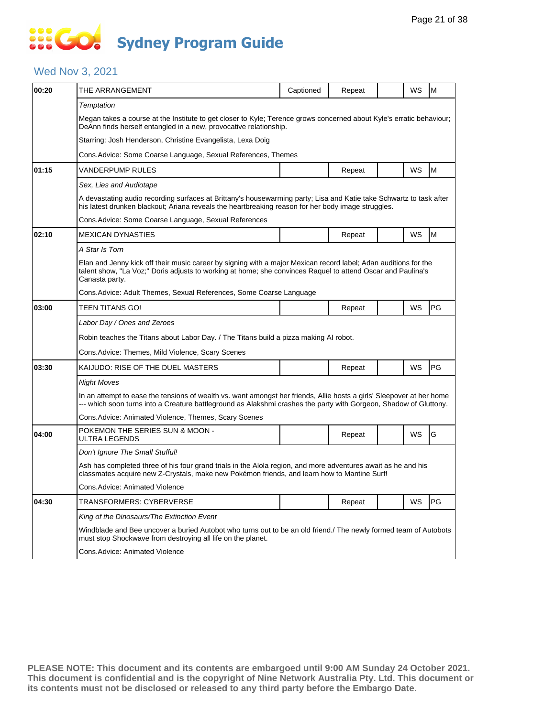#### Wed Nov 3, 2021

| 00:20 | THE ARRANGEMENT                                                                                                                                                                                                                                  | Captioned | Repeat |  | WS | M   |  |  |  |
|-------|--------------------------------------------------------------------------------------------------------------------------------------------------------------------------------------------------------------------------------------------------|-----------|--------|--|----|-----|--|--|--|
|       | <b>Temptation</b>                                                                                                                                                                                                                                |           |        |  |    |     |  |  |  |
|       | Megan takes a course at the Institute to get closer to Kyle; Terence grows concerned about Kyle's erratic behaviour;<br>DeAnn finds herself entangled in a new, provocative relationship.                                                        |           |        |  |    |     |  |  |  |
|       | Starring: Josh Henderson, Christine Evangelista, Lexa Doig                                                                                                                                                                                       |           |        |  |    |     |  |  |  |
|       | Cons. Advice: Some Coarse Language, Sexual References, Themes                                                                                                                                                                                    |           |        |  |    |     |  |  |  |
| 01:15 | VANDERPUMP RULES                                                                                                                                                                                                                                 |           | Repeat |  | WS | M   |  |  |  |
|       | Sex, Lies and Audiotape                                                                                                                                                                                                                          |           |        |  |    |     |  |  |  |
|       | A devastating audio recording surfaces at Brittany's housewarming party; Lisa and Katie take Schwartz to task after<br>his latest drunken blackout; Ariana reveals the heartbreaking reason for her body image struggles.                        |           |        |  |    |     |  |  |  |
|       | Cons. Advice: Some Coarse Language, Sexual References                                                                                                                                                                                            |           |        |  |    |     |  |  |  |
| 02:10 | <b>MEXICAN DYNASTIES</b>                                                                                                                                                                                                                         |           | Repeat |  | WS | M   |  |  |  |
|       | A Star Is Torn                                                                                                                                                                                                                                   |           |        |  |    |     |  |  |  |
|       | Elan and Jenny kick off their music career by signing with a major Mexican record label; Adan auditions for the<br>talent show, "La Voz;" Doris adjusts to working at home; she convinces Raquel to attend Oscar and Paulina's<br>Canasta party. |           |        |  |    |     |  |  |  |
|       | Cons. Advice: Adult Themes, Sexual References, Some Coarse Language                                                                                                                                                                              |           |        |  |    |     |  |  |  |
| 03:00 | <b>TEEN TITANS GO!</b>                                                                                                                                                                                                                           |           | Repeat |  | WS | PG  |  |  |  |
|       | Labor Day / Ones and Zeroes                                                                                                                                                                                                                      |           |        |  |    |     |  |  |  |
|       | Robin teaches the Titans about Labor Day. / The Titans build a pizza making AI robot.                                                                                                                                                            |           |        |  |    |     |  |  |  |
|       | Cons. Advice: Themes, Mild Violence, Scary Scenes                                                                                                                                                                                                |           |        |  |    |     |  |  |  |
| 03:30 | KAIJUDO: RISE OF THE DUEL MASTERS                                                                                                                                                                                                                |           | Repeat |  | WS | PG  |  |  |  |
|       | <b>Night Moves</b>                                                                                                                                                                                                                               |           |        |  |    |     |  |  |  |
|       | In an attempt to ease the tensions of wealth vs. want amongst her friends, Allie hosts a girls' Sleepover at her home<br>--- which soon turns into a Creature battleground as Alakshmi crashes the party with Gorgeon, Shadow of Gluttony.       |           |        |  |    |     |  |  |  |
|       | Cons. Advice: Animated Violence, Themes, Scary Scenes                                                                                                                                                                                            |           |        |  |    |     |  |  |  |
| 04:00 | POKEMON THE SERIES SUN & MOON -<br><b>ULTRA LEGENDS</b>                                                                                                                                                                                          |           | Repeat |  | WS | G   |  |  |  |
|       | Don't Ignore The Small Stufful!                                                                                                                                                                                                                  |           |        |  |    |     |  |  |  |
|       | Ash has completed three of his four grand trials in the Alola region, and more adventures await as he and his<br>classmates acquire new Z-Crystals, make new Pokémon friends, and learn how to Mantine Surf!                                     |           |        |  |    |     |  |  |  |
|       | Cons.Advice: Animated Violence                                                                                                                                                                                                                   |           |        |  |    |     |  |  |  |
| 04:30 | TRANSFORMERS: CYBERVERSE                                                                                                                                                                                                                         |           | Repeat |  | WS | PG. |  |  |  |
|       | King of the Dinosaurs/The Extinction Event                                                                                                                                                                                                       |           |        |  |    |     |  |  |  |
|       | Windblade and Bee uncover a buried Autobot who turns out to be an old friend./ The newly formed team of Autobots<br>must stop Shockwave from destroying all life on the planet.                                                                  |           |        |  |    |     |  |  |  |
|       | Cons. Advice: Animated Violence                                                                                                                                                                                                                  |           |        |  |    |     |  |  |  |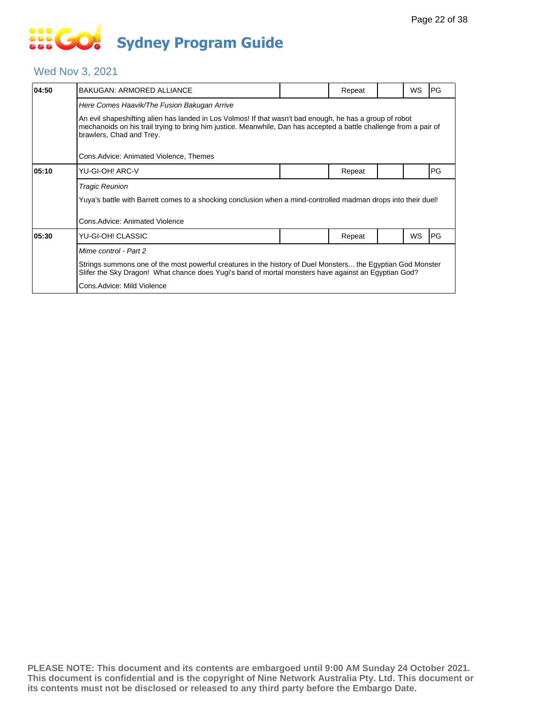### Wed Nov 3, 2021

| 04:50 | BAKUGAN: ARMORED ALLIANCE                                                                                                                                                                                                                                  |  | Repeat |  | WS | PG |  |  |  |
|-------|------------------------------------------------------------------------------------------------------------------------------------------------------------------------------------------------------------------------------------------------------------|--|--------|--|----|----|--|--|--|
|       | Here Comes Haavik/The Fusion Bakugan Arrive                                                                                                                                                                                                                |  |        |  |    |    |  |  |  |
|       | An evil shapeshifting alien has landed in Los Volmos! If that wasn't bad enough, he has a group of robot<br>mechanoids on his trail trying to bring him justice. Meanwhile, Dan has accepted a battle challenge from a pair of<br>brawlers, Chad and Trey. |  |        |  |    |    |  |  |  |
|       | Cons.Advice: Animated Violence, Themes                                                                                                                                                                                                                     |  |        |  |    |    |  |  |  |
| 05:10 | YU-GI-OH! ARC-V                                                                                                                                                                                                                                            |  | Repeat |  |    | PG |  |  |  |
|       | <b>Tragic Reunion</b>                                                                                                                                                                                                                                      |  |        |  |    |    |  |  |  |
|       | Yuya's battle with Barrett comes to a shocking conclusion when a mind-controlled madman drops into their duel!                                                                                                                                             |  |        |  |    |    |  |  |  |
|       | Cons.Advice: Animated Violence                                                                                                                                                                                                                             |  |        |  |    |    |  |  |  |
| 05:30 | YU-GI-OH! CLASSIC                                                                                                                                                                                                                                          |  | Repeat |  | WS | PG |  |  |  |
|       | Mime control - Part 2                                                                                                                                                                                                                                      |  |        |  |    |    |  |  |  |
|       | Strings summons one of the most powerful creatures in the history of Duel Monsters the Egyptian God Monster<br>Slifer the Sky Dragon! What chance does Yugi's band of mortal monsters have against an Egyptian God?                                        |  |        |  |    |    |  |  |  |
|       | Cons.Advice: Mild Violence                                                                                                                                                                                                                                 |  |        |  |    |    |  |  |  |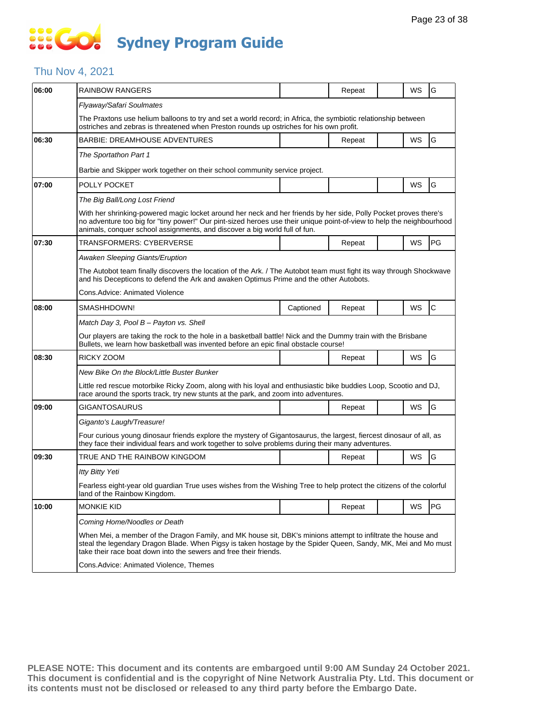### **SECT Sydney Program Guide**

### Thu Nov 4, 2021

| 06:00 | RAINBOW RANGERS                                                                                                                                                                                                                                                                                                         |           | Repeat |  | WS        | G             |  |  |
|-------|-------------------------------------------------------------------------------------------------------------------------------------------------------------------------------------------------------------------------------------------------------------------------------------------------------------------------|-----------|--------|--|-----------|---------------|--|--|
|       | Flyaway/Safari Soulmates                                                                                                                                                                                                                                                                                                |           |        |  |           |               |  |  |
|       | The Praxtons use helium balloons to try and set a world record; in Africa, the symbiotic relationship between<br>ostriches and zebras is threatened when Preston rounds up ostriches for his own profit.                                                                                                                |           |        |  |           |               |  |  |
| 06:30 | BARBIE: DREAMHOUSE ADVENTURES                                                                                                                                                                                                                                                                                           |           | Repeat |  | WS        | G             |  |  |
|       | The Sportathon Part 1                                                                                                                                                                                                                                                                                                   |           |        |  |           |               |  |  |
|       | Barbie and Skipper work together on their school community service project.                                                                                                                                                                                                                                             |           |        |  |           |               |  |  |
| 07:00 | POLLY POCKET                                                                                                                                                                                                                                                                                                            |           |        |  | WS        | G             |  |  |
|       | The Big Ball/Long Lost Friend                                                                                                                                                                                                                                                                                           |           |        |  |           |               |  |  |
|       | With her shrinking-powered magic locket around her neck and her friends by her side, Polly Pocket proves there's<br>no adventure too big for "tiny power!" Our pint-sized heroes use their unique point-of-view to help the neighbourhood<br>animals, conquer school assignments, and discover a big world full of fun. |           |        |  |           |               |  |  |
| 07:30 | TRANSFORMERS: CYBERVERSE                                                                                                                                                                                                                                                                                                |           | Repeat |  | WS        | PG            |  |  |
|       | Awaken Sleeping Giants/Eruption                                                                                                                                                                                                                                                                                         |           |        |  |           |               |  |  |
|       | The Autobot team finally discovers the location of the Ark. / The Autobot team must fight its way through Shockwave<br>and his Decepticons to defend the Ark and awaken Optimus Prime and the other Autobots.                                                                                                           |           |        |  |           |               |  |  |
|       | Cons.Advice: Animated Violence                                                                                                                                                                                                                                                                                          |           |        |  |           |               |  |  |
| 08:00 | SMASHHDOWN!                                                                                                                                                                                                                                                                                                             | Captioned | Repeat |  | WS        | $\mathsf{C}$  |  |  |
|       | Match Day 3, Pool B - Payton vs. Shell                                                                                                                                                                                                                                                                                  |           |        |  |           |               |  |  |
|       | Our players are taking the rock to the hole in a basketball battle! Nick and the Dummy train with the Brisbane<br>Bullets, we learn how basketball was invented before an epic final obstacle course!                                                                                                                   |           |        |  |           |               |  |  |
| 08:30 | RICKY ZOOM                                                                                                                                                                                                                                                                                                              |           | Repeat |  | WS        | G             |  |  |
|       | New Bike On the Block/Little Buster Bunker                                                                                                                                                                                                                                                                              |           |        |  |           |               |  |  |
|       | Little red rescue motorbike Ricky Zoom, along with his loyal and enthusiastic bike buddies Loop, Scootio and DJ,<br>race around the sports track, try new stunts at the park, and zoom into adventures.                                                                                                                 |           |        |  |           |               |  |  |
| 09:00 | GIGANTOSAURUS                                                                                                                                                                                                                                                                                                           |           | Repeat |  | WS        | G             |  |  |
|       | Giganto's Laugh/Treasure!                                                                                                                                                                                                                                                                                               |           |        |  |           |               |  |  |
|       | Four curious young dinosaur friends explore the mystery of Gigantosaurus, the largest, fiercest dinosaur of all, as<br>they face their individual fears and work together to solve problems during their many adventures.                                                                                               |           |        |  |           |               |  |  |
| 09:30 | TRUE AND THE RAINBOW KINGDOM                                                                                                                                                                                                                                                                                            |           | Repeat |  | <b>WS</b> | ${\mathsf G}$ |  |  |
|       | <b>Itty Bitty Yeti</b>                                                                                                                                                                                                                                                                                                  |           |        |  |           |               |  |  |
|       | Fearless eight-year old guardian True uses wishes from the Wishing Tree to help protect the citizens of the colorful<br>land of the Rainbow Kingdom.                                                                                                                                                                    |           |        |  |           |               |  |  |
| 10:00 | <b>MONKIE KID</b>                                                                                                                                                                                                                                                                                                       |           | Repeat |  | <b>WS</b> | PG            |  |  |
|       | Coming Home/Noodles or Death                                                                                                                                                                                                                                                                                            |           |        |  |           |               |  |  |
|       | When Mei, a member of the Dragon Family, and MK house sit, DBK's minions attempt to infiltrate the house and<br>steal the legendary Dragon Blade. When Pigsy is taken hostage by the Spider Queen, Sandy, MK, Mei and Mo must<br>take their race boat down into the sewers and free their friends.                      |           |        |  |           |               |  |  |
|       | Cons.Advice: Animated Violence, Themes                                                                                                                                                                                                                                                                                  |           |        |  |           |               |  |  |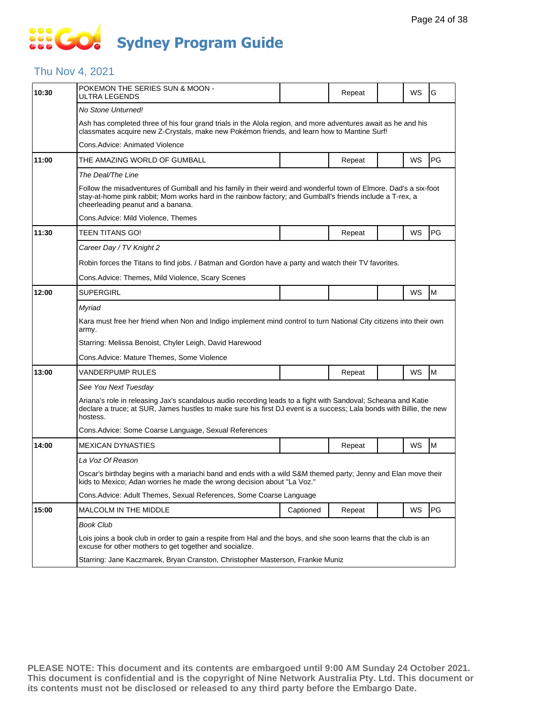### **SOC Sydney Program Guide**

### Thu Nov 4, 2021

| 10:30 | POKEMON THE SERIES SUN & MOON -<br>ULTRA LEGENDS                                                                                                                                                                                                                   |           | Repeat |  | WS | G  |  |  |  |
|-------|--------------------------------------------------------------------------------------------------------------------------------------------------------------------------------------------------------------------------------------------------------------------|-----------|--------|--|----|----|--|--|--|
|       | No Stone Unturned!                                                                                                                                                                                                                                                 |           |        |  |    |    |  |  |  |
|       | Ash has completed three of his four grand trials in the Alola region, and more adventures await as he and his<br>classmates acquire new Z-Crystals, make new Pokémon friends, and learn how to Mantine Surf!                                                       |           |        |  |    |    |  |  |  |
|       | Cons. Advice: Animated Violence                                                                                                                                                                                                                                    |           |        |  |    |    |  |  |  |
| 11:00 | THE AMAZING WORLD OF GUMBALL                                                                                                                                                                                                                                       |           | Repeat |  | WS | PG |  |  |  |
|       | The Deal/The Line                                                                                                                                                                                                                                                  |           |        |  |    |    |  |  |  |
|       | Follow the misadventures of Gumball and his family in their weird and wonderful town of Elmore. Dad's a six-foot<br>stay-at-home pink rabbit; Mom works hard in the rainbow factory; and Gumball's friends include a T-rex, a<br>cheerleading peanut and a banana. |           |        |  |    |    |  |  |  |
|       | Cons.Advice: Mild Violence, Themes                                                                                                                                                                                                                                 |           |        |  |    |    |  |  |  |
| 11:30 | TEEN TITANS GO!                                                                                                                                                                                                                                                    |           | Repeat |  | WS | PG |  |  |  |
|       | Career Day / TV Knight 2                                                                                                                                                                                                                                           |           |        |  |    |    |  |  |  |
|       | Robin forces the Titans to find jobs. / Batman and Gordon have a party and watch their TV favorites.                                                                                                                                                               |           |        |  |    |    |  |  |  |
|       | Cons. Advice: Themes, Mild Violence, Scary Scenes                                                                                                                                                                                                                  |           |        |  |    |    |  |  |  |
| 12:00 | <b>SUPERGIRL</b>                                                                                                                                                                                                                                                   |           |        |  | WS | M  |  |  |  |
|       | Myriad                                                                                                                                                                                                                                                             |           |        |  |    |    |  |  |  |
|       | Kara must free her friend when Non and Indigo implement mind control to turn National City citizens into their own<br>army.                                                                                                                                        |           |        |  |    |    |  |  |  |
|       | Starring: Melissa Benoist, Chyler Leigh, David Harewood                                                                                                                                                                                                            |           |        |  |    |    |  |  |  |
|       | Cons.Advice: Mature Themes, Some Violence                                                                                                                                                                                                                          |           |        |  |    |    |  |  |  |
| 13:00 | VANDERPUMP RULES                                                                                                                                                                                                                                                   |           | Repeat |  | WS | M  |  |  |  |
|       | See You Next Tuesday                                                                                                                                                                                                                                               |           |        |  |    |    |  |  |  |
|       | Ariana's role in releasing Jax's scandalous audio recording leads to a fight with Sandoval; Scheana and Katie<br>declare a truce; at SUR, James hustles to make sure his first DJ event is a success; Lala bonds with Billie, the new<br>hostess.                  |           |        |  |    |    |  |  |  |
|       | Cons. Advice: Some Coarse Language, Sexual References                                                                                                                                                                                                              |           |        |  |    |    |  |  |  |
| 14:00 | <b>MEXICAN DYNASTIES</b>                                                                                                                                                                                                                                           |           | Repeat |  | WS | M  |  |  |  |
|       | La Voz Of Reason                                                                                                                                                                                                                                                   |           |        |  |    |    |  |  |  |
|       | Oscar's birthday begins with a mariachi band and ends with a wild S&M themed party; Jenny and Elan move their<br>kids to Mexico; Adan worries he made the wrong decision about "La Voz."                                                                           |           |        |  |    |    |  |  |  |
|       | Cons. Advice: Adult Themes, Sexual References, Some Coarse Language                                                                                                                                                                                                |           |        |  |    |    |  |  |  |
| 15:00 | MALCOLM IN THE MIDDLE                                                                                                                                                                                                                                              | Captioned | Repeat |  | WS | PG |  |  |  |
|       | <b>Book Club</b>                                                                                                                                                                                                                                                   |           |        |  |    |    |  |  |  |
|       | Lois joins a book club in order to gain a respite from Hal and the boys, and she soon learns that the club is an<br>excuse for other mothers to get together and socialize.                                                                                        |           |        |  |    |    |  |  |  |
|       | Starring: Jane Kaczmarek, Bryan Cranston, Christopher Masterson, Frankie Muniz                                                                                                                                                                                     |           |        |  |    |    |  |  |  |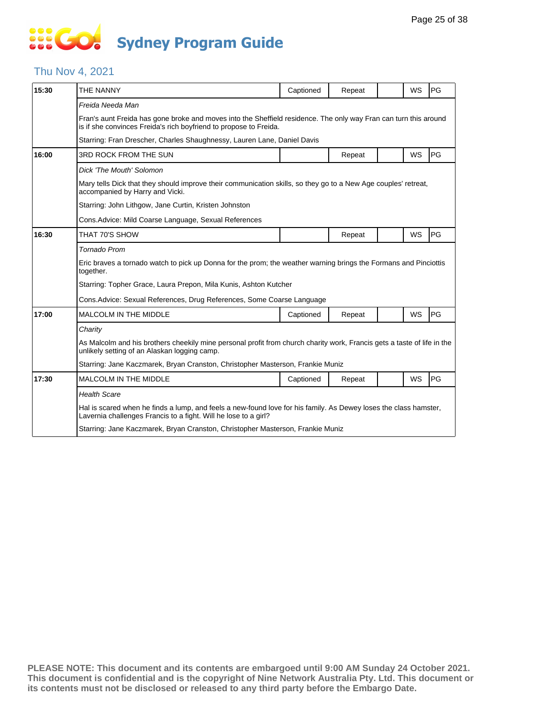# **... Go Sydney Program Guide**

### Thu Nov 4, 2021

| 15:30 | THE NANNY                                                                                                                                                                             | Captioned | Repeat |  | WS        | PG |  |  |  |
|-------|---------------------------------------------------------------------------------------------------------------------------------------------------------------------------------------|-----------|--------|--|-----------|----|--|--|--|
|       | Freida Needa Man                                                                                                                                                                      |           |        |  |           |    |  |  |  |
|       | Fran's aunt Freida has gone broke and moves into the Sheffield residence. The only way Fran can turn this around<br>is if she convinces Freida's rich boyfriend to propose to Freida. |           |        |  |           |    |  |  |  |
|       | Starring: Fran Drescher, Charles Shaughnessy, Lauren Lane, Daniel Davis                                                                                                               |           |        |  |           |    |  |  |  |
| 16:00 | 3RD ROCK FROM THE SUN                                                                                                                                                                 |           | Repeat |  | <b>WS</b> | PG |  |  |  |
|       | Dick 'The Mouth' Solomon                                                                                                                                                              |           |        |  |           |    |  |  |  |
|       | Mary tells Dick that they should improve their communication skills, so they go to a New Age couples' retreat,<br>accompanied by Harry and Vicki.                                     |           |        |  |           |    |  |  |  |
|       | Starring: John Lithgow, Jane Curtin, Kristen Johnston                                                                                                                                 |           |        |  |           |    |  |  |  |
|       | Cons. Advice: Mild Coarse Language, Sexual References                                                                                                                                 |           |        |  |           |    |  |  |  |
| 16:30 | THAT 70'S SHOW                                                                                                                                                                        |           | Repeat |  | WS        | PG |  |  |  |
|       | <b>Tornado Prom</b>                                                                                                                                                                   |           |        |  |           |    |  |  |  |
|       | Eric braves a tornado watch to pick up Donna for the prom; the weather warning brings the Formans and Pinciottis<br>together.                                                         |           |        |  |           |    |  |  |  |
|       | Starring: Topher Grace, Laura Prepon, Mila Kunis, Ashton Kutcher                                                                                                                      |           |        |  |           |    |  |  |  |
|       | Cons. Advice: Sexual References, Drug References, Some Coarse Language                                                                                                                |           |        |  |           |    |  |  |  |
| 17:00 | MALCOLM IN THE MIDDLE                                                                                                                                                                 | Captioned | Repeat |  | WS        | PG |  |  |  |
|       | Charity                                                                                                                                                                               |           |        |  |           |    |  |  |  |
|       | As Malcolm and his brothers cheekily mine personal profit from church charity work, Francis gets a taste of life in the<br>unlikely setting of an Alaskan logging camp.               |           |        |  |           |    |  |  |  |
|       | Starring: Jane Kaczmarek, Bryan Cranston, Christopher Masterson, Frankie Muniz                                                                                                        |           |        |  |           |    |  |  |  |
| 17:30 | <b>MALCOLM IN THE MIDDLE</b>                                                                                                                                                          | Captioned | Repeat |  | WS        | PG |  |  |  |
|       | <b>Health Scare</b>                                                                                                                                                                   |           |        |  |           |    |  |  |  |
|       | Hal is scared when he finds a lump, and feels a new-found love for his family. As Dewey loses the class hamster,<br>Lavernia challenges Francis to a fight. Will he lose to a girl?   |           |        |  |           |    |  |  |  |
|       | Starring: Jane Kaczmarek, Bryan Cranston, Christopher Masterson, Frankie Muniz                                                                                                        |           |        |  |           |    |  |  |  |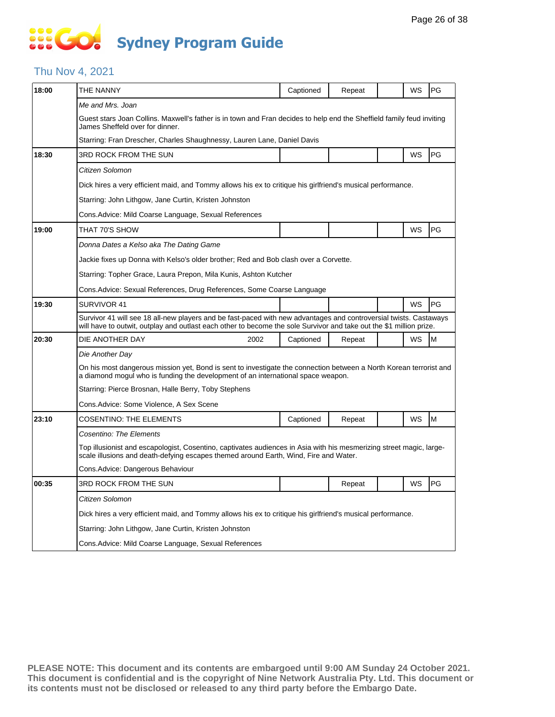### Thu Nov 4, 2021

| 18:00 | THE NANNY                                                                                                                                                                                                                                | Captioned                                                                                                                                                                                                   | Repeat |  | WS        | PG |  |  |  |  |
|-------|------------------------------------------------------------------------------------------------------------------------------------------------------------------------------------------------------------------------------------------|-------------------------------------------------------------------------------------------------------------------------------------------------------------------------------------------------------------|--------|--|-----------|----|--|--|--|--|
|       | Me and Mrs. Joan                                                                                                                                                                                                                         |                                                                                                                                                                                                             |        |  |           |    |  |  |  |  |
|       | Guest stars Joan Collins. Maxwell's father is in town and Fran decides to help end the Sheffield family feud inviting<br>James Sheffeld over for dinner.                                                                                 |                                                                                                                                                                                                             |        |  |           |    |  |  |  |  |
|       | Starring: Fran Drescher, Charles Shaughnessy, Lauren Lane, Daniel Davis                                                                                                                                                                  |                                                                                                                                                                                                             |        |  |           |    |  |  |  |  |
| 18:30 | 3RD ROCK FROM THE SUN                                                                                                                                                                                                                    |                                                                                                                                                                                                             |        |  | <b>WS</b> | PG |  |  |  |  |
|       | Citizen Solomon                                                                                                                                                                                                                          |                                                                                                                                                                                                             |        |  |           |    |  |  |  |  |
|       | Dick hires a very efficient maid, and Tommy allows his ex to critique his girlfriend's musical performance.                                                                                                                              |                                                                                                                                                                                                             |        |  |           |    |  |  |  |  |
|       | Starring: John Lithgow, Jane Curtin, Kristen Johnston                                                                                                                                                                                    |                                                                                                                                                                                                             |        |  |           |    |  |  |  |  |
|       | Cons. Advice: Mild Coarse Language, Sexual References                                                                                                                                                                                    |                                                                                                                                                                                                             |        |  |           |    |  |  |  |  |
| 19:00 | THAT 70'S SHOW                                                                                                                                                                                                                           |                                                                                                                                                                                                             |        |  | WS        | PG |  |  |  |  |
|       | Donna Dates a Kelso aka The Dating Game                                                                                                                                                                                                  |                                                                                                                                                                                                             |        |  |           |    |  |  |  |  |
|       | Jackie fixes up Donna with Kelso's older brother; Red and Bob clash over a Corvette.                                                                                                                                                     |                                                                                                                                                                                                             |        |  |           |    |  |  |  |  |
|       | Starring: Topher Grace, Laura Prepon, Mila Kunis, Ashton Kutcher                                                                                                                                                                         |                                                                                                                                                                                                             |        |  |           |    |  |  |  |  |
|       | Cons. Advice: Sexual References, Drug References, Some Coarse Language                                                                                                                                                                   |                                                                                                                                                                                                             |        |  |           |    |  |  |  |  |
| 19:30 | SURVIVOR 41                                                                                                                                                                                                                              |                                                                                                                                                                                                             |        |  | WS        | PG |  |  |  |  |
|       | Survivor 41 will see 18 all-new players and be fast-paced with new advantages and controversial twists. Castaways<br>will have to outwit, outplay and outlast each other to become the sole Survivor and take out the \$1 million prize. |                                                                                                                                                                                                             |        |  |           |    |  |  |  |  |
| 20:30 | DIE ANOTHER DAY<br>2002                                                                                                                                                                                                                  | Captioned                                                                                                                                                                                                   | Repeat |  | WS        | M  |  |  |  |  |
|       | Die Another Day                                                                                                                                                                                                                          |                                                                                                                                                                                                             |        |  |           |    |  |  |  |  |
|       | On his most dangerous mission yet, Bond is sent to investigate the connection between a North Korean terrorist and<br>a diamond mogul who is funding the development of an international space weapon.                                   |                                                                                                                                                                                                             |        |  |           |    |  |  |  |  |
|       | Starring: Pierce Brosnan, Halle Berry, Toby Stephens                                                                                                                                                                                     |                                                                                                                                                                                                             |        |  |           |    |  |  |  |  |
|       | Cons. Advice: Some Violence, A Sex Scene                                                                                                                                                                                                 |                                                                                                                                                                                                             |        |  |           |    |  |  |  |  |
| 23:10 | COSENTINO: THE ELEMENTS                                                                                                                                                                                                                  | Captioned                                                                                                                                                                                                   | Repeat |  | WS        | M  |  |  |  |  |
|       | Cosentino: The Elements                                                                                                                                                                                                                  |                                                                                                                                                                                                             |        |  |           |    |  |  |  |  |
|       |                                                                                                                                                                                                                                          | Top illusionist and escapologist, Cosentino, captivates audiences in Asia with his mesmerizing street magic, large-<br>scale illusions and death-defying escapes themed around Earth, Wind, Fire and Water. |        |  |           |    |  |  |  |  |
|       | Cons.Advice: Dangerous Behaviour                                                                                                                                                                                                         |                                                                                                                                                                                                             |        |  |           |    |  |  |  |  |
| 00:35 | 3RD ROCK FROM THE SUN                                                                                                                                                                                                                    |                                                                                                                                                                                                             | Repeat |  | WS        | PG |  |  |  |  |
|       | Citizen Solomon                                                                                                                                                                                                                          |                                                                                                                                                                                                             |        |  |           |    |  |  |  |  |
|       | Dick hires a very efficient maid, and Tommy allows his ex to critique his girlfriend's musical performance.                                                                                                                              |                                                                                                                                                                                                             |        |  |           |    |  |  |  |  |
|       | Starring: John Lithgow, Jane Curtin, Kristen Johnston                                                                                                                                                                                    |                                                                                                                                                                                                             |        |  |           |    |  |  |  |  |
|       | Cons. Advice: Mild Coarse Language, Sexual References                                                                                                                                                                                    |                                                                                                                                                                                                             |        |  |           |    |  |  |  |  |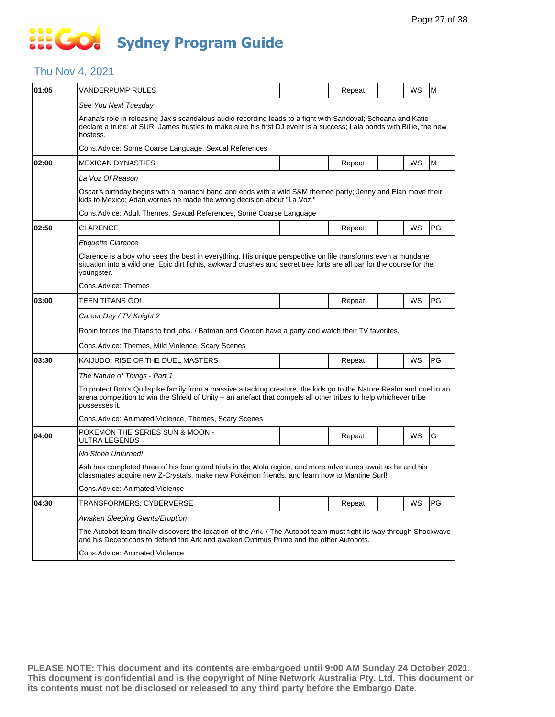### Thu Nov 4, 2021

| 01:05 | VANDERPUMP RULES                                                                                                                                                                                                                                          |                                                                                                                                                                                                                                      | Repeat |  | WS | M  |  |  |  |
|-------|-----------------------------------------------------------------------------------------------------------------------------------------------------------------------------------------------------------------------------------------------------------|--------------------------------------------------------------------------------------------------------------------------------------------------------------------------------------------------------------------------------------|--------|--|----|----|--|--|--|
|       | See You Next Tuesday                                                                                                                                                                                                                                      |                                                                                                                                                                                                                                      |        |  |    |    |  |  |  |
|       | Ariana's role in releasing Jax's scandalous audio recording leads to a fight with Sandoval; Scheana and Katie<br>declare a truce; at SUR, James hustles to make sure his first DJ event is a success; Lala bonds with Billie, the new<br>hostess.         |                                                                                                                                                                                                                                      |        |  |    |    |  |  |  |
|       | Cons. Advice: Some Coarse Language, Sexual References                                                                                                                                                                                                     |                                                                                                                                                                                                                                      |        |  |    |    |  |  |  |
| 02:00 | <b>MEXICAN DYNASTIES</b>                                                                                                                                                                                                                                  |                                                                                                                                                                                                                                      | Repeat |  | WS | M  |  |  |  |
|       | La Voz Of Reason                                                                                                                                                                                                                                          |                                                                                                                                                                                                                                      |        |  |    |    |  |  |  |
|       | Oscar's birthday begins with a mariachi band and ends with a wild S&M themed party; Jenny and Elan move their<br>kids to Mexico; Adan worries he made the wrong decision about "La Voz."                                                                  |                                                                                                                                                                                                                                      |        |  |    |    |  |  |  |
|       | Cons. Advice: Adult Themes, Sexual References, Some Coarse Language                                                                                                                                                                                       |                                                                                                                                                                                                                                      |        |  |    |    |  |  |  |
| 02:50 | CLARENCE                                                                                                                                                                                                                                                  |                                                                                                                                                                                                                                      | Repeat |  | WS | PG |  |  |  |
|       | Etiquette Clarence                                                                                                                                                                                                                                        |                                                                                                                                                                                                                                      |        |  |    |    |  |  |  |
|       | youngster.                                                                                                                                                                                                                                                | Clarence is a boy who sees the best in everything. His unique perspective on life transforms even a mundane<br>situation into a wild one. Epic dirt fights, awkward crushes and secret tree forts are all par for the course for the |        |  |    |    |  |  |  |
|       | Cons.Advice: Themes                                                                                                                                                                                                                                       |                                                                                                                                                                                                                                      |        |  |    |    |  |  |  |
| 03:00 | TEEN TITANS GO!                                                                                                                                                                                                                                           |                                                                                                                                                                                                                                      | Repeat |  | WS | PG |  |  |  |
|       | Career Day / TV Knight 2                                                                                                                                                                                                                                  |                                                                                                                                                                                                                                      |        |  |    |    |  |  |  |
|       | Robin forces the Titans to find jobs. / Batman and Gordon have a party and watch their TV favorites.                                                                                                                                                      |                                                                                                                                                                                                                                      |        |  |    |    |  |  |  |
|       | Cons. Advice: Themes, Mild Violence, Scary Scenes                                                                                                                                                                                                         |                                                                                                                                                                                                                                      |        |  |    |    |  |  |  |
| 03:30 | KAIJUDO: RISE OF THE DUEL MASTERS                                                                                                                                                                                                                         |                                                                                                                                                                                                                                      | Repeat |  | WS | PG |  |  |  |
|       | The Nature of Things - Part 1                                                                                                                                                                                                                             |                                                                                                                                                                                                                                      |        |  |    |    |  |  |  |
|       | To protect Bob's Quillspike family from a massive attacking creature, the kids go to the Nature Realm and duel in an<br>arena competition to win the Shield of Unity – an artefact that compels all other tribes to help whichever tribe<br>possesses it. |                                                                                                                                                                                                                                      |        |  |    |    |  |  |  |
|       | Cons. Advice: Animated Violence, Themes, Scary Scenes                                                                                                                                                                                                     |                                                                                                                                                                                                                                      |        |  |    |    |  |  |  |
| 04:00 | POKEMON THE SERIES SUN & MOON -<br>ULTRA LEGENDS                                                                                                                                                                                                          |                                                                                                                                                                                                                                      | Repeat |  | WS | G  |  |  |  |
|       | No Stone Unturned!                                                                                                                                                                                                                                        |                                                                                                                                                                                                                                      |        |  |    |    |  |  |  |
|       | Ash has completed three of his four grand trials in the Alola region, and more adventures await as he and his<br>classmates acquire new Z-Crystals, make new Pokémon friends, and learn how to Mantine Surf!                                              |                                                                                                                                                                                                                                      |        |  |    |    |  |  |  |
|       | Cons.Advice: Animated Violence                                                                                                                                                                                                                            |                                                                                                                                                                                                                                      |        |  |    |    |  |  |  |
| 04:30 | <b>TRANSFORMERS: CYBERVERSE</b>                                                                                                                                                                                                                           |                                                                                                                                                                                                                                      | Repeat |  | WS | PG |  |  |  |
|       | Awaken Sleeping Giants/Eruption                                                                                                                                                                                                                           |                                                                                                                                                                                                                                      |        |  |    |    |  |  |  |
|       | The Autobot team finally discovers the location of the Ark. / The Autobot team must fight its way through Shockwave<br>and his Decepticons to defend the Ark and awaken Optimus Prime and the other Autobots.                                             |                                                                                                                                                                                                                                      |        |  |    |    |  |  |  |
|       | Cons.Advice: Animated Violence                                                                                                                                                                                                                            |                                                                                                                                                                                                                                      |        |  |    |    |  |  |  |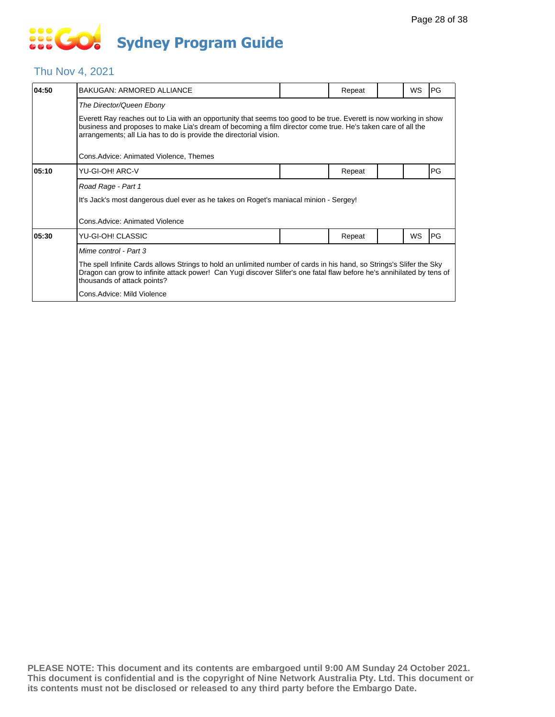#### Thu Nov 4, 2021

| 04:50 | <b>BAKUGAN: ARMORED ALLIANCE</b>                                                                                                                                                                                                                                                                       |  | Repeat |  | <b>WS</b> | PG |  |  |  |  |
|-------|--------------------------------------------------------------------------------------------------------------------------------------------------------------------------------------------------------------------------------------------------------------------------------------------------------|--|--------|--|-----------|----|--|--|--|--|
|       | The Director/Queen Ebony                                                                                                                                                                                                                                                                               |  |        |  |           |    |  |  |  |  |
|       | Everett Ray reaches out to Lia with an opportunity that seems too good to be true. Everett is now working in show<br>business and proposes to make Lia's dream of becoming a film director come true. He's taken care of all the<br>arrangements; all Lia has to do is provide the directorial vision. |  |        |  |           |    |  |  |  |  |
|       | Cons. Advice: Animated Violence, Themes                                                                                                                                                                                                                                                                |  |        |  |           |    |  |  |  |  |
| 05:10 | YU-GI-OH! ARC-V                                                                                                                                                                                                                                                                                        |  | Repeat |  |           | PG |  |  |  |  |
|       | Road Rage - Part 1                                                                                                                                                                                                                                                                                     |  |        |  |           |    |  |  |  |  |
|       | It's Jack's most dangerous duel ever as he takes on Roget's maniacal minion - Sergey!                                                                                                                                                                                                                  |  |        |  |           |    |  |  |  |  |
|       | Cons. Advice: Animated Violence                                                                                                                                                                                                                                                                        |  |        |  |           |    |  |  |  |  |
| 05:30 | YU-GI-OH! CLASSIC                                                                                                                                                                                                                                                                                      |  | Repeat |  | WS        | PG |  |  |  |  |
|       | Mime control - Part 3                                                                                                                                                                                                                                                                                  |  |        |  |           |    |  |  |  |  |
|       | The spell Infinite Cards allows Strings to hold an unlimited number of cards in his hand, so Strings's Slifer the Sky<br>Dragon can grow to infinite attack power! Can Yugi discover Slifer's one fatal flaw before he's annihilated by tens of<br>thousands of attack points?                         |  |        |  |           |    |  |  |  |  |
|       | Cons.Advice: Mild Violence                                                                                                                                                                                                                                                                             |  |        |  |           |    |  |  |  |  |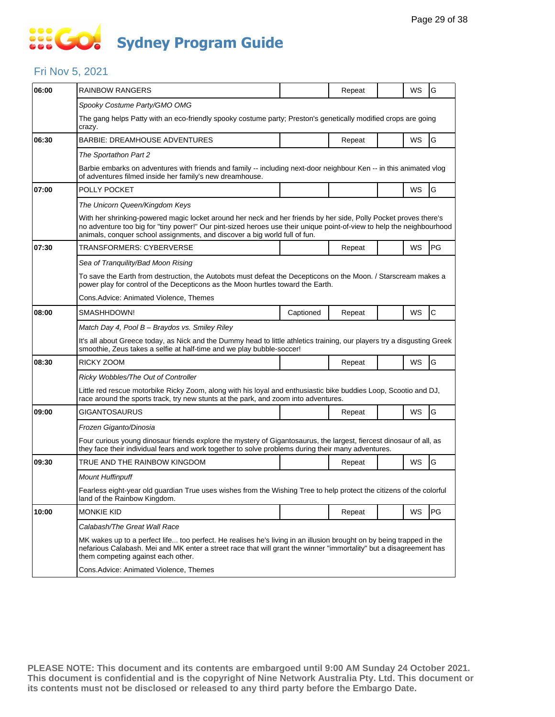### Fri Nov 5, 2021

| 06:00 | RAINBOW RANGERS                                                                                                                                                                                                                                                                                                         |           | Repeat |  | WS | G            |  |  |  |
|-------|-------------------------------------------------------------------------------------------------------------------------------------------------------------------------------------------------------------------------------------------------------------------------------------------------------------------------|-----------|--------|--|----|--------------|--|--|--|
|       |                                                                                                                                                                                                                                                                                                                         |           |        |  |    |              |  |  |  |
|       | Spooky Costume Party/GMO OMG                                                                                                                                                                                                                                                                                            |           |        |  |    |              |  |  |  |
|       | The gang helps Patty with an eco-friendly spooky costume party; Preston's genetically modified crops are going<br>crazy.                                                                                                                                                                                                |           |        |  |    |              |  |  |  |
| 06:30 | <b>BARBIE: DREAMHOUSE ADVENTURES</b>                                                                                                                                                                                                                                                                                    |           | Repeat |  | WS | G            |  |  |  |
|       | The Sportathon Part 2                                                                                                                                                                                                                                                                                                   |           |        |  |    |              |  |  |  |
|       | Barbie embarks on adventures with friends and family -- including next-door neighbour Ken -- in this animated vlog<br>of adventures filmed inside her family's new dreamhouse.                                                                                                                                          |           |        |  |    |              |  |  |  |
| 07:00 | POLLY POCKET                                                                                                                                                                                                                                                                                                            |           |        |  | WS | G            |  |  |  |
|       | The Unicorn Queen/Kingdom Keys                                                                                                                                                                                                                                                                                          |           |        |  |    |              |  |  |  |
|       | With her shrinking-powered magic locket around her neck and her friends by her side, Polly Pocket proves there's<br>no adventure too big for "tiny power!" Our pint-sized heroes use their unique point-of-view to help the neighbourhood<br>animals, conquer school assignments, and discover a big world full of fun. |           |        |  |    |              |  |  |  |
| 07:30 | TRANSFORMERS: CYBERVERSE                                                                                                                                                                                                                                                                                                |           | Repeat |  | WS | PG           |  |  |  |
|       | Sea of Tranquility/Bad Moon Rising                                                                                                                                                                                                                                                                                      |           |        |  |    |              |  |  |  |
|       | To save the Earth from destruction, the Autobots must defeat the Decepticons on the Moon. / Starscream makes a<br>power play for control of the Decepticons as the Moon hurtles toward the Earth.                                                                                                                       |           |        |  |    |              |  |  |  |
|       | Cons.Advice: Animated Violence, Themes                                                                                                                                                                                                                                                                                  |           |        |  |    |              |  |  |  |
| 08:00 | SMASHHDOWN!                                                                                                                                                                                                                                                                                                             | Captioned | Repeat |  | WS | $\mathsf{C}$ |  |  |  |
|       | Match Day 4, Pool B - Braydos vs. Smiley Riley                                                                                                                                                                                                                                                                          |           |        |  |    |              |  |  |  |
|       | It's all about Greece today, as Nick and the Dummy head to little athletics training, our players try a disgusting Greek<br>smoothie, Zeus takes a selfie at half-time and we play bubble-soccer!                                                                                                                       |           |        |  |    |              |  |  |  |
| 08:30 | RICKY ZOOM                                                                                                                                                                                                                                                                                                              |           | Repeat |  | WS | G            |  |  |  |
|       | Ricky Wobbles/The Out of Controller                                                                                                                                                                                                                                                                                     |           |        |  |    |              |  |  |  |
|       | Little red rescue motorbike Ricky Zoom, along with his loyal and enthusiastic bike buddies Loop, Scootio and DJ,<br>race around the sports track, try new stunts at the park, and zoom into adventures.                                                                                                                 |           |        |  |    |              |  |  |  |
| 09:00 | GIGANTOSAURUS                                                                                                                                                                                                                                                                                                           |           | Repeat |  | WS | G            |  |  |  |
|       | Frozen Giganto/Dinosia                                                                                                                                                                                                                                                                                                  |           |        |  |    |              |  |  |  |
|       | Four curious young dinosaur friends explore the mystery of Gigantosaurus, the largest, fiercest dinosaur of all, as<br>they face their individual fears and work together to solve problems during their many adventures.                                                                                               |           |        |  |    |              |  |  |  |
| 09:30 | TRUE AND THE RAINBOW KINGDOM                                                                                                                                                                                                                                                                                            |           | Repeat |  | WS | G            |  |  |  |
|       | <b>Mount Huffinpuff</b>                                                                                                                                                                                                                                                                                                 |           |        |  |    |              |  |  |  |
|       | Fearless eight-year old guardian True uses wishes from the Wishing Tree to help protect the citizens of the colorful<br>land of the Rainbow Kingdom.                                                                                                                                                                    |           |        |  |    |              |  |  |  |
| 10:00 | MONKIE KID                                                                                                                                                                                                                                                                                                              |           | Repeat |  | WS | PG           |  |  |  |
|       | Calabash/The Great Wall Race                                                                                                                                                                                                                                                                                            |           |        |  |    |              |  |  |  |
|       | MK wakes up to a perfect life too perfect. He realises he's living in an illusion brought on by being trapped in the<br>nefarious Calabash. Mei and MK enter a street race that will grant the winner "immortality" but a disagreement has<br>them competing against each other.                                        |           |        |  |    |              |  |  |  |
|       | Cons.Advice: Animated Violence, Themes                                                                                                                                                                                                                                                                                  |           |        |  |    |              |  |  |  |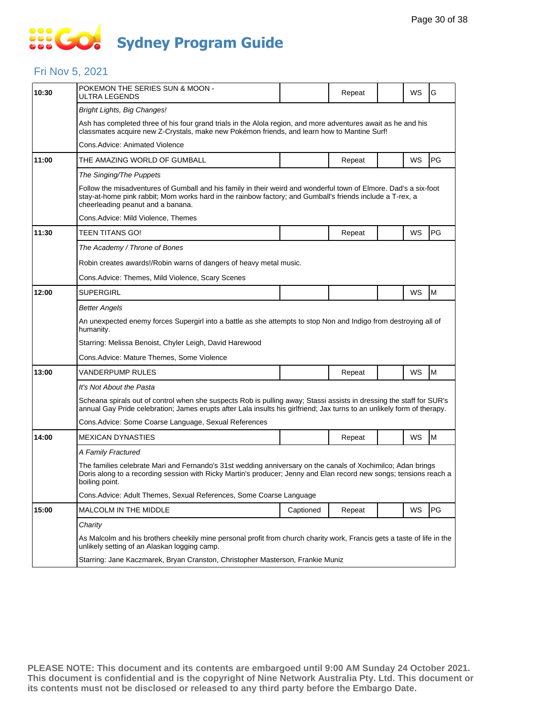### **SEC Sydney Program Guide**

### Fri Nov 5, 2021

| 10:30 | POKEMON THE SERIES SUN & MOON -<br>ULTRA LEGENDS                                                                                                                                                                                                                   |           | Repeat |  | WS | G  |  |  |
|-------|--------------------------------------------------------------------------------------------------------------------------------------------------------------------------------------------------------------------------------------------------------------------|-----------|--------|--|----|----|--|--|
|       | Bright Lights, Big Changes!                                                                                                                                                                                                                                        |           |        |  |    |    |  |  |
|       | Ash has completed three of his four grand trials in the Alola region, and more adventures await as he and his<br>classmates acquire new Z-Crystals, make new Pokémon friends, and learn how to Mantine Surf!                                                       |           |        |  |    |    |  |  |
|       | Cons.Advice: Animated Violence                                                                                                                                                                                                                                     |           |        |  |    |    |  |  |
| 11:00 | THE AMAZING WORLD OF GUMBALL                                                                                                                                                                                                                                       |           | Repeat |  | WS | PG |  |  |
|       | The Singing/The Puppets                                                                                                                                                                                                                                            |           |        |  |    |    |  |  |
|       | Follow the misadventures of Gumball and his family in their weird and wonderful town of Elmore. Dad's a six-foot<br>stay-at-home pink rabbit; Mom works hard in the rainbow factory; and Gumball's friends include a T-rex, a<br>cheerleading peanut and a banana. |           |        |  |    |    |  |  |
|       | Cons.Advice: Mild Violence, Themes                                                                                                                                                                                                                                 |           |        |  |    |    |  |  |
| 11:30 | TEEN TITANS GO!                                                                                                                                                                                                                                                    |           | Repeat |  | WS | PG |  |  |
|       | The Academy / Throne of Bones                                                                                                                                                                                                                                      |           |        |  |    |    |  |  |
|       | Robin creates awards!/Robin warns of dangers of heavy metal music.                                                                                                                                                                                                 |           |        |  |    |    |  |  |
|       | Cons.Advice: Themes, Mild Violence, Scary Scenes                                                                                                                                                                                                                   |           |        |  |    |    |  |  |
| 12:00 | <b>SUPERGIRL</b>                                                                                                                                                                                                                                                   |           |        |  | WS | M  |  |  |
|       | <b>Better Angels</b>                                                                                                                                                                                                                                               |           |        |  |    |    |  |  |
|       | An unexpected enemy forces Supergirl into a battle as she attempts to stop Non and Indigo from destroying all of<br>humanity.                                                                                                                                      |           |        |  |    |    |  |  |
|       | Starring: Melissa Benoist, Chyler Leigh, David Harewood                                                                                                                                                                                                            |           |        |  |    |    |  |  |
|       | Cons.Advice: Mature Themes, Some Violence                                                                                                                                                                                                                          |           |        |  |    |    |  |  |
| 13:00 | VANDERPUMP RULES                                                                                                                                                                                                                                                   |           | Repeat |  | WS | M  |  |  |
|       | It's Not About the Pasta                                                                                                                                                                                                                                           |           |        |  |    |    |  |  |
|       | Scheana spirals out of control when she suspects Rob is pulling away; Stassi assists in dressing the staff for SUR's<br>annual Gay Pride celebration; James erupts after Lala insults his girlfriend; Jax turns to an unlikely form of therapy.                    |           |        |  |    |    |  |  |
|       |                                                                                                                                                                                                                                                                    |           |        |  |    |    |  |  |
|       | Cons.Advice: Some Coarse Language, Sexual References                                                                                                                                                                                                               |           |        |  |    |    |  |  |
| 14:00 | <b>MEXICAN DYNASTIES</b>                                                                                                                                                                                                                                           |           | Repeat |  | WS | M  |  |  |
|       | A Family Fractured                                                                                                                                                                                                                                                 |           |        |  |    |    |  |  |
|       | The families celebrate Mari and Fernando's 31st wedding anniversary on the canals of Xochimilco; Adan brings<br>Doris along to a recording session with Ricky Martin's producer; Jenny and Elan record new songs; tensions reach a<br>boiling point.               |           |        |  |    |    |  |  |
|       | Cons.Advice: Adult Themes, Sexual References, Some Coarse Language                                                                                                                                                                                                 |           |        |  |    |    |  |  |
| 15:00 | <b>MALCOLM IN THE MIDDLE</b>                                                                                                                                                                                                                                       | Captioned | Repeat |  | WS | PG |  |  |
|       | Charity                                                                                                                                                                                                                                                            |           |        |  |    |    |  |  |
|       | As Malcolm and his brothers cheekily mine personal profit from church charity work, Francis gets a taste of life in the<br>unlikely setting of an Alaskan logging camp.                                                                                            |           |        |  |    |    |  |  |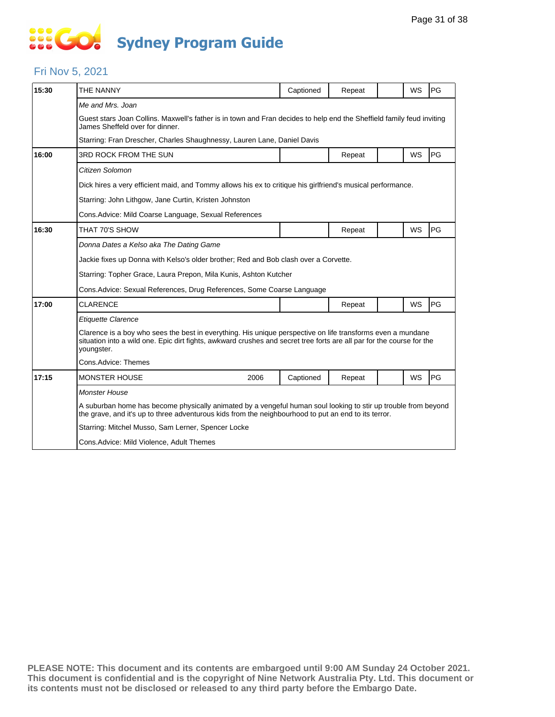# **... Go Sydney Program Guide**

### Fri Nov 5, 2021

| 15:30 | THE NANNY                                                                                                                                                                                                                                          |      | Captioned | Repeat |  | <b>WS</b> | PG |  |  |
|-------|----------------------------------------------------------------------------------------------------------------------------------------------------------------------------------------------------------------------------------------------------|------|-----------|--------|--|-----------|----|--|--|
|       | Me and Mrs. Joan<br>Guest stars Joan Collins. Maxwell's father is in town and Fran decides to help end the Sheffield family feud inviting<br>James Sheffeld over for dinner.                                                                       |      |           |        |  |           |    |  |  |
|       | Starring: Fran Drescher, Charles Shaughnessy, Lauren Lane, Daniel Davis                                                                                                                                                                            |      |           |        |  |           |    |  |  |
| 16:00 | 3RD ROCK FROM THE SUN                                                                                                                                                                                                                              |      |           | Repeat |  | <b>WS</b> | PG |  |  |
|       | Citizen Solomon                                                                                                                                                                                                                                    |      |           |        |  |           |    |  |  |
|       | Dick hires a very efficient maid, and Tommy allows his ex to critique his girlfriend's musical performance.                                                                                                                                        |      |           |        |  |           |    |  |  |
|       | Starring: John Lithgow, Jane Curtin, Kristen Johnston                                                                                                                                                                                              |      |           |        |  |           |    |  |  |
|       | Cons. Advice: Mild Coarse Language, Sexual References                                                                                                                                                                                              |      |           |        |  |           |    |  |  |
| 16:30 | THAT 70'S SHOW                                                                                                                                                                                                                                     |      |           | Repeat |  | <b>WS</b> | PG |  |  |
|       | Donna Dates a Kelso aka The Dating Game                                                                                                                                                                                                            |      |           |        |  |           |    |  |  |
|       | Jackie fixes up Donna with Kelso's older brother; Red and Bob clash over a Corvette.                                                                                                                                                               |      |           |        |  |           |    |  |  |
|       | Starring: Topher Grace, Laura Prepon, Mila Kunis, Ashton Kutcher                                                                                                                                                                                   |      |           |        |  |           |    |  |  |
|       | Cons. Advice: Sexual References, Drug References, Some Coarse Language                                                                                                                                                                             |      |           |        |  |           |    |  |  |
| 17:00 | <b>CLARENCE</b>                                                                                                                                                                                                                                    |      |           | Repeat |  | <b>WS</b> | PG |  |  |
|       | <b>Etiquette Clarence</b>                                                                                                                                                                                                                          |      |           |        |  |           |    |  |  |
|       | Clarence is a boy who sees the best in everything. His unique perspective on life transforms even a mundane<br>situation into a wild one. Epic dirt fights, awkward crushes and secret tree forts are all par for the course for the<br>youngster. |      |           |        |  |           |    |  |  |
|       | Cons.Advice: Themes                                                                                                                                                                                                                                |      |           |        |  |           |    |  |  |
| 17:15 | <b>MONSTER HOUSE</b>                                                                                                                                                                                                                               | 2006 | Captioned | Repeat |  | WS        | PG |  |  |
|       | Monster House                                                                                                                                                                                                                                      |      |           |        |  |           |    |  |  |
|       | A suburban home has become physically animated by a vengeful human soul looking to stir up trouble from beyond<br>the grave, and it's up to three adventurous kids from the neighbourhood to put an end to its terror.                             |      |           |        |  |           |    |  |  |
|       | Starring: Mitchel Musso, Sam Lerner, Spencer Locke                                                                                                                                                                                                 |      |           |        |  |           |    |  |  |
|       | Cons.Advice: Mild Violence, Adult Themes                                                                                                                                                                                                           |      |           |        |  |           |    |  |  |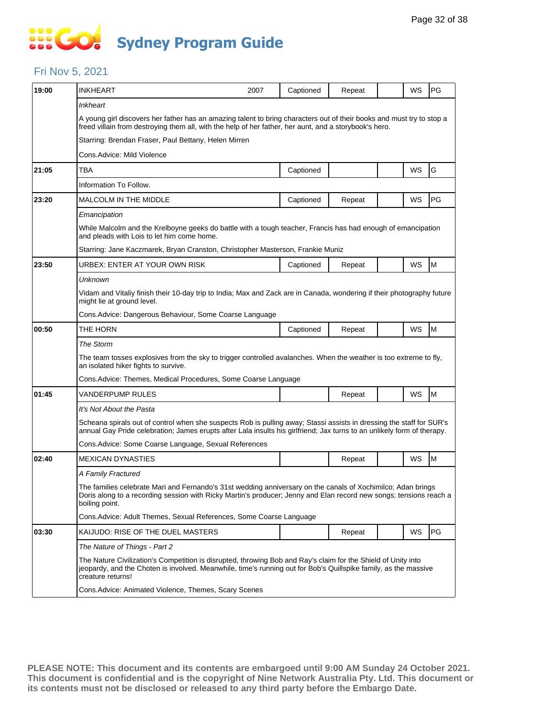### **... Go Sydney Program Guide**

### Fri Nov 5, 2021

| 19:00 | <b>INKHEART</b>                                                                                                                                                                                                                                       | 2007 | Captioned | Repeat |  | WS | PG |  |  |
|-------|-------------------------------------------------------------------------------------------------------------------------------------------------------------------------------------------------------------------------------------------------------|------|-----------|--------|--|----|----|--|--|
|       | <b>Inkheart</b>                                                                                                                                                                                                                                       |      |           |        |  |    |    |  |  |
|       | A young girl discovers her father has an amazing talent to bring characters out of their books and must try to stop a<br>freed villain from destroying them all, with the help of her father, her aunt, and a storybook's hero.                       |      |           |        |  |    |    |  |  |
|       | Starring: Brendan Fraser, Paul Bettany, Helen Mirren                                                                                                                                                                                                  |      |           |        |  |    |    |  |  |
|       | Cons.Advice: Mild Violence                                                                                                                                                                                                                            |      |           |        |  |    |    |  |  |
| 21:05 | TBA                                                                                                                                                                                                                                                   |      | Captioned |        |  | WS | G  |  |  |
|       | Information To Follow.                                                                                                                                                                                                                                |      |           |        |  |    |    |  |  |
| 23:20 | <b>MALCOLM IN THE MIDDLE</b>                                                                                                                                                                                                                          |      | Captioned | Repeat |  | WS | PG |  |  |
|       | Emancipation                                                                                                                                                                                                                                          |      |           |        |  |    |    |  |  |
|       | While Malcolm and the Krelboyne geeks do battle with a tough teacher, Francis has had enough of emancipation<br>and pleads with Lois to let him come home.                                                                                            |      |           |        |  |    |    |  |  |
|       | Starring: Jane Kaczmarek, Bryan Cranston, Christopher Masterson, Frankie Muniz                                                                                                                                                                        |      |           |        |  |    |    |  |  |
| 23:50 | URBEX: ENTER AT YOUR OWN RISK                                                                                                                                                                                                                         |      | Captioned | Repeat |  | WS | M  |  |  |
|       | <b>Unknown</b>                                                                                                                                                                                                                                        |      |           |        |  |    |    |  |  |
|       | Vidam and Vitaliy finish their 10-day trip to India; Max and Zack are in Canada, wondering if their photography future<br>might lie at ground level.                                                                                                  |      |           |        |  |    |    |  |  |
|       | Cons.Advice: Dangerous Behaviour, Some Coarse Language                                                                                                                                                                                                |      |           |        |  |    |    |  |  |
| 00:50 | THE HORN                                                                                                                                                                                                                                              |      | Captioned | Repeat |  | WS | M  |  |  |
|       | The Storm                                                                                                                                                                                                                                             |      |           |        |  |    |    |  |  |
|       | The team tosses explosives from the sky to trigger controlled avalanches. When the weather is too extreme to fly,<br>an isolated hiker fights to survive.                                                                                             |      |           |        |  |    |    |  |  |
|       | Cons.Advice: Themes, Medical Procedures, Some Coarse Language                                                                                                                                                                                         |      |           |        |  |    |    |  |  |
| 01:45 | VANDERPUMP RULES                                                                                                                                                                                                                                      |      |           | Repeat |  | WS | M  |  |  |
|       | It's Not About the Pasta                                                                                                                                                                                                                              |      |           |        |  |    |    |  |  |
|       | Scheana spirals out of control when she suspects Rob is pulling away; Stassi assists in dressing the staff for SUR's<br>annual Gay Pride celebration; James erupts after Lala insults his girlfriend; Jax turns to an unlikely form of therapy.       |      |           |        |  |    |    |  |  |
|       | Cons. Advice: Some Coarse Language, Sexual References                                                                                                                                                                                                 |      |           |        |  |    |    |  |  |
| 02:40 | <b>MEXICAN DYNASTIES</b>                                                                                                                                                                                                                              |      |           | Repeat |  | WS | M  |  |  |
|       | A Family Fractured                                                                                                                                                                                                                                    |      |           |        |  |    |    |  |  |
|       | The families celebrate Mari and Fernando's 31st wedding anniversary on the canals of Xochimilco; Adan brings<br>Doris along to a recording session with Ricky Martin's producer; Jenny and Elan record new songs; tensions reach a<br>boiling point.  |      |           |        |  |    |    |  |  |
|       | Cons. Advice: Adult Themes, Sexual References, Some Coarse Language                                                                                                                                                                                   |      |           |        |  |    |    |  |  |
| 03:30 | KAIJUDO: RISE OF THE DUEL MASTERS                                                                                                                                                                                                                     |      |           | Repeat |  | WS | PG |  |  |
|       | The Nature of Things - Part 2                                                                                                                                                                                                                         |      |           |        |  |    |    |  |  |
|       | The Nature Civilization's Competition is disrupted, throwing Bob and Ray's claim for the Shield of Unity into<br>jeopardy, and the Choten is involved. Meanwhile, time's running out for Bob's Quillspike family, as the massive<br>creature returns! |      |           |        |  |    |    |  |  |
|       | Cons. Advice: Animated Violence, Themes, Scary Scenes                                                                                                                                                                                                 |      |           |        |  |    |    |  |  |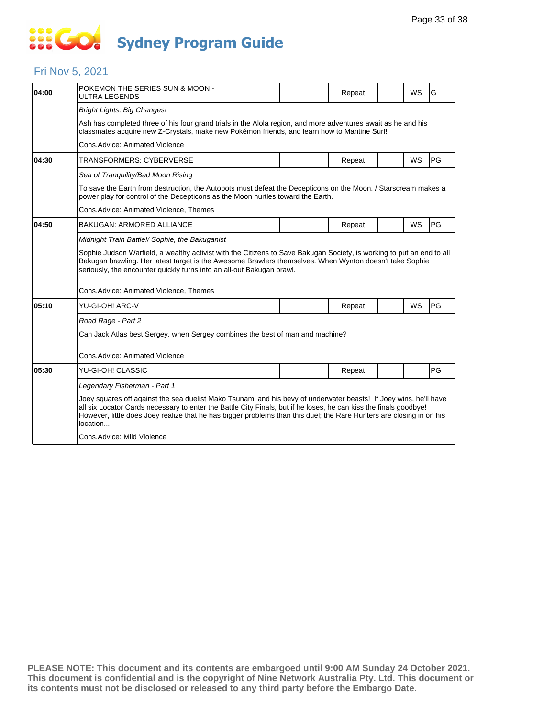# **SOCO Sydney Program Guide**

### Fri Nov 5, 2021

| 04:00 | POKEMON THE SERIES SUN & MOON -<br>ULTRA LEGENDS                                                                                                                                                                                                                                                                                                                           |  | Repeat |  | WS        | G  |  |  |
|-------|----------------------------------------------------------------------------------------------------------------------------------------------------------------------------------------------------------------------------------------------------------------------------------------------------------------------------------------------------------------------------|--|--------|--|-----------|----|--|--|
|       | <b>Bright Lights, Big Changes!</b>                                                                                                                                                                                                                                                                                                                                         |  |        |  |           |    |  |  |
|       | Ash has completed three of his four grand trials in the Alola region, and more adventures await as he and his<br>classmates acquire new Z-Crystals, make new Pokémon friends, and learn how to Mantine Surf!                                                                                                                                                               |  |        |  |           |    |  |  |
|       | Cons. Advice: Animated Violence                                                                                                                                                                                                                                                                                                                                            |  |        |  |           |    |  |  |
| 04:30 | TRANSFORMERS: CYBERVERSE                                                                                                                                                                                                                                                                                                                                                   |  | Repeat |  | <b>WS</b> | PG |  |  |
|       | Sea of Tranquility/Bad Moon Rising                                                                                                                                                                                                                                                                                                                                         |  |        |  |           |    |  |  |
|       | To save the Earth from destruction, the Autobots must defeat the Decepticons on the Moon. / Starscream makes a<br>power play for control of the Decepticons as the Moon hurtles toward the Earth.                                                                                                                                                                          |  |        |  |           |    |  |  |
|       | Cons. Advice: Animated Violence, Themes                                                                                                                                                                                                                                                                                                                                    |  |        |  |           |    |  |  |
| 04:50 | <b>BAKUGAN: ARMORED ALLIANCE</b>                                                                                                                                                                                                                                                                                                                                           |  | Repeat |  | <b>WS</b> | PG |  |  |
|       | Midnight Train Battle!/ Sophie, the Bakuganist                                                                                                                                                                                                                                                                                                                             |  |        |  |           |    |  |  |
|       | Sophie Judson Warfield, a wealthy activist with the Citizens to Save Bakugan Society, is working to put an end to all<br>Bakugan brawling. Her latest target is the Awesome Brawlers themselves. When Wynton doesn't take Sophie<br>seriously, the encounter quickly turns into an all-out Bakugan brawl.                                                                  |  |        |  |           |    |  |  |
|       | Cons. Advice: Animated Violence, Themes                                                                                                                                                                                                                                                                                                                                    |  |        |  |           |    |  |  |
| 05:10 | YU-GI-OH! ARC-V                                                                                                                                                                                                                                                                                                                                                            |  | Repeat |  | WS        | PG |  |  |
|       | Road Rage - Part 2                                                                                                                                                                                                                                                                                                                                                         |  |        |  |           |    |  |  |
|       | Can Jack Atlas best Sergey, when Sergey combines the best of man and machine?                                                                                                                                                                                                                                                                                              |  |        |  |           |    |  |  |
|       | Cons. Advice: Animated Violence                                                                                                                                                                                                                                                                                                                                            |  |        |  |           |    |  |  |
|       |                                                                                                                                                                                                                                                                                                                                                                            |  |        |  |           |    |  |  |
| 05:30 | YU-GI-OH! CLASSIC                                                                                                                                                                                                                                                                                                                                                          |  | Repeat |  |           | PG |  |  |
|       | Legendary Fisherman - Part 1                                                                                                                                                                                                                                                                                                                                               |  |        |  |           |    |  |  |
|       | Joey squares off against the sea duelist Mako Tsunami and his bevy of underwater beasts! If Joey wins, he'll have<br>all six Locator Cards necessary to enter the Battle City Finals, but if he loses, he can kiss the finals goodbye!<br>However, little does Joey realize that he has bigger problems than this duel; the Rare Hunters are closing in on his<br>location |  |        |  |           |    |  |  |
|       | Cons.Advice: Mild Violence                                                                                                                                                                                                                                                                                                                                                 |  |        |  |           |    |  |  |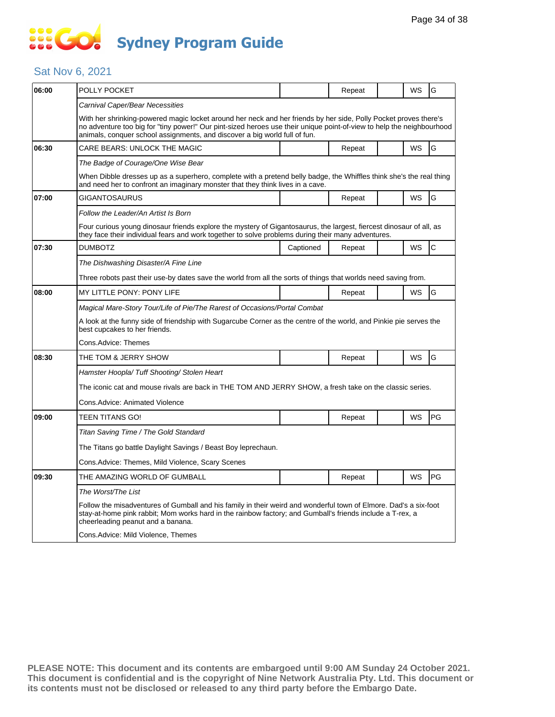### **SOCO Sydney Program Guide**

#### Sat Nov 6, 2021

| 06:00 | POLLY POCKET                                                                                                                                                                                                                                                                                                            |           | Repeat |  | WS        | G         |  |  |
|-------|-------------------------------------------------------------------------------------------------------------------------------------------------------------------------------------------------------------------------------------------------------------------------------------------------------------------------|-----------|--------|--|-----------|-----------|--|--|
|       | Carnival Caper/Bear Necessities                                                                                                                                                                                                                                                                                         |           |        |  |           |           |  |  |
|       | With her shrinking-powered magic locket around her neck and her friends by her side, Polly Pocket proves there's<br>no adventure too big for "tiny power!" Our pint-sized heroes use their unique point-of-view to help the neighbourhood<br>animals, conquer school assignments, and discover a big world full of fun. |           |        |  |           |           |  |  |
| 06:30 | CARE BEARS: UNLOCK THE MAGIC                                                                                                                                                                                                                                                                                            |           | Repeat |  | <b>WS</b> | G         |  |  |
|       | The Badge of Courage/One Wise Bear                                                                                                                                                                                                                                                                                      |           |        |  |           |           |  |  |
|       | When Dibble dresses up as a superhero, complete with a pretend belly badge, the Whiffles think she's the real thing<br>and need her to confront an imaginary monster that they think lives in a cave.                                                                                                                   |           |        |  |           |           |  |  |
| 07:00 | GIGANTOSAURUS                                                                                                                                                                                                                                                                                                           |           | Repeat |  | WS        | G         |  |  |
|       | Follow the Leader/An Artist Is Born                                                                                                                                                                                                                                                                                     |           |        |  |           |           |  |  |
|       | Four curious young dinosaur friends explore the mystery of Gigantosaurus, the largest, fiercest dinosaur of all, as<br>they face their individual fears and work together to solve problems during their many adventures.                                                                                               |           |        |  |           |           |  |  |
| 07:30 | <b>DUMBOTZ</b>                                                                                                                                                                                                                                                                                                          | Captioned | Repeat |  | <b>WS</b> | lC.       |  |  |
|       | The Dishwashing Disaster/A Fine Line                                                                                                                                                                                                                                                                                    |           |        |  |           |           |  |  |
|       | Three robots past their use-by dates save the world from all the sorts of things that worlds need saving from.                                                                                                                                                                                                          |           |        |  |           |           |  |  |
| 08:00 | <b>MY LITTLE PONY: PONY LIFE</b>                                                                                                                                                                                                                                                                                        |           | Repeat |  | WS        | G         |  |  |
|       | Magical Mare-Story Tour/Life of Pie/The Rarest of Occasions/Portal Combat                                                                                                                                                                                                                                               |           |        |  |           |           |  |  |
|       | A look at the funny side of friendship with Sugarcube Corner as the centre of the world, and Pinkie pie serves the<br>best cupcakes to her friends.                                                                                                                                                                     |           |        |  |           |           |  |  |
|       | Cons.Advice: Themes                                                                                                                                                                                                                                                                                                     |           |        |  |           |           |  |  |
| 08:30 | THE TOM & JERRY SHOW                                                                                                                                                                                                                                                                                                    |           | Repeat |  | WS        | G         |  |  |
|       | Hamster Hoopla/Tuff Shooting/Stolen Heart                                                                                                                                                                                                                                                                               |           |        |  |           |           |  |  |
|       | The iconic cat and mouse rivals are back in THE TOM AND JERRY SHOW, a fresh take on the classic series.                                                                                                                                                                                                                 |           |        |  |           |           |  |  |
|       | Cons.Advice: Animated Violence                                                                                                                                                                                                                                                                                          |           |        |  |           |           |  |  |
| 09:00 | TEEN TITANS GO!                                                                                                                                                                                                                                                                                                         |           | Repeat |  | WS        | <b>PG</b> |  |  |
|       | Titan Saving Time / The Gold Standard                                                                                                                                                                                                                                                                                   |           |        |  |           |           |  |  |
|       | The Titans go battle Daylight Savings / Beast Boy leprechaun.                                                                                                                                                                                                                                                           |           |        |  |           |           |  |  |
|       | Cons.Advice: Themes, Mild Violence, Scary Scenes                                                                                                                                                                                                                                                                        |           |        |  |           |           |  |  |
| 09:30 | THE AMAZING WORLD OF GUMBALL                                                                                                                                                                                                                                                                                            |           | Repeat |  | WS        | PG        |  |  |
|       | The Worst/The List                                                                                                                                                                                                                                                                                                      |           |        |  |           |           |  |  |
|       | Follow the misadventures of Gumball and his family in their weird and wonderful town of Elmore. Dad's a six-foot<br>stay-at-home pink rabbit; Mom works hard in the rainbow factory; and Gumball's friends include a T-rex, a<br>cheerleading peanut and a banana.                                                      |           |        |  |           |           |  |  |
|       | Cons.Advice: Mild Violence, Themes                                                                                                                                                                                                                                                                                      |           |        |  |           |           |  |  |
|       |                                                                                                                                                                                                                                                                                                                         |           |        |  |           |           |  |  |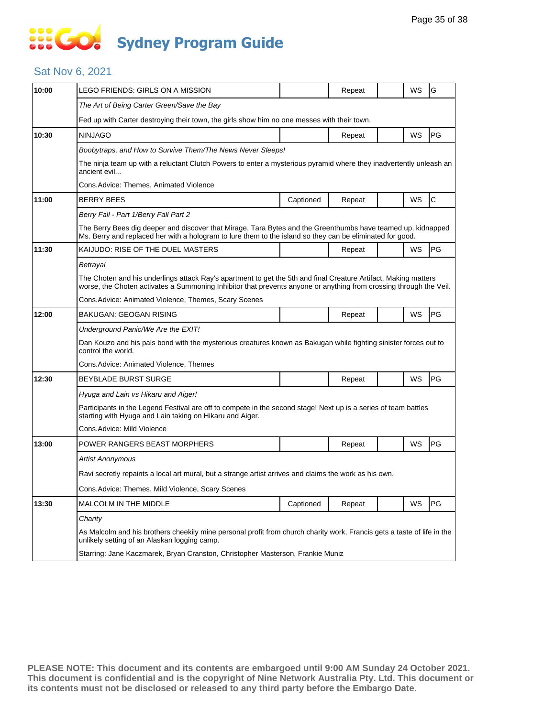#### 888 **Sydney Program Guide**G

#### Sat Nov 6, 2021

| 10:00 | LEGO FRIENDS: GIRLS ON A MISSION                                                                                                                                                                                                      |           | Repeat |  | WS | G  |  |  |  |
|-------|---------------------------------------------------------------------------------------------------------------------------------------------------------------------------------------------------------------------------------------|-----------|--------|--|----|----|--|--|--|
|       | The Art of Being Carter Green/Save the Bay                                                                                                                                                                                            |           |        |  |    |    |  |  |  |
|       | Fed up with Carter destroying their town, the girls show him no one messes with their town.                                                                                                                                           |           |        |  |    |    |  |  |  |
| 10:30 | <b>NINJAGO</b>                                                                                                                                                                                                                        |           | Repeat |  | WS | PG |  |  |  |
|       | Boobytraps, and How to Survive Them/The News Never Sleeps!                                                                                                                                                                            |           |        |  |    |    |  |  |  |
|       | The ninja team up with a reluctant Clutch Powers to enter a mysterious pyramid where they inadvertently unleash an<br>ancient evil                                                                                                    |           |        |  |    |    |  |  |  |
|       | Cons.Advice: Themes, Animated Violence                                                                                                                                                                                                |           |        |  |    |    |  |  |  |
| 11:00 | <b>BERRY BEES</b>                                                                                                                                                                                                                     | Captioned | Repeat |  | WS | C  |  |  |  |
|       | Berry Fall - Part 1/Berry Fall Part 2                                                                                                                                                                                                 |           |        |  |    |    |  |  |  |
|       | The Berry Bees dig deeper and discover that Mirage, Tara Bytes and the Greenthumbs have teamed up, kidnapped<br>Ms. Berry and replaced her with a hologram to lure them to the island so they can be eliminated for good.             |           |        |  |    |    |  |  |  |
| 11:30 | KAIJUDO: RISE OF THE DUEL MASTERS                                                                                                                                                                                                     |           | Repeat |  | WS | PG |  |  |  |
|       | Betrayal                                                                                                                                                                                                                              |           |        |  |    |    |  |  |  |
|       | The Choten and his underlings attack Ray's apartment to get the 5th and final Creature Artifact. Making matters<br>worse, the Choten activates a Summoning Inhibitor that prevents anyone or anything from crossing through the Veil. |           |        |  |    |    |  |  |  |
|       | Cons.Advice: Animated Violence, Themes, Scary Scenes                                                                                                                                                                                  |           |        |  |    |    |  |  |  |
| 12:00 | BAKUGAN: GEOGAN RISING                                                                                                                                                                                                                |           | Repeat |  | WS | PG |  |  |  |
|       | Underground Panic/We Are the EXIT!                                                                                                                                                                                                    |           |        |  |    |    |  |  |  |
|       | Dan Kouzo and his pals bond with the mysterious creatures known as Bakugan while fighting sinister forces out to<br>control the world.                                                                                                |           |        |  |    |    |  |  |  |
|       | Cons.Advice: Animated Violence, Themes                                                                                                                                                                                                |           |        |  |    |    |  |  |  |
| 12:30 | BEYBLADE BURST SURGE                                                                                                                                                                                                                  |           | Repeat |  | WS | PG |  |  |  |
|       | Hyuga and Lain vs Hikaru and Aiger!                                                                                                                                                                                                   |           |        |  |    |    |  |  |  |
|       | Participants in the Legend Festival are off to compete in the second stage! Next up is a series of team battles<br>starting with Hyuga and Lain taking on Hikaru and Aiger.                                                           |           |        |  |    |    |  |  |  |
|       | Cons.Advice: Mild Violence                                                                                                                                                                                                            |           |        |  |    |    |  |  |  |
| 13:00 | POWER RANGERS BEAST MORPHERS                                                                                                                                                                                                          |           | Repeat |  | WS | PG |  |  |  |
|       | Artist Anonymous                                                                                                                                                                                                                      |           |        |  |    |    |  |  |  |
|       | Ravi secretly repaints a local art mural, but a strange artist arrives and claims the work as his own.                                                                                                                                |           |        |  |    |    |  |  |  |
|       | Cons.Advice: Themes, Mild Violence, Scary Scenes                                                                                                                                                                                      |           |        |  |    |    |  |  |  |
| 13:30 | MALCOLM IN THE MIDDLE                                                                                                                                                                                                                 | Captioned | Repeat |  | WS | PG |  |  |  |
|       | Charity                                                                                                                                                                                                                               |           |        |  |    |    |  |  |  |
|       | As Malcolm and his brothers cheekily mine personal profit from church charity work, Francis gets a taste of life in the<br>unlikely setting of an Alaskan logging camp.                                                               |           |        |  |    |    |  |  |  |
|       | Starring: Jane Kaczmarek, Bryan Cranston, Christopher Masterson, Frankie Muniz                                                                                                                                                        |           |        |  |    |    |  |  |  |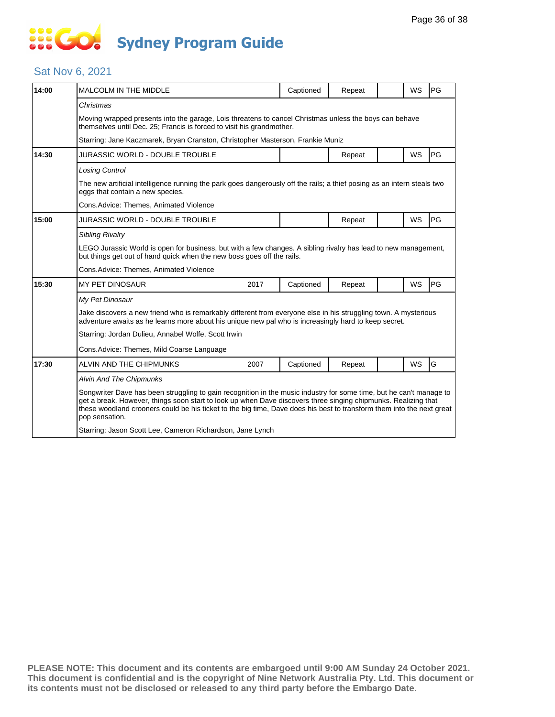### **SOCOL Sydney Program Guide**

#### Sat Nov 6, 2021

| 14:00 | <b>MALCOLM IN THE MIDDLE</b>                                                                                                                                                                                                                                                                                                                                                     |                                                                                                                                                                                                                         | Captioned | Repeat |  | WS        | PG |  |  |
|-------|----------------------------------------------------------------------------------------------------------------------------------------------------------------------------------------------------------------------------------------------------------------------------------------------------------------------------------------------------------------------------------|-------------------------------------------------------------------------------------------------------------------------------------------------------------------------------------------------------------------------|-----------|--------|--|-----------|----|--|--|
|       | Christmas                                                                                                                                                                                                                                                                                                                                                                        |                                                                                                                                                                                                                         |           |        |  |           |    |  |  |
|       | Moving wrapped presents into the garage, Lois threatens to cancel Christmas unless the boys can behave<br>themselves until Dec. 25; Francis is forced to visit his grandmother.                                                                                                                                                                                                  |                                                                                                                                                                                                                         |           |        |  |           |    |  |  |
|       | Starring: Jane Kaczmarek, Bryan Cranston, Christopher Masterson, Frankie Muniz                                                                                                                                                                                                                                                                                                   |                                                                                                                                                                                                                         |           |        |  |           |    |  |  |
| 14:30 | JURASSIC WORLD - DOUBLE TROUBLE                                                                                                                                                                                                                                                                                                                                                  |                                                                                                                                                                                                                         |           | Repeat |  | WS        | PG |  |  |
|       | <b>Losing Control</b>                                                                                                                                                                                                                                                                                                                                                            |                                                                                                                                                                                                                         |           |        |  |           |    |  |  |
|       | The new artificial intelligence running the park goes dangerously off the rails; a thief posing as an intern steals two<br>eggs that contain a new species.                                                                                                                                                                                                                      |                                                                                                                                                                                                                         |           |        |  |           |    |  |  |
|       | Cons.Advice: Themes, Animated Violence                                                                                                                                                                                                                                                                                                                                           |                                                                                                                                                                                                                         |           |        |  |           |    |  |  |
| 15:00 | <b>JURASSIC WORLD - DOUBLE TROUBLE</b>                                                                                                                                                                                                                                                                                                                                           |                                                                                                                                                                                                                         |           | Repeat |  | WS        | PG |  |  |
|       | Sibling Rivalry                                                                                                                                                                                                                                                                                                                                                                  |                                                                                                                                                                                                                         |           |        |  |           |    |  |  |
|       | LEGO Jurassic World is open for business, but with a few changes. A sibling rivalry has lead to new management,<br>but things get out of hand quick when the new boss goes off the rails.                                                                                                                                                                                        |                                                                                                                                                                                                                         |           |        |  |           |    |  |  |
|       | Cons.Advice: Themes, Animated Violence                                                                                                                                                                                                                                                                                                                                           |                                                                                                                                                                                                                         |           |        |  |           |    |  |  |
| 15:30 | <b>MY PET DINOSAUR</b><br>2017                                                                                                                                                                                                                                                                                                                                                   |                                                                                                                                                                                                                         | Captioned | Repeat |  | WS        | PG |  |  |
|       | My Pet Dinosaur                                                                                                                                                                                                                                                                                                                                                                  |                                                                                                                                                                                                                         |           |        |  |           |    |  |  |
|       |                                                                                                                                                                                                                                                                                                                                                                                  | Jake discovers a new friend who is remarkably different from everyone else in his struggling town. A mysterious<br>adventure awaits as he learns more about his unique new pal who is increasingly hard to keep secret. |           |        |  |           |    |  |  |
|       | Starring: Jordan Dulieu, Annabel Wolfe, Scott Irwin                                                                                                                                                                                                                                                                                                                              |                                                                                                                                                                                                                         |           |        |  |           |    |  |  |
|       | Cons. Advice: Themes, Mild Coarse Language                                                                                                                                                                                                                                                                                                                                       |                                                                                                                                                                                                                         |           |        |  |           |    |  |  |
| 17:30 | ALVIN AND THE CHIPMUNKS<br>2007                                                                                                                                                                                                                                                                                                                                                  |                                                                                                                                                                                                                         | Captioned | Repeat |  | <b>WS</b> | G  |  |  |
|       | <b>Alvin And The Chipmunks</b>                                                                                                                                                                                                                                                                                                                                                   |                                                                                                                                                                                                                         |           |        |  |           |    |  |  |
|       | Songwriter Dave has been struggling to gain recognition in the music industry for some time, but he can't manage to<br>get a break. However, things soon start to look up when Dave discovers three singing chipmunks. Realizing that<br>these woodland crooners could be his ticket to the big time, Dave does his best to transform them into the next great<br>pop sensation. |                                                                                                                                                                                                                         |           |        |  |           |    |  |  |
|       | Starring: Jason Scott Lee, Cameron Richardson, Jane Lynch                                                                                                                                                                                                                                                                                                                        |                                                                                                                                                                                                                         |           |        |  |           |    |  |  |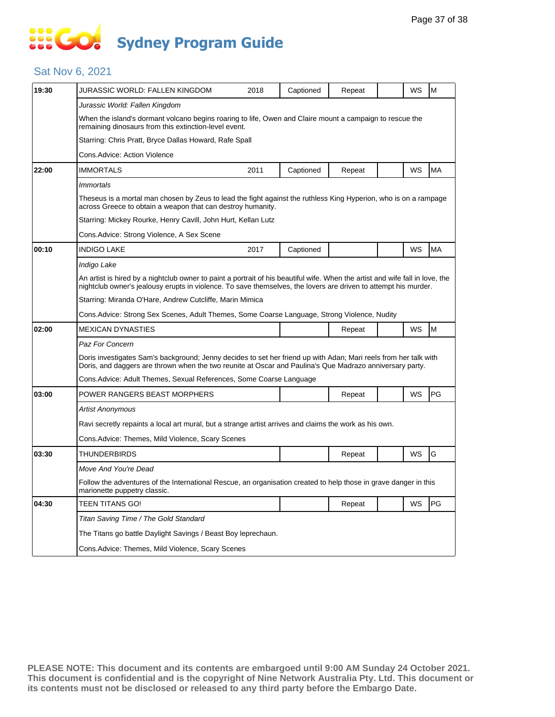# **SOCOCO Sydney Program Guide**

#### Sat Nov 6, 2021

| 19:30 | JURASSIC WORLD: FALLEN KINGDOM                                                                                                                                                                                                                   | 2018 | Captioned | Repeat |  | WS        | M  |  |  |  |  |
|-------|--------------------------------------------------------------------------------------------------------------------------------------------------------------------------------------------------------------------------------------------------|------|-----------|--------|--|-----------|----|--|--|--|--|
|       | Jurassic World: Fallen Kingdom                                                                                                                                                                                                                   |      |           |        |  |           |    |  |  |  |  |
|       | When the island's dormant volcano begins roaring to life, Owen and Claire mount a campaign to rescue the<br>remaining dinosaurs from this extinction-level event.                                                                                |      |           |        |  |           |    |  |  |  |  |
|       | Starring: Chris Pratt, Bryce Dallas Howard, Rafe Spall                                                                                                                                                                                           |      |           |        |  |           |    |  |  |  |  |
|       | Cons.Advice: Action Violence                                                                                                                                                                                                                     |      |           |        |  |           |    |  |  |  |  |
| 22:00 | <b>IMMORTALS</b>                                                                                                                                                                                                                                 | 2011 | Captioned | Repeat |  | WS        | MA |  |  |  |  |
|       | <i><b>Immortals</b></i>                                                                                                                                                                                                                          |      |           |        |  |           |    |  |  |  |  |
|       | Theseus is a mortal man chosen by Zeus to lead the fight against the ruthless King Hyperion, who is on a rampage<br>across Greece to obtain a weapon that can destroy humanity.                                                                  |      |           |        |  |           |    |  |  |  |  |
|       | Starring: Mickey Rourke, Henry Cavill, John Hurt, Kellan Lutz                                                                                                                                                                                    |      |           |        |  |           |    |  |  |  |  |
|       | Cons. Advice: Strong Violence, A Sex Scene                                                                                                                                                                                                       |      |           |        |  |           |    |  |  |  |  |
| 00:10 | <b>INDIGO LAKE</b>                                                                                                                                                                                                                               | 2017 | Captioned |        |  | WS        | MA |  |  |  |  |
|       | Indigo Lake                                                                                                                                                                                                                                      |      |           |        |  |           |    |  |  |  |  |
|       | An artist is hired by a nightclub owner to paint a portrait of his beautiful wife. When the artist and wife fall in love, the<br>nightclub owner's jealousy erupts in violence. To save themselves, the lovers are driven to attempt his murder. |      |           |        |  |           |    |  |  |  |  |
|       | Starring: Miranda O'Hare, Andrew Cutcliffe, Marin Mimica                                                                                                                                                                                         |      |           |        |  |           |    |  |  |  |  |
|       | Cons. Advice: Strong Sex Scenes, Adult Themes, Some Coarse Language, Strong Violence, Nudity                                                                                                                                                     |      |           |        |  |           |    |  |  |  |  |
| 02:00 | <b>MEXICAN DYNASTIES</b>                                                                                                                                                                                                                         |      |           | Repeat |  | WS        | M  |  |  |  |  |
|       | Paz For Concern                                                                                                                                                                                                                                  |      |           |        |  |           |    |  |  |  |  |
|       | Doris investigates Sam's background: Jenny decides to set her friend up with Adan; Mari reels from her talk with<br>Doris, and daggers are thrown when the two reunite at Oscar and Paulina's Que Madrazo anniversary party.                     |      |           |        |  |           |    |  |  |  |  |
|       | Cons.Advice: Adult Themes, Sexual References, Some Coarse Language                                                                                                                                                                               |      |           |        |  |           |    |  |  |  |  |
| 03:00 | POWER RANGERS BEAST MORPHERS                                                                                                                                                                                                                     |      |           | Repeat |  | WS        | PG |  |  |  |  |
|       | Artist Anonymous                                                                                                                                                                                                                                 |      |           |        |  |           |    |  |  |  |  |
|       | Ravi secretly repaints a local art mural, but a strange artist arrives and claims the work as his own.                                                                                                                                           |      |           |        |  |           |    |  |  |  |  |
|       | Cons. Advice: Themes, Mild Violence, Scary Scenes                                                                                                                                                                                                |      |           |        |  |           |    |  |  |  |  |
| 03:30 | THUNDERBIRDS                                                                                                                                                                                                                                     |      |           | Repeat |  | WS        | G  |  |  |  |  |
|       | Move And You're Dead                                                                                                                                                                                                                             |      |           |        |  |           |    |  |  |  |  |
|       | Follow the adventures of the International Rescue, an organisation created to help those in grave danger in this<br>marionette puppetry classic.                                                                                                 |      |           |        |  |           |    |  |  |  |  |
| 04:30 | TEEN TITANS GO!                                                                                                                                                                                                                                  |      |           | Repeat |  | <b>WS</b> | PG |  |  |  |  |
|       | Titan Saving Time / The Gold Standard                                                                                                                                                                                                            |      |           |        |  |           |    |  |  |  |  |
|       | The Titans go battle Daylight Savings / Beast Boy leprechaun.                                                                                                                                                                                    |      |           |        |  |           |    |  |  |  |  |
|       | Cons.Advice: Themes, Mild Violence, Scary Scenes                                                                                                                                                                                                 |      |           |        |  |           |    |  |  |  |  |